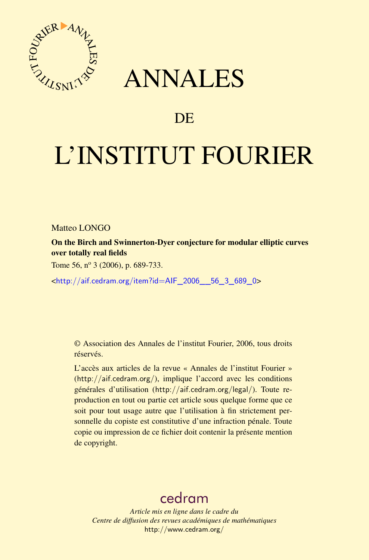

## ANNALES

## **DE**

# L'INSTITUT FOURIER

Matteo LONGO

On the Birch and Swinnerton-Dyer conjecture for modular elliptic curves over totally real fields

Tome 56,  $n^{\circ}$  3 (2006), p. 689-733.

<[http://aif.cedram.org/item?id=AIF\\_2006\\_\\_56\\_3\\_689\\_0](http://aif.cedram.org/item?id=AIF_2006__56_3_689_0)>

© Association des Annales de l'institut Fourier, 2006, tous droits réservés.

L'accès aux articles de la revue « Annales de l'institut Fourier » (<http://aif.cedram.org/>), implique l'accord avec les conditions générales d'utilisation (<http://aif.cedram.org/legal/>). Toute reproduction en tout ou partie cet article sous quelque forme que ce soit pour tout usage autre que l'utilisation à fin strictement personnelle du copiste est constitutive d'une infraction pénale. Toute copie ou impression de ce fichier doit contenir la présente mention de copyright.

## [cedram](http://www.cedram.org/)

*Article mis en ligne dans le cadre du Centre de diffusion des revues académiques de mathématiques* <http://www.cedram.org/>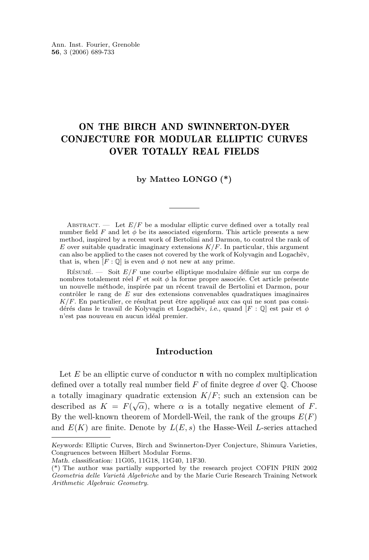### ON THE BIRCH AND SWINNERTON-DYER CONJECTURE FOR MODULAR ELLIPTIC CURVES OVER TOTALLY REAL FIELDS

#### **by Matteo LONGO (\*)**

ABSTRACT. — Let  $E/F$  be a modular elliptic curve defined over a totally real number field F and let  $\phi$  be its associated eigenform. This article presents a new method, inspired by a recent work of Bertolini and Darmon, to control the rank of  $E$  over suitable quadratic imaginary extensions  $K/F$ . In particular, this argument can also be applied to the cases not covered by the work of Kolyvagin and Logachëv, that is, when  $[F: \mathbb{Q}]$  is even and  $\phi$  not new at any prime.

 $R$ ÉSUMÉ. — Soit  $E/F$  une courbe elliptique modulaire définie sur un corps de nombres totalement réel F et soit  $\phi$  la forme propre associée. Cet article présente un nouvelle méthode, inspirée par un récent travail de Bertolini et Darmon, pour contrôler le rang de E sur des extensions convenables quadratiques imaginaires  $K/F$ . En particulier, ce résultat peut être appliqué aux cas qui ne sont pas considérés dans le travail de Kolyvagin et Logachëv, *i.e.,* quand [F : Q] est pair et φ n'est pas nouveau en aucun idéal premier.

#### **Introduction**

Let  $E$  be an elliptic curve of conductor  $\mathfrak n$  with no complex multiplication defined over a totally real number field  $F$  of finite degree d over  $\mathbb{O}$ . Choose a totally imaginary quadratic extension  $K/F$ ; such an extension can be described as  $K = F(\sqrt{\alpha})$ , where  $\alpha$  is a totally negative element of F. By the well-known theorem of Mordell-Weil, the rank of the groups  $E(F)$ and  $E(K)$  are finite. Denote by  $L(E, s)$  the Hasse-Weil L-series attached

*Keywords:* Elliptic Curves, Birch and Swinnerton-Dyer Conjecture, Shimura Varieties, Congruences between Hilbert Modular Forms.

*Math. classification:* 11G05, 11G18, 11G40, 11F30.

<sup>(\*)</sup> The author was partially supported by the research project COFIN PRIN 2002 *Geometria delle Varietà Algebriche* and by the Marie Curie Research Training Network *Arithmetic Algebraic Geometry*.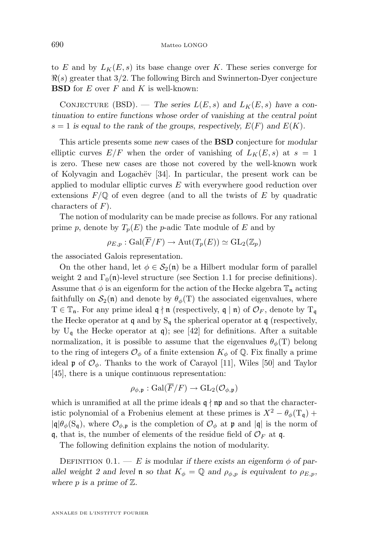to E and by  $L_K(E, s)$  its base change over K. These series converge for  $\Re(s)$  greater that 3/2. The following Birch and Swinnerton-Dyer conjecture **BSD** for E over F and K is well-known:

CONJECTURE (BSD). — The series  $L(E, s)$  and  $L_K(E, s)$  have a con*tinuation to entire functions whose order of vanishing at the central point*  $s = 1$  is equal to the rank of the groups, respectively,  $E(F)$  and  $E(K)$ .

This article presents some *new* cases of the **BSD** conjecture for *modular* elliptic curves  $E/F$  when the order of vanishing of  $L_K(E, s)$  at  $s = 1$ is zero. These new cases are those not covered by the well-known work of Kolyvagin and Logachëv [\[34\]](#page-44-0). In particular, the present work can be applied to modular elliptic curves  $E$  with everywhere good reduction over extensions  $F/\mathbb{Q}$  of even degree (and to all the twists of E by quadratic characters of  $F$ ).

The notion of modularity can be made precise as follows. For any rational prime p, denote by  $T_p(E)$  the p-adic Tate module of E and by

 $\rho_{E,n} : \text{Gal}(\overline{F}/F) \to \text{Aut}(T_n(E)) \simeq \text{GL}_2(\mathbb{Z}_n)$ 

the associated Galois representation.

On the other hand, let  $\phi \in \mathcal{S}_2(\mathfrak{n})$  be a Hilbert modular form of parallel weight 2 and  $\Gamma_0(\mathfrak{n})$ -level structure (see Section [1.1](#page-12-0) for precise definitions). Assume that  $\phi$  is an eigenform for the action of the Hecke algebra  $\mathbb{T}_n$  acting faithfully on  $\mathcal{S}_2(\mathfrak{n})$  and denote by  $\theta_{\phi}(T)$  the associated eigenvalues, where  $T \in \mathbb{T}_n$ . For any prime ideal  $\mathfrak{q} \nmid \mathfrak{n}$  (respectively,  $\mathfrak{q} \mid \mathfrak{n}$ ) of  $\mathcal{O}_F$ , denote by  $T_{\mathfrak{q}}$ the Hecke operator at  $\mathfrak q$  and by  $S_{\mathfrak q}$  the spherical operator at  $\mathfrak q$  (respectively, by  $U_q$  the Hecke operator at q); see [\[42\]](#page-44-0) for definitions. After a suitable normalization, it is possible to assume that the eigenvalues  $\theta_{\phi}(T)$  belong to the ring of integers  $\mathcal{O}_{\phi}$  of a finite extension  $K_{\phi}$  of Q. Fix finally a prime ideal  $\mathfrak p$  of  $\mathcal O_{\phi}$ . Thanks to the work of Carayol [\[11\]](#page-43-0), Wiles [\[50\]](#page-44-0) and Taylor [\[45\]](#page-44-0), there is a unique continuous representation:

$$
\rho_{\phi,\mathfrak{p}}: \mathrm{Gal}(F/F) \to \mathrm{GL}_2(\mathcal{O}_{\phi,\mathfrak{p}})
$$

which is unramified at all the prime ideals  $\mathfrak{q} \nmid \mathfrak{np}$  and so that the characteristic polynomial of a Frobenius element at these primes is  $X^2 - \theta_{\phi}(T_{\mathfrak{a}})$  +  $|\mathbf{q}|\theta_{\phi}(\mathbf{S}_{q})$ , where  $\mathcal{O}_{\phi,\mathfrak{p}}$  is the completion of  $\mathcal{O}_{\phi}$  at  $\mathfrak{p}$  and  $|\mathfrak{q}|$  is the norm of q, that is, the number of elements of the residue field of  $\mathcal{O}_F$  at q.

The following definition explains the notion of modularity.

DEFINITION  $0.1.$  – E is modular if there exists an eigenform  $\phi$  of par*allel weight 2 and level* **n** *so that*  $K_{\phi} = \mathbb{Q}$  *and*  $\rho_{\phi, p}$  *is equivalent to*  $\rho_{E, p}$ *, where* p *is a prime of* Z*.*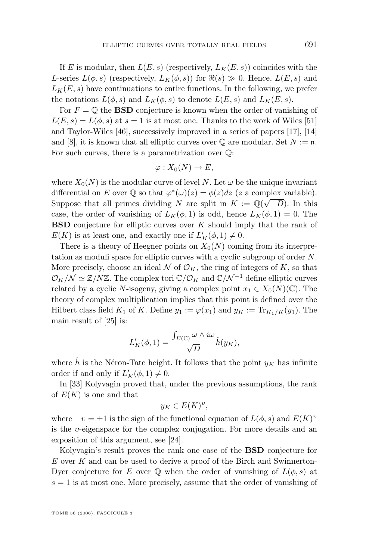If E is modular, then  $L(E, s)$  (respectively,  $L_K(E, s)$ ) coincides with the L-series  $L(\phi, s)$  (respectively,  $L_K(\phi, s)$ ) for  $\Re(s) \gg 0$ . Hence,  $L(E, s)$  and  $L_K(E, s)$  have continuations to entire functions. In the following, we prefer the notations  $L(\phi, s)$  and  $L_K(\phi, s)$  to denote  $L(E, s)$  and  $L_K(E, s)$ .

For  $F = \mathbb{Q}$  the **BSD** conjecture is known when the order of vanishing of  $L(E, s) = L(\phi, s)$  at  $s = 1$  is at most one. Thanks to the work of Wiles [\[51\]](#page-44-0) and Taylor-Wiles [\[46\]](#page-44-0), successively improved in a series of papers [\[17\]](#page-43-0), [\[14\]](#page-43-0) and [\[8\]](#page-43-0), it is known that all elliptic curves over  $\mathbb Q$  are modular. Set  $N := \mathfrak n$ . For such curves, there is a parametrization over Q:

$$
\varphi:X_0(N)\to E,
$$

where  $X_0(N)$  is the modular curve of level N. Let  $\omega$  be the unique invariant differential on E over  $\mathbb Q$  so that  $\varphi^*(\omega)(z) = \phi(z)dz$  (z a complex variable). Suppose that all primes dividing N are split in  $K := \mathbb{Q}(\sqrt{-D})$ . In this case, the order of vanishing of  $L_K(\phi, 1)$  is odd, hence  $L_K(\phi, 1) = 0$ . The **BSD** conjecture for elliptic curves over K should imply that the rank of  $E(K)$  is at least one, and exactly one if  $L'_{K}(\phi, 1) \neq 0$ .

There is a theory of Heegner points on  $X_0(N)$  coming from its interpretation as moduli space for elliptic curves with a cyclic subgroup of order N. More precisely, choose an ideal  $\mathcal N$  of  $\mathcal O_K$ , the ring of integers of K, so that  $\mathcal{O}_K/\mathcal{N} \simeq \mathbb{Z}/N\mathbb{Z}$ . The complex tori  $\mathbb{C}/\mathcal{O}_K$  and  $\mathbb{C}/\mathcal{N}^{-1}$  define elliptic curves related by a cyclic N-isogeny, giving a complex point  $x_1 \in X_0(N)(\mathbb{C})$ . The theory of complex multiplication implies that this point is defined over the Hilbert class field  $K_1$  of K. Define  $y_1 := \varphi(x_1)$  and  $y_K := \text{Tr}_{K_1/K}(y_1)$ . The main result of [\[25\]](#page-43-0) is:

$$
L'_{K}(\phi, 1) = \frac{\int_{E(\mathbb{C})} \omega \wedge \overline{i\omega}}{\sqrt{D}} \hat{h}(y_{K}),
$$

where  $\hat{h}$  is the Néron-Tate height. It follows that the point  $y_K$  has infinite order if and only if  $L'_{K}(\phi, 1) \neq 0$ .

In [\[33\]](#page-44-0) Kolyvagin proved that, under the previous assumptions, the rank of  $E(K)$  is one and that

$$
y_K \in E(K)^{\nu},
$$

where  $-v = \pm 1$  is the sign of the functional equation of  $L(\phi, s)$  and  $E(K)^v$ is the  $v$ -eigenspace for the complex conjugation. For more details and an exposition of this argument, see [\[24\]](#page-43-0).

Kolyvagin's result proves the rank one case of the **BSD** conjecture for  $E$  over  $K$  and can be used to derive a proof of the Birch and Swinnerton-Dyer conjecture for E over  $\mathbb Q$  when the order of vanishing of  $L(\phi, s)$  at  $s = 1$  is at most one. More precisely, assume that the order of vanishing of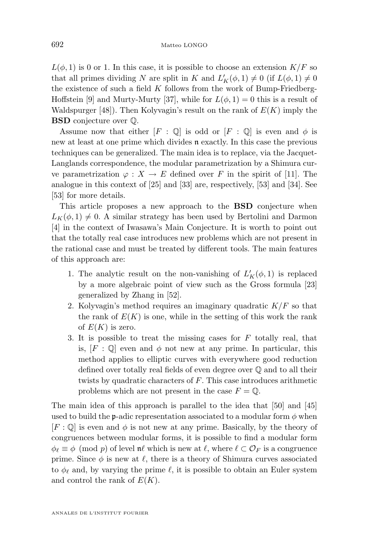$L(\phi, 1)$  is 0 or 1. In this case, it is possible to choose an extension  $K/F$  so that all primes dividing N are split in K and  $L'_{K}(\phi, 1) \neq 0$  (if  $L(\phi, 1) \neq 0$ the existence of such a field  $K$  follows from the work of Bump-Friedberg-Hoffstein [\[9\]](#page-43-0) and Murty-Murty [\[37\]](#page-44-0), while for  $L(\phi, 1) = 0$  this is a result of Waldspurger [\[48\]](#page-44-0)). Then Kolyvagin's result on the rank of  $E(K)$  imply the **BSD** conjecture over Q.

Assume now that either  $[F : \mathbb{Q}]$  is odd or  $[F : \mathbb{Q}]$  is even and  $\phi$  is new at least at one prime which divides n exactly. In this case the previous techniques can be generalized. The main idea is to replace, via the Jacquet-Langlands correspondence, the modular parametrization by a Shimura curve parametrization  $\varphi: X \to E$  defined over F in the spirit of [\[11\]](#page-43-0). The analogue in this context of [\[25\]](#page-43-0) and [\[33\]](#page-44-0) are, respectively, [\[53\]](#page-45-0) and [\[34\]](#page-44-0). See [\[53\]](#page-45-0) for more details.

This article proposes a new approach to the **BSD** conjecture when  $L_K(\phi, 1) \neq 0$ . A similar strategy has been used by Bertolini and Darmon [\[4\]](#page-42-0) in the context of Iwasawa's Main Conjecture. It is worth to point out that the totally real case introduces new problems which are not present in the rational case and must be treated by different tools. The main features of this approach are:

- 1. The analytic result on the non-vanishing of  $L_K'(\phi, 1)$  is replaced by a more algebraic point of view such as the Gross formula [\[23\]](#page-43-0) generalized by Zhang in [\[52\]](#page-45-0).
- 2. Kolyvagin's method requires an imaginary quadratic  $K/F$  so that the rank of  $E(K)$  is one, while in the setting of this work the rank of  $E(K)$  is zero.
- 3. It is possible to treat the missing cases for  $F$  totally real, that is,  $[F : \mathbb{Q}]$  even and  $\phi$  not new at any prime. In particular, this method applies to elliptic curves with everywhere good reduction defined over totally real fields of even degree over Q and to all their twists by quadratic characters of F. This case introduces arithmetic problems which are not present in the case  $F = \mathbb{Q}$ .

The main idea of this approach is parallel to the idea that [\[50\]](#page-44-0) and [\[45\]](#page-44-0) used to build the **p**-adic representation associated to a modular form  $\phi$  when  $[F: \mathbb{Q}]$  is even and  $\phi$  is not new at any prime. Basically, by the theory of congruences between modular forms, it is possible to find a modular form  $\phi_{\ell} \equiv \phi \pmod{p}$  of level  $\mathfrak{n}\ell$  which is new at  $\ell$ , where  $\ell \subset \mathcal{O}_F$  is a congruence prime. Since  $\phi$  is new at  $\ell$ , there is a theory of Shimura curves associated to  $\phi_{\ell}$  and, by varying the prime  $\ell$ , it is possible to obtain an Euler system and control the rank of  $E(K)$ .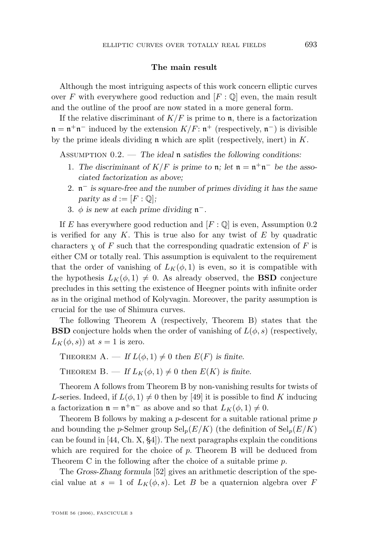#### **The main result**

<span id="page-5-0"></span>Although the most intriguing aspects of this work concern elliptic curves over  $F$  with everywhere good reduction and  $[F: \mathbb{Q}]$  even, the main result and the outline of the proof are now stated in a more general form.

If the relative discriminant of  $K/F$  is prime to n, there is a factorization  $\mathfrak{n} = \mathfrak{n}^+\mathfrak{n}^-$  induced by the extension  $K/F: \mathfrak{n}^+$  (respectively,  $\mathfrak{n}^-$ ) is divisible by the prime ideals dividing  $\mathfrak n$  which are split (respectively, inert) in  $K$ .

Assumption 0.2. — *The ideal* n *satisfies the following conditions:*

- 1. The discriminant of  $K/F$  is prime to  $\mathfrak{n}$ ; let  $\mathfrak{n} = \mathfrak{n}^+\mathfrak{n}^-$  be the asso*ciated factorization as above;*
- 2. n <sup>−</sup> *is square-free and the number of primes dividing it has the same parity as*  $d := [F : \mathbb{Q}]$ ;
- 3.  $\phi$  is new at each prime dividing  $\mathfrak{n}^-$ .

If E has everywhere good reduction and  $[F: \mathbb{Q}]$  is even, Assumption 0.2 is verified for any  $K$ . This is true also for any twist of  $E$  by quadratic characters  $\chi$  of F such that the corresponding quadratic extension of F is either CM or totally real. This assumption is equivalent to the requirement that the order of vanishing of  $L_K(\phi, 1)$  is even, so it is compatible with the hypothesis  $L_K(\phi, 1) \neq 0$ . As already observed, the **BSD** conjecture precludes in this setting the existence of Heegner points with infinite order as in the original method of Kolyvagin. Moreover, the parity assumption is crucial for the use of Shimura curves.

The following Theorem A (respectively, Theorem B) states that the **BSD** conjecture holds when the order of vanishing of  $L(\phi, s)$  (respectively,  $L_K(\phi, s)$  at  $s = 1$  is zero.

THEOREM A. — If  $L(\phi, 1) \neq 0$  then  $E(F)$  is finite.

THEOREM B. — If  $L_K(\phi, 1) \neq 0$  then  $E(K)$  is finite.

Theorem A follows from Theorem B by non-vanishing results for twists of L-series. Indeed, if  $L(\phi, 1) \neq 0$  then by [\[49\]](#page-44-0) it is possible to find K inducing a factorization  $\mathfrak{n} = \mathfrak{n}^+\mathfrak{n}^-$  as above and so that  $L_K(\phi, 1) \neq 0$ .

Theorem B follows by making a p-descent for a suitable rational prime p and bounding the p-Selmer group  $\text{Sel}_p(E/K)$  (the definition of  $\text{Sel}_p(E/K)$ ) can be found in  $[44, Ch, X, §4]$  $[44, Ch, X, §4]$ . The next paragraphs explain the conditions which are required for the choice of  $p$ . Theorem B will be deduced from Theorem C in the following after the choice of a suitable prime p.

The *Gross-Zhang formula* [\[52\]](#page-45-0) gives an arithmetic description of the special value at  $s = 1$  of  $L_K(\phi, s)$ . Let B be a quaternion algebra over F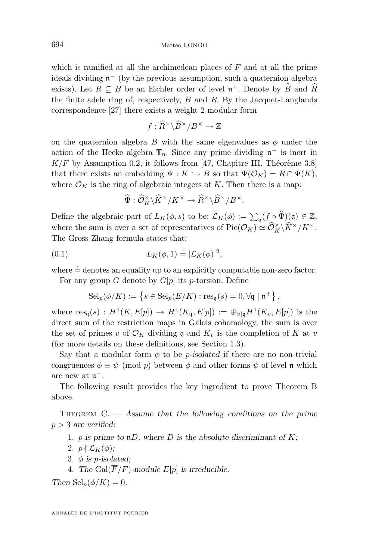<span id="page-6-0"></span>which is ramified at all the archimedean places of  $F$  and at all the prime ideals dividing  $\mathfrak{n}^-$  (by the previous assumption, such a quaternion algebra exists). Let  $R \subseteq B$  be an Eichler order of level  $\mathfrak{n}^+$ . Denote by  $B$  and  $R$ the finite adele ring of, respectively,  $B$  and  $R$ . By the Jacquet-Langlands correspondence [\[27\]](#page-43-0) there exists a weight 2 modular form

$$
f: \widehat{R}^{\times} \backslash \widehat{B}^{\times} / B^{\times} \to \mathbb{Z}
$$

on the quaternion algebra B with the same eigenvalues as  $\phi$  under the action of the Hecke algebra  $\mathbb{T}_n$ . Since any prime dividing  $n^-$  is inert in  $K/F$  by Assumption [0.2,](#page-5-0) it follows from [\[47,](#page-44-0) Chapitre III, Théorème 3.8] that there exists an embedding  $\Psi : K \hookrightarrow B$  so that  $\Psi(\mathcal{O}_K) = R \cap \Psi(K)$ , where  $\mathcal{O}_K$  is the ring of algebraic integers of K. Then there is a map:

$$
\widehat{\Psi}: \widehat{\mathcal{O}}_K^{\times} \backslash \widehat{K}^{\times}/K^{\times} \to \widehat{R}^{\times} \backslash \widehat{B}^{\times}/B^{\times}.
$$

Define the algebraic part of  $L_K(\phi, s)$  to be:  $\mathcal{L}_K(\phi) := \sum_{\mathfrak{a}} (f \circ \widehat{\Psi})(\mathfrak{a}) \in \mathbb{Z}$ , where the sum is over a set of representatives of  $Pic(\mathcal{O}_K) \simeq \widehat{\mathcal{O}}_K^{\times}/\widehat{K}^{\times}/K^{\times}$ . The Gross-Zhang formula states that:

(0.1) 
$$
L_K(\phi, 1) = |\mathcal{L}_K(\phi)|^2,
$$

 $where = denotes an equality up to an explicitly computable non-zero factor.$ 

For any group G denote by  $G[p]$  its p-torsion. Define

$$
\mathrm{Sel}_p(\phi/K) := \left\{ s \in \mathrm{Sel}_p(E/K) : \mathrm{res}_{\mathfrak{q}}(s) = 0, \forall \mathfrak{q} \mid \mathfrak{n}^+ \right\},
$$

where  $res_{\mathfrak{q}}(s) : H^1(K, E[p]) \to H^1(K_{\mathfrak{q}}, E[p]) := \bigoplus_{v \mid \mathfrak{q}} H^1(K_v, E[p])$  is the direct sum of the restriction maps in Galois cohomology, the sum is over the set of primes v of  $\mathcal{O}_K$  dividing q and  $K_v$  is the completion of K at v (for more details on these definitions, see Section [1.3\)](#page-14-0).

Say that a modular form  $\phi$  to be *p*-isolated if there are no non-trivial congruences  $\phi \equiv \psi \pmod{p}$  between  $\phi$  and other forms  $\psi$  of level n which are new at  $\mathfrak{n}^-$ .

The following result provides the key ingredient to prove Theorem B above.

THEOREM C. — Assume that the following conditions on the prime p > 3 *are verified:*

1. p *is prime to* nD*, where* D *is the absolute discriminant of* K*;*

2.  $p \nmid \mathcal{L}_K(\phi);$ 

- 3. φ *is* p*-isolated;*
- 4. The Gal $(\overline{F}/F)$ -module  $E[p]$  is irreducible.

*Then*  $\operatorname{Sel}_p(\phi/K) = 0$ *.*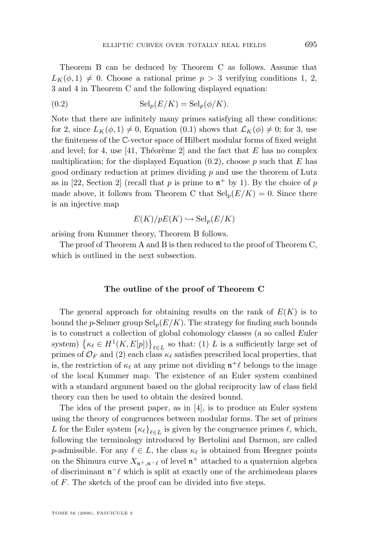Theorem B can be deduced by Theorem C as follows. Assume that  $L_K(\phi, 1) \neq 0$ . Choose a rational prime  $p > 3$  verifying conditions 1, 2, 3 and 4 in Theorem C and the following displayed equation:

(0.2) 
$$
\mathrm{Sel}_p(E/K) = \mathrm{Sel}_p(\phi/K).
$$

Note that there are infinitely many primes satisfying all these conditions: for 2, since  $L_K(\phi, 1) \neq 0$ , Equation [\(0.1\)](#page-6-0) shows that  $\mathcal{L}_K(\phi) \neq 0$ ; for 3, use the finiteness of the C-vector space of Hilbert modular forms of fixed weight and level; for 4, use [\[41,](#page-44-0) Théorème 2] and the fact that  $E$  has no complex multiplication; for the displayed Equation  $(0.2)$ , choose p such that E has good ordinary reduction at primes dividing  $p$  and use the theorem of Lutz as in [\[22,](#page-43-0) Section 2] (recall that p is prime to  $\mathfrak{n}^+$  by 1). By the choice of p made above, it follows from Theorem C that  $\text{Sel}_p(E/K) = 0$ . Since there is an injective map

$$
E(K)/pE(K) \hookrightarrow \mathrm{Sel}_p(E/K)
$$

arising from Kummer theory, Theorem B follows.

The proof of Theorem A and B is then reduced to the proof of Theorem C, which is outlined in the next subsection.

#### **The outline of the proof of Theorem C**

The general approach for obtaining results on the rank of  $E(K)$  is to bound the p-Selmer group  $\text{Sel}_n(E/K)$ . The strategy for finding such bounds is to construct a collection of global cohomology classes (a so called *Euler system*)  $\{\kappa_{\ell} \in H^1(K, E[p])\}_{\ell \in L}$  so that: (1) L is a sufficiently large set of primes of  $\mathcal{O}_F$  and (2) each class  $\kappa_\ell$  satisfies prescribed local properties, that is, the restriction of  $\kappa_{\ell}$  at any prime not dividing  $\mathfrak{n}^+ \ell$  belongs to the image of the local Kummer map. The existence of an Euler system combined with a standard argument based on the global reciprocity law of class field theory can then be used to obtain the desired bound.

The idea of the present paper, as in [\[4\]](#page-42-0), is to produce an Euler system using the theory of congruences between modular forms. The set of primes L for the Euler system  $\{\kappa_{\ell}\}_{\ell \in L}$  is given by the congruence primes  $\ell$ , which, following the terminology introduced by Bertolini and Darmon, are called p-admissible. For any  $\ell \in L$ , the class  $\kappa_{\ell}$  is obtained from Heegner points on the Shimura curve  $X_{\mathfrak{n}^+,\mathfrak{n}^- \ell}$  of level  $\mathfrak{n}^+$  attached to a quaternion algebra of discriminant  $\mathfrak{n}^- \ell$  which is split at exactly one of the archimedean places of F. The sketch of the proof can be divided into five steps.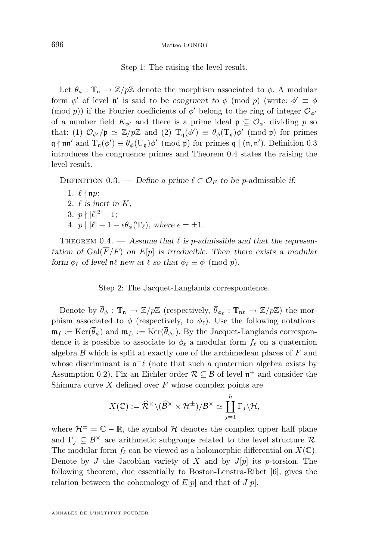Step 1: The raising the level result.

<span id="page-8-0"></span>Let  $\theta_{\phi} : \mathbb{T}_n \to \mathbb{Z}/p\mathbb{Z}$  denote the morphism associated to  $\phi$ . A modular form  $\phi'$  of level  $\mathfrak{n}'$  is said to be *congruent to*  $\phi$  (mod p) (write:  $\phi' \equiv \phi$ (mod *p*)) if the Fourier coefficients of  $\phi'$  belong to the ring of integer  $\mathcal{O}_{\phi'}$ of a number field  $K_{\phi'}$  and there is a prime ideal  $\mathfrak{p} \subseteq \mathcal{O}_{\phi'}$  dividing p so that: (1)  $\mathcal{O}_{\phi'}/\mathfrak{p} \simeq \mathbb{Z}/p\mathbb{Z}$  and (2)  $T_{\mathfrak{q}}(\phi') \equiv \theta_{\phi}(T_{\mathfrak{q}})\phi' \pmod{\mathfrak{p}}$  for primes  $\mathfrak{q} \nmid \mathfrak{nn}'$  and  $T_{\mathfrak{q}}(\phi') \equiv \theta_{\phi}(U_{\mathfrak{q}})\phi' \pmod{\mathfrak{p}}$  for primes  $\mathfrak{q} \mid (\mathfrak{n}, \mathfrak{n}')$ . Definition 0.3 introduces the congruence primes and Theorem 0.4 states the raising the level result.

DEFINITION 0.3. — *Define a prime*  $\ell \subset \mathcal{O}_F$  *to be p*-admissible *if:* 

1.  $\ell$   $\nmid$  np; 2.  $\ell$  is inert in K; 3.  $p \nmid |\ell|^2 - 1;$ 4. *p*  $|\ell| + 1 - \epsilon \theta_{\phi}(T_{\ell})$ , where  $\epsilon = \pm 1$ .

THEOREM  $0.4.$  — Assume that  $\ell$  is p-admissible and that the represen*tation of*  $Gal(\overline{F}/F)$  *on*  $E[p]$  *is irreducible. Then there exists a modular form*  $\phi_{\ell}$  *of level*  $\mathfrak{n}\ell$  *new at*  $\ell$  *so that*  $\phi_{\ell} \equiv \phi \pmod{p}$ *.* 

Step 2: The Jacquet-Langlands correspondence.

Denote by  $\bar{\theta}_{\phi} : \mathbb{T}_{\mathfrak{n}} \to \mathbb{Z}/p\mathbb{Z}$  (respectively,  $\bar{\theta}_{\phi_{\ell}} : \mathbb{T}_{\mathfrak{n}\ell} \to \mathbb{Z}/p\mathbb{Z}$ ) the morphism associated to  $\phi$  (respectively, to  $\phi_{\ell}$ ). Use the following notations:  $\mathfrak{m}_f := \text{Ker}(\theta_\phi)$  and  $\mathfrak{m}_{f_\ell} := \text{Ker}(\theta_{\phi_\ell})$ . By the Jacquet-Langlands correspondence it is possible to associate to  $\phi_{\ell}$  a modular form  $f_{\ell}$  on a quaternion algebra  $\beta$  which is split at exactly one of the archimedean places of  $F$  and whose discriminant is  $\mathfrak{n}^{-}\ell$  (note that such a quaternion algebra exists by Assumption [0.2\)](#page-5-0). Fix an Eichler order  $\mathcal{R} \subseteq \mathcal{B}$  of level  $\mathfrak{n}^+$  and consider the Shimura curve  $X$  defined over  $F$  whose complex points are

$$
X(\mathbb{C}):=\widehat{{\mathcal R}}^\times\backslash(\widehat{{\mathcal B}}^\times\times{\mathcal H}^\pm)/{\mathcal B}^\times\simeq\coprod_{j=1}^h\Gamma_j\backslash{\mathcal H},
$$

where  $\mathcal{H}^{\pm} = \mathbb{C} - \mathbb{R}$ , the symbol  $\mathcal{H}$  denotes the complex upper half plane and  $\Gamma_i \subseteq \mathcal{B}^{\times}$  are arithmetic subgroups related to the level structure  $\mathcal{R}$ . The modular form  $f_\ell$  can be viewed as a holomorphic differential on  $X(\mathbb{C})$ . Denote by J the Jacobian variety of X and by  $J[p]$  its p-torsion. The following theorem, due essentially to Boston-Lenstra-Ribet [\[6\]](#page-42-0), gives the relation between the cohomology of  $E[p]$  and that of  $J[p]$ .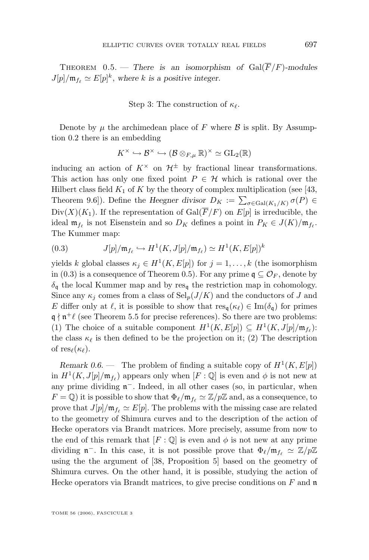THEOREM  $0.5.$  — *There is an isomorphism of*  $Gal(\overline{F}/F)$ *-modules*  $J[p]/\mathfrak{m}_{f_{\ell}} \simeq E[p]^k$ , where k is a positive integer.

Step 3: The construction of  $\kappa_{\ell}$ .

Denote by  $\mu$  the archimedean place of F where  $\beta$  is split. By Assumption [0.2](#page-5-0) there is an embedding

$$
K^\times \hookrightarrow \mathcal{B}^\times \hookrightarrow (\mathcal{B} \otimes_{F,\mu} \mathbb{R})^\times \simeq \mathrm{GL}_2(\mathbb{R})
$$

inducing an action of  $K^{\times}$  on  $\mathcal{H}^{\pm}$  by fractional linear transformations. This action has only one fixed point  $P \in \mathcal{H}$  which is rational over the Hilbert class field  $K_1$  of K by the theory of complex multiplication (see [\[43,](#page-44-0) Theorem 9.6]). Define the *Heegner divisor*  $D_K := \sum_{\sigma \in \text{Gal}(K_1/K)} \sigma(P)$  $Div(X)(K_1)$ . If the representation of  $Gal(\overline{F}/F)$  on  $E[p]$  is irreducible, the ideal  $\mathfrak{m}_{f_\ell}$  is not Eisenstein and so  $D_K$  defines a point in  $P_K \in J(K)/\mathfrak{m}_{f_\ell}$ . The Kummer map:

(0.3) 
$$
J[p]/\mathfrak{m}_{f_{\ell}} \hookrightarrow H^1(K, J[p]/\mathfrak{m}_{f_{\ell}}) \simeq H^1(K, E[p])^k
$$

yields k global classes  $\kappa_j \in H^1(K, E[p])$  for  $j = 1, ..., k$  (the isomorphism in (0.3) is a consequence of Theorem [0.5\)](#page-8-0). For any prime  $\mathfrak{q} \subseteq \mathcal{O}_F$ , denote by  $\delta_{\mathfrak{q}}$  the local Kummer map and by res<sub>q</sub> the restriction map in cohomology. Since any  $\kappa_i$  comes from a class of  $\text{Sel}_p(J/K)$  and the conductors of J and E differ only at  $\ell$ , it is possible to show that  $res_{\mathfrak{a}}(\kappa_{\ell}) \in \text{Im}(\delta_{\mathfrak{a}})$  for primes  $\mathfrak{q} \nmid \mathfrak{n}^+\ell$  (see Theorem [5.5](#page-42-0) for precise references). So there are two problems: (1) The choice of a suitable component  $H^1(K, E[p]) \subseteq H^1(K, J[p]/\mathfrak{m}_{f_{\ell}})$ : the class  $\kappa_{\ell}$  is then defined to be the projection on it; (2) The description of  $res_{\ell}(\kappa_{\ell}).$ 

*Remark 0.6.* – The problem of finding a suitable copy of  $H^1(K, E[p])$ in  $H^1(K, J[p]/\mathfrak{m}_{f_{\ell}})$  appears only when  $[F : \mathbb{Q}]$  is even and  $\phi$  is not new at any prime dividing  $n^-$ . Indeed, in all other cases (so, in particular, when  $F = \mathbb{Q}$ ) it is possible to show that  $\Phi_{\ell}/\mathfrak{m}_{f_{\ell}} \simeq \mathbb{Z}/p\mathbb{Z}$  and, as a consequence, to prove that  $J[p]/\mathfrak{m}_{f_{\ell}} \simeq E[p]$ . The problems with the missing case are related to the geometry of Shimura curves and to the description of the action of Hecke operators via Brandt matrices. More precisely, assume from now to the end of this remark that  $[F: \mathbb{Q}]$  is even and  $\phi$  is not new at any prime dividing  $\mathfrak{n}^-$ . In this case, it is not possible prove that  $\Phi_{\ell}/\mathfrak{m}_{f_{\ell}} \simeq \mathbb{Z}/p\mathbb{Z}$ using the the argument of [\[38,](#page-44-0) Proposition 5] based on the geometry of Shimura curves. On the other hand, it is possible, studying the action of Hecke operators via Brandt matrices, to give precise conditions on  $F$  and  $\mathfrak n$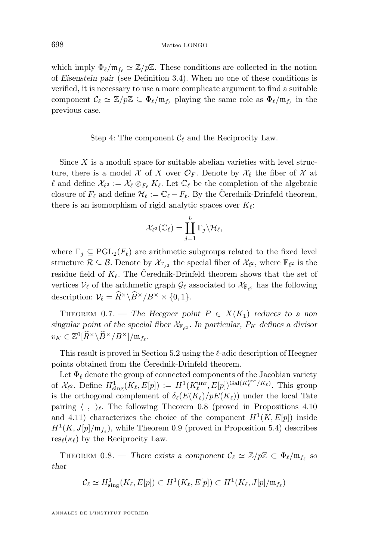698 Matteo LONGO

which imply  $\Phi_{\ell}/\mathfrak{m}_{f_{\ell}} \simeq \mathbb{Z}/p\mathbb{Z}$ . These conditions are collected in the notion of *Eisenstein pair* (see Definition [3.4\)](#page-23-0). When no one of these conditions is verified, it is necessary to use a more complicate argument to find a suitable component  $C_{\ell} \simeq \mathbb{Z}/p\mathbb{Z} \subseteq \Phi_{\ell}/\mathfrak{m}_{f_{\ell}}$  playing the same role as  $\Phi_{\ell}/\mathfrak{m}_{f_{\ell}}$  in the previous case.

#### Step 4: The component  $\mathcal{C}_{\ell}$  and the Reciprocity Law.

Since  $X$  is a moduli space for suitable abelian varieties with level structure, there is a model X of X over  $\mathcal{O}_F$ . Denote by  $\mathcal{X}_\ell$  the fiber of X at  $\ell$  and define  $\mathcal{X}_{\ell^2} := \mathcal{X}_{\ell} \otimes_{F_{\ell}} K_{\ell}$ . Let  $\mathbb{C}_{\ell}$  be the completion of the algebraic closure of  $F_\ell$  and define  $\mathcal{H}_\ell := \mathbb{C}_\ell - F_\ell$ . By the Čerednik-Drinfeld theorem, there is an isomorphism of rigid analytic spaces over  $K_{\ell}$ :

$$
\mathcal{X}_{\ell^2}(\mathbb{C}_{\ell})=\coprod_{j=1}^h\Gamma_j\backslash \mathcal{H}_{\ell},
$$

where  $\Gamma_j \subseteq \text{PGL}_2(F_\ell)$  are arithmetic subgroups related to the fixed level structure  $\mathcal{R} \subseteq \mathcal{B}$ . Denote by  $\mathcal{X}_{\mathbb{F}_{\ell^2}}$  the special fiber of  $\mathcal{X}_{\ell^2}$ , where  $\mathbb{F}_{\ell^2}$  is the residue field of  $K_\ell$ . The Čerednik-Drinfeld theorem shows that the set of vertices  $V_{\ell}$  of the arithmetic graph  $\mathcal{G}_{\ell}$  associated to  $\mathcal{X}_{\mathbb{F}_{q^2}}$  has the following description:  $V_{\ell} = \widehat{R}^{\times} \backslash \widehat{B}^{\times}/B^{\times} \times \{0, 1\}.$ 

THEOREM 0.7. — The Heegner point  $P \in X(K_1)$  reduces to a non *singular point of the special fiber*  $\mathcal{X}_{\mathbb{F}_{\ell^2}}$ . In particular,  $P_K$  defines a divisor  $v_K \in \mathbb{Z}^0[\widehat{R}^\times \backslash \widehat{B}^\times/B^\times]/\mathfrak{m}_{f_\ell}$ .

This result is proved in Section [5.2](#page-38-0) using the  $\ell$ -adic description of Heegner points obtained from the Čerednik-Drinfeld theorem.

Let  $\Phi_{\ell}$  denote the group of connected components of the Jacobian variety of  $\mathcal{X}_{\ell^2}$ . Define  $H^1_{\text{sing}}(K_{\ell}, E[p]) := H^1(K_{\ell}^{\text{unr}}, E[p])^{\text{Gal}(K_{\ell}^{\text{unr}}/K_{\ell})}$ . This group is the orthogonal complement of  $\delta_{\ell}(E(K_{\ell})/pE(K_{\ell}))$  under the local Tate pairing  $\langle , \rangle_{\ell}$ . The following Theorem 0.8 (proved in Propositions [4.10](#page-34-0) and [4.11\)](#page-35-0) characterizes the choice of the component  $H^1(K, E[p])$  inside  $H^1(K, J[p]/\mathfrak{m}_{f_{\ell}})$ , while Theorem [0.9](#page-11-0) (proved in Proposition [5.4\)](#page-41-0) describes  $res_{\ell}(\kappa_{\ell})$  by the Reciprocity Law.

THEOREM 0.8. — *There exists a component*  $C_{\ell} \simeq \mathbb{Z}/p\mathbb{Z} \subset \Phi_{\ell}/\mathfrak{m}_{f_{\ell}}$  so *that*

$$
\mathcal{C}_{\ell} \simeq H^1_{\text{sing}}(K_{\ell}, E[p]) \subset H^1(K_{\ell}, E[p]) \subset H^1(K_{\ell}, J[p]/\mathfrak{m}_{f_{\ell}})
$$

ANNALES DE L'INSTITUT FOURIER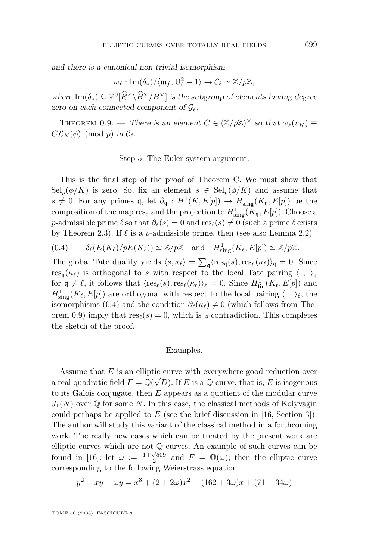<span id="page-11-0"></span>*and there is a canonical non-trivial isomorphism*

$$
\overline{\omega}_{\ell} : \mathrm{Im}(\delta_*) / \langle \mathfrak{m}_f, U_{\ell}^2 - 1 \rangle \to \mathcal{C}_{\ell} \simeq \mathbb{Z}/p\mathbb{Z},
$$

where  $\text{Im}(\delta_*) \subseteq \mathbb{Z}^0[\widehat{R}^\times \backslash \widehat{B}^\times / B^\times]$  *is the subgroup of elements having degree zero on each connected component of*  $\mathcal{G}_{\ell}$ .

THEOREM 0.9. — *There is an element*  $C \in (\mathbb{Z}/p\mathbb{Z})^{\times}$  *so that*  $\overline{\omega}_{\ell}(v_K) \equiv$  $C\mathcal{L}_K(\phi)$  (mod p) in  $\mathcal{C}_\ell$ .

#### Step 5: The Euler system argument.

This is the final step of the proof of Theorem C. We must show that  $\text{Sel}_p(\phi/K)$  is zero. So, fix an element  $s \in \text{Sel}_p(\phi/K)$  and assume that  $s \neq 0$ . For any primes q, let  $\partial_q : H^1(K, E[p]) \to H^1_{sing}(K_q, E[p])$  be the composition of the map  $res_q$  and the projection to  $H^1_{sing}(K_q, E[p])$ . Choose a p-admissible prime  $\ell$  so that  $\partial_{\ell}(s) = 0$  and res $_{\ell}(s) \neq 0$  (such a prime  $\ell$  exists by Theorem [2.3\)](#page-18-0). If  $\ell$  is a p-admissible prime, then (see also Lemma [2.2\)](#page-18-0)

(0.4) 
$$
\delta_{\ell}(E(K_{\ell})/pE(K_{\ell})) \simeq \mathbb{Z}/p\mathbb{Z} \text{ and } H^1_{sing}(K_{\ell}, E[p]) \simeq \mathbb{Z}/p\mathbb{Z}.
$$

The global Tate duality yields  $\langle s, \kappa_{\ell} \rangle = \sum_{\mathfrak{q}} \langle \text{res}_{\mathfrak{q}}(s), \text{res}_{\mathfrak{q}}(\kappa_{\ell}) \rangle_{\mathfrak{q}} = 0$ . Since  $res_{\mathfrak{a}}(\kappa_{\ell})$  is orthogonal to s with respect to the local Tate pairing  $\langle , \rangle_{\mathfrak{a}}$ for  $\mathfrak{q} \neq \ell$ , it follows that  $\langle \text{res}_{\ell}(s), \text{res}_{\ell}(\kappa_{\ell}) \rangle_{\ell} = 0$ . Since  $H^1_{\text{fin}}(K_{\ell}, E[p])$  and  $H^1_{\text{sing}}(K_\ell, E[p])$  are orthogonal with respect to the local pairing  $\langle , \rangle_\ell$ , the isomorphisms (0.4) and the condition  $\partial_{\ell}(\kappa_{\ell}) \neq 0$  (which follows from Theorem 0.9) imply that  $res_{\ell}(s) = 0$ , which is a contradiction. This completes the sketch of the proof.

#### Examples.

Assume that E is an elliptic curve with everywhere good reduction over a real quadratic field  $F = \mathbb{Q}(\sqrt{D})$ . If E is a Q-curve, that is, E is isogenous to its Galois conjugate, then  $E$  appears as a quotient of the modular curve  $J_1(N)$  over Q for some N. In this case, the classical methods of Kolyvagin could perhaps be applied to  $E$  (see the brief discussion in [\[16,](#page-43-0) Section 3]). The author will study this variant of the classical method in a forthcoming work. The really new cases which can be treated by the present work are elliptic curves which are not Q-curves. An example of such curves can be found in [\[16\]](#page-43-0): let  $\omega := \frac{1+\sqrt{509}}{2}$  and  $F = \mathbb{Q}(\omega)$ ; then the elliptic curve corresponding to the following Weierstrass equation

$$
y^{2} - xy - \omega y = x^{3} + (2 + 2\omega)x^{2} + (162 + 3\omega)x + (71 + 34\omega)
$$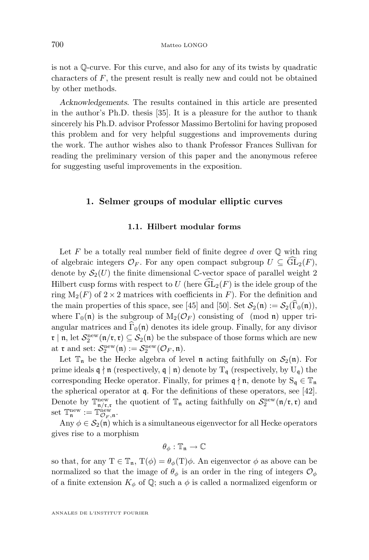<span id="page-12-0"></span>is not a Q-curve. For this curve, and also for any of its twists by quadratic characters of  $F$ , the present result is really new and could not be obtained by other methods.

*Acknowledgements*. The results contained in this article are presented in the author's Ph.D. thesis [\[35\]](#page-44-0). It is a pleasure for the author to thank sincerely his Ph.D. advisor Professor Massimo Bertolini for having proposed this problem and for very helpful suggestions and improvements during the work. The author wishes also to thank Professor Frances Sullivan for reading the preliminary version of this paper and the anonymous referee for suggesting useful improvements in the exposition.

#### **1. Selmer groups of modular elliptic curves**

#### **1.1. Hilbert modular forms**

Let  $F$  be a totally real number field of finite degree  $d$  over  $\mathbb Q$  with ring of algebraic integers  $\mathcal{O}_F$ . For any open compact subgroup  $U \subseteq \widetilde{\mathrm{GL}}_2(F)$ , denote by  $S_2(U)$  the finite dimensional C-vector space of parallel weight 2 Hilbert cusp forms with respect to U (here  $\widehat{\mathrm{GL}}_2(F)$  is the idele group of the ring  $M_2(F)$  of  $2 \times 2$  matrices with coefficients in F). For the definition and the main properties of this space, see [\[45\]](#page-44-0) and [\[50\]](#page-44-0). Set  $\mathcal{S}_2(\mathfrak{n}) := \mathcal{S}_2(\widehat{\Gamma}_0(\mathfrak{n})),$ where  $\Gamma_0(\mathfrak{n})$  is the subgroup of  $M_2(\mathcal{O}_F)$  consisting of (mod n) upper triangular matrices and  $\widehat{\Gamma}_0(n)$  denotes its idele group. Finally, for any divisor  $\mathfrak{r} \mid \mathfrak{n},$  let  $\mathcal{S}_2^{\text{new}}(\mathfrak{n}/\mathfrak{r},\mathfrak{r}) \subseteq \mathcal{S}_2(\mathfrak{n})$  be the subspace of those forms which are new at **r** and set:  $S_2^{\text{new}}(\mathfrak{n}) := S_2^{\text{new}}(\mathcal{O}_F, \mathfrak{n}).$ 

Let  $\mathbb{T}_n$  be the Hecke algebra of level n acting faithfully on  $\mathcal{S}_2(\mathfrak{n})$ . For prime ideals  $\mathfrak{q} \nmid \mathfrak{n}$  (respectively,  $\mathfrak{q} \mid \mathfrak{n}$ ) denote by  $T_{\mathfrak{q}}$  (respectively, by  $U_{\mathfrak{q}}$ ) the corresponding Hecke operator. Finally, for primes  $\mathfrak{q} \nmid \mathfrak{n}$ , denote by  $S_{\mathfrak{q}} \in \mathbb{T}_{\mathfrak{n}}$ the spherical operator at q. For the definitions of these operators, see [\[42\]](#page-44-0). Denote by  $\mathbb{T}_{n/\mathfrak{r},\mathfrak{r}}^{\text{new}}$  the quotient of  $\mathbb{T}_n$  acting faithfully on  $\mathcal{S}_2^{\text{new}}(n/\mathfrak{r},\mathfrak{r})$  and set  $\mathbb{T}_{\mathfrak{n}}^{\text{new}} := \mathbb{T}_{\mathcal{O}_F,\mathfrak{n}}^{\text{new}}.$ 

Any  $\phi \in \mathcal{S}_2(\mathfrak{n})$  which is a simultaneous eigenvector for all Hecke operators gives rise to a morphism

$$
\theta_{\phi}:\mathbb{T}_{\mathfrak{n}}\to\mathbb{C}
$$

so that, for any  $T \in \mathbb{T}_n$ ,  $T(\phi) = \theta_{\phi}(T)\phi$ . An eigenvector  $\phi$  as above can be normalized so that the image of  $\theta_{\phi}$  is an order in the ring of integers  $\mathcal{O}_{\phi}$ of a finite extension  $K_{\phi}$  of Q; such a  $\phi$  is called a normalized eigenform or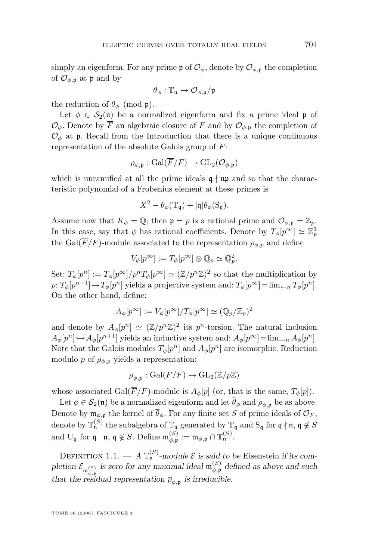simply an eigenform. For any prime  $\mathfrak{p}$  of  $\mathcal{O}_{\phi}$ , denote by  $\mathcal{O}_{\phi,\mathfrak{p}}$  the completion of  $\mathcal{O}_{\phi,\mathfrak{p}}$  at p and by

$$
\overline{\theta}_\phi:\mathbb{T}_{\mathfrak{n}}\to \mathcal{O}_{\phi,\mathfrak{p}}/\mathfrak{p}
$$

the reduction of  $\theta_{\phi}$  (mod p).

Let  $\phi \in \mathcal{S}_2(\mathfrak{n})$  be a normalized eigenform and fix a prime ideal p of  $\mathcal{O}_{\phi}$ . Denote by  $\overline{F}$  an algebraic closure of F and by  $\mathcal{O}_{\phi,\mathfrak{p}}$  the completion of  $\mathcal{O}_{\phi}$  at p. Recall from the Introduction that there is a unique continuous representation of the absolute Galois group of F:

$$
\rho_{\phi,\mathfrak{p}} : \text{Gal}(F/F) \to \text{GL}_2(\mathcal{O}_{\phi,\mathfrak{p}})
$$

which is unramified at all the prime ideals  $\mathfrak{q} \nmid \mathfrak{np}$  and so that the characteristic polynomial of a Frobenius element at these primes is

$$
X^2 - \theta_{\phi}(\mathbf{T}_{\mathfrak{q}}) + |\mathfrak{q}|\theta_{\phi}(\mathbf{S}_{\mathfrak{q}}).
$$

Assume now that  $K_{\phi} = \mathbb{Q}$ ; then  $\mathfrak{p} = p$  is a rational prime and  $\mathcal{O}_{\phi,\mathfrak{p}} = \mathbb{Z}_p$ . In this case, say that  $\phi$  has rational coefficients. Denote by  $T_{\phi}[p^{\infty}] \simeq \mathbb{Z}_p^2$ the Gal( $\overline{F}/F$ )-module associated to the representation  $\rho_{\phi,p}$  and define

$$
V_{\phi}[p^{\infty}] := T_{\phi}[p^{\infty}] \otimes \mathbb{Q}_p \simeq \mathbb{Q}_p^2.
$$

Set:  $T_{\phi}[p^n] := T_{\phi}[p^{\infty}]/p^n T_{\phi}[p^{\infty}] \simeq (\mathbb{Z}/p^n \mathbb{Z})^2$  so that the multiplication by  $p: T_{\phi}[p^{n+1}] \to T_{\phi}[p^n]$  yields a projective system and:  $T_{\phi}[p^{\infty}] = \lim_{\leftarrow n} T_{\phi}[p^n]$ . On the other hand, define:

$$
A_{\phi}[p^{\infty}] := V_{\phi}[p^{\infty}]/T_{\phi}[p^{\infty}] \simeq (\mathbb{Q}_p/\mathbb{Z}_p)^2
$$

and denote by  $A_{\phi}[p^n] \simeq (\mathbb{Z}/p^n \mathbb{Z})^2$  its  $p^n$ -torsion. The natural inclusion  $A_{\phi}[p^n] \hookrightarrow A_{\phi}[p^{n+1}]$  yields an inductive system and:  $A_{\phi}[p^{\infty}] = \lim_{n \to \infty} A_{\phi}[p^n]$ . Note that the Galois modules  $T_{\phi}[p^n]$  and  $A_{\phi}[p^n]$  are isomorphic. Reduction modulo p of  $\rho_{\phi,p}$  yields a representation:

$$
\overline{\rho}_{\phi,p}: \text{Gal}(\overline{F}/F) \to \text{GL}_2(\mathbb{Z}/p\mathbb{Z})
$$

whose associated Gal( $\overline{F}/F$ )-module is  $A_{\phi}[p]$  (or, that is the same,  $T_{\phi}[p]$ ).

Let  $\phi \in \mathcal{S}_2(\mathfrak{n})$  be a normalized eigenform and let  $\overline{\theta}_{\phi}$  and  $\overline{\rho}_{\phi,\mathfrak{n}}$  be as above. Denote by  $\mathfrak{m}_{\phi,\mathfrak{p}}$  the kernel of  $\overline{\theta}_{\phi}$ . For any finite set S of prime ideals of  $\mathcal{O}_F$ , denote by  $\mathbb{T}_n^{(S)}$  the subalgebra of  $\mathbb{T}_n$  generated by  $T_q$  and  $S_q$  for  $\mathfrak{q} \nmid \mathfrak{n}, \mathfrak{q} \not\in S$ and  $U_q$  for  $\mathfrak{q} \mid \mathfrak{n}$ ,  $\mathfrak{q} \notin S$ . Define  $\mathfrak{m}_{\phi,\mathfrak{p}}^{(S)}$  $\mathfrak{g}_{\phi,\mathfrak{p}}^{(S)}:=\mathfrak{m}_{\phi,\mathfrak{p}}\cap\mathbb{T}_{\mathfrak{n}}^{(S)}.$ 

DEFINITION 1.1.  $- A \mathbb{T}_n^{(S)}$ -module  $\mathcal E$  is said to be Eisenstein *if its com*pletion  $\mathcal{E}_{\mathfrak{m}_{\phi,\mathfrak{p}}^{(S)}}$  is zero for any maximal ideal  $\mathfrak{m}_{\phi,\mathfrak{p}}^{(S)}$ that the residual representation  $\overline{\rho}_{\phi,\mathfrak{p}}$  is irreducible.  $\phi_{\phi,\mathfrak{p}}^{(S)}$  defined as above and such

TOME 56 (2006), FASCICULE 3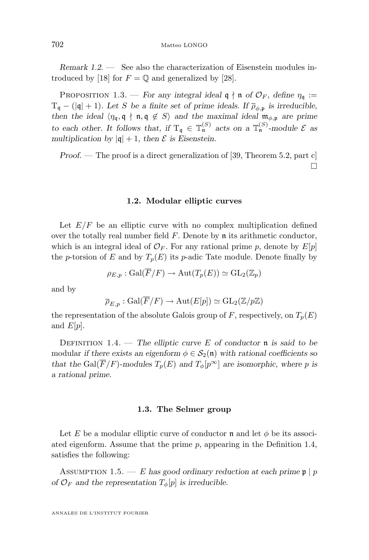<span id="page-14-0"></span>*Remark 1.2. —* See also the characterization of Eisenstein modules in-troduced by [\[18\]](#page-43-0) for  $F = \mathbb{Q}$  and generalized by [\[28\]](#page-44-0).

**PROPOSITION** 1.3. — *For any integral ideal*  $\mathfrak{q} \nmid \mathfrak{n}$  *of*  $\mathcal{O}_F$ *, define*  $\eta_{\mathfrak{q}} :=$  $T_{\mathfrak{q}} - (|\mathfrak{q}| + 1)$ . Let S be a finite set of prime ideals. If  $\bar{\rho}_{\phi, \mathfrak{p}}$  is irreducible, *then the ideal*  $\langle \eta_{\mathfrak{g}}, \mathfrak{q} \rangle \neq \mathfrak{n}, \mathfrak{q} \notin S$  *and the maximal ideal*  $\mathfrak{m}_{\phi, \mathfrak{p}}$  *are prime to each other. It follows that, if*  $T_q \in \mathbb{T}_n^{(S)}$  *acts on a*  $\mathbb{T}_n^{(S)}$ *-module*  $\mathcal{E}$  *as multiplication by*  $|q| + 1$ *, then*  $\mathcal E$  *is Eisenstein.* 

*Proof.* — The proof is a direct generalization of [\[39,](#page-44-0) Theorem 5.2, part c]  $\Box$ 

#### **1.2. Modular elliptic curves**

Let  $E/F$  be an elliptic curve with no complex multiplication defined over the totally real number field  $F$ . Denote by **n** its arithmetic conductor, which is an integral ideal of  $\mathcal{O}_F$ . For any rational prime p, denote by  $E[p]$ the p-torsion of E and by  $T_p(E)$  its p-adic Tate module. Denote finally by

$$
\rho_{E,p} : \text{Gal}(\overline{F}/F) \to \text{Aut}(T_p(E)) \simeq \text{GL}_2(\mathbb{Z}_p)
$$

and by

$$
\overline{\rho}_{E,p}: \mathrm{Gal}(\overline{F}/F) \to \mathrm{Aut}(E[p]) \simeq \mathrm{GL}_2(\mathbb{Z}/p\mathbb{Z})
$$

the representation of the absolute Galois group of F, respectively, on  $T_p(E)$ and  $E[p]$ .

Definition 1.4. — *The elliptic curve* E *of conductor* n *is said to be* modular *if there exists an eigenform*  $\phi \in S_2(\mathfrak{n})$  *with rational coefficients so that the* Gal( $\overline{F}/F$ *)-modules*  $T_p(E)$  *and*  $T_{\phi}[p^{\infty}]$  *are isomorphic, where* p *is a rational prime.*

#### **1.3. The Selmer group**

Let E be a modular elliptic curve of conductor n and let  $\phi$  be its associated eigenform. Assume that the prime  $p$ , appearing in the Definition 1.4, satisfies the following:

ASSUMPTION 1.5. — E has good ordinary reduction at each prime  $\mathfrak{p} | p$ *of*  $\mathcal{O}_F$  *and the representation*  $T_{\phi}[p]$  *is irreducible.*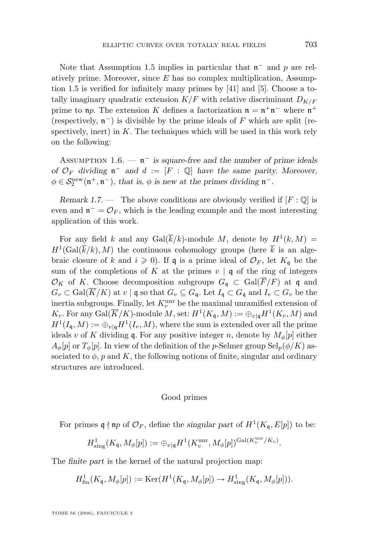<span id="page-15-0"></span>Note that Assumption [1.5](#page-14-0) implies in particular that  $\mathfrak{n}^-$  and p are relatively prime. Moreover, since  $E$  has no complex multiplication, Assumption [1.5](#page-14-0) is verified for infinitely many primes by [\[41\]](#page-44-0) and [\[5\]](#page-42-0). Choose a totally imaginary quadratic extension  $K/F$  with relative discriminant  $D_{K/F}$ prime to  $\mathfrak{n}p$ . The extension K defines a factorization  $\mathfrak{n} = \mathfrak{n}^+\mathfrak{n}^-$  where  $\mathfrak{n}^+$ (respectively,  $\mathfrak{n}^-$ ) is divisible by the prime ideals of F which are split (respectively, inert) in  $K$ . The techniques which will be used in this work rely on the following:

Assumption 1.6. — n <sup>−</sup> *is square-free and the number of prime ideals of*  $\mathcal{O}_F$  *dividing*  $\mathfrak{n}^-$  *and*  $d := [F : \mathbb{Q}]$  *have the same parity. Moreover,*  $\phi \in S_2^{\text{new}}(\mathfrak{n}^+,\mathfrak{n}^-)$ , that is,  $\phi$  is new at the primes dividing  $\mathfrak{n}^-$ .

*Remark 1.7.* — The above conditions are obviously verified if  $[F:\mathbb{Q}]$  is even and  $\mathfrak{n}^- = \mathcal{O}_F$ , which is the leading example and the most interesting application of this work.

For any field k and any  $Gal(\overline{k}/k)$ -module M, denote by  $H^1(k,M)$  =  $H^1(\text{Gal}(\overline{k}/k), M)$  the continuous cohomology groups (here  $\overline{k}$  is an algebraic closure of k and  $i \geq 0$ ). If q is a prime ideal of  $\mathcal{O}_F$ , let  $K_{\mathfrak{g}}$  be the sum of the completions of K at the primes  $v \mid \mathfrak{q}$  of the ring of integers  $\mathcal{O}_K$  of K. Choose decomposition subgroups  $G_{\mathfrak{q}} \subset \text{Gal}(\overline{F}/F)$  at  $\mathfrak{q}$  and  $G_v \subset \text{Gal}(\overline{K}/K)$  at  $v \mid \mathfrak{q}$  so that  $G_v \subseteq G_{\mathfrak{q}}$ . Let  $I_{\mathfrak{q}} \subset G_{\mathfrak{q}}$  and  $I_v \subset G_v$  be the inertia subgroups. Finally, let  $K_v^{\text{unr}}$  be the maximal unramified extension of  $K_v$ . For any Gal $(\overline{K}/K)$ -module M, set:  $H^1(K_{\mathfrak{q}},M) := \bigoplus_{v \mid \mathfrak{q}} H^1(K_v,M)$  and  $H^1(I_{\mathfrak{q}},M):=\bigoplus_{v|\mathfrak{q}}H^1(I_v,M),$  where the sum is extended over all the prime ideals v of K dividing q. For any positive integer n, denote by  $M_{\phi}[p]$  either  $A_{\phi}[p]$  or  $T_{\phi}[p]$ . In view of the definition of the p-Selmer group  $\text{Sel}_{p}(\phi/K)$  associated to  $\phi$ , p and K, the following notions of finite, singular and ordinary structures are introduced.

#### Good primes

For primes  $\mathfrak{q} \nmid \mathfrak{np}$  of  $\mathcal{O}_F$ , define the *singular part* of  $H^1(K_{\mathfrak{q}}, E[p])$  to be:

$$
H^1_{\text{sing}}(K_{\mathfrak{q}}, M_{\phi}[p]) := \bigoplus_{v \mid \mathfrak{q}} H^1(K_v^{\text{unr}}, M_{\phi}[p])^{\text{Gal}(K_v^{\text{unr}}/K_v)}.
$$

The *finite part* is the kernel of the natural projection map:

$$
H^1_{\text{fin}}(K_{\mathfrak{q}}, M_{\phi}[p]) := \text{Ker}(H^1(K_{\mathfrak{q}}, M_{\phi}[p]) \to H^1_{\text{sing}}(K_{\mathfrak{q}}, M_{\phi}[p])).
$$

TOME 56 (2006), FASCICULE 3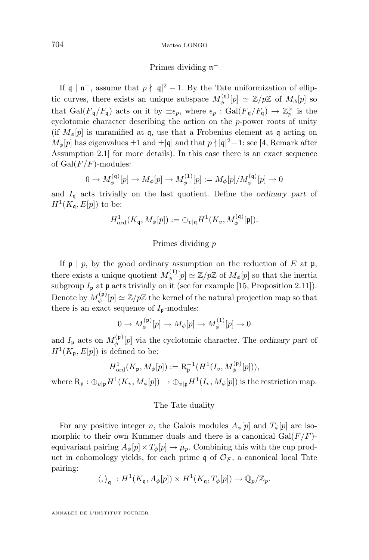#### Primes dividing  $n^-$

<span id="page-16-0"></span>If  $\mathfrak{q} \mid \mathfrak{n}^-$ , assume that  $p \nmid |\mathfrak{q}|^2 - 1$ . By the Tate uniformization of elliptic curves, there exists an unique subspace  $M_{\phi}^{(q)}$  $\psi_{\phi}^{(\mathfrak{q})}[p] \simeq \mathbb{Z}/p\mathbb{Z}$  of  $M_{\phi}[p]$  so that  $Gal(\overline{F}_{\mathfrak{q}}/F_{\mathfrak{q}})$  acts on it by  $\pm \epsilon_p$ , where  $\epsilon_p : Gal(\overline{F}_{\mathfrak{q}}/F_{\mathfrak{q}}) \to \mathbb{Z}_p^{\times}$  is the cyclotomic character describing the action on the p-power roots of unity (if  $M_{\phi}[p]$  is unramified at q, use that a Frobenius element at q acting on  $M_{\phi}[p]$  has eigenvalues  $\pm 1$  and  $\pm |\mathfrak{q}|$  and that  $p \nmid |\mathfrak{q}|^2 - 1$ : see [\[4,](#page-42-0) Remark after Assumption 2.1] for more details). In this case there is an exact sequence of  $Gal(\overline{F}/F)$ -modules:

$$
0 \to M_{\phi}^{(\mathfrak{q})}[p] \to M_{\phi}[p] \to M_{\phi}^{(1)}[p] := M_{\phi}[p]/M_{\phi}^{(\mathfrak{q})}[p] \to 0
$$

and  $I_{\mathfrak{a}}$  acts trivially on the last quotient. Define the *ordinary part* of  $H^1(K_{\mathfrak{q}}, E[p])$  to be:

$$
H^1_{\mathrm{ord}}(K_{\mathfrak{q}},M_{\phi}[p]):=\oplus_{v|\mathfrak{q}}H^1(K_v,M_{\phi}^{(\mathfrak{q})}[\mathfrak{p}]).
$$

#### Primes dividing p

If  $\mathfrak{p} \mid p$ , by the good ordinary assumption on the reduction of E at  $\mathfrak{p}$ , there exists a unique quotient  $M_{\phi}^{(1)}$  $\psi_{\phi}^{(1)}[p] \simeq \mathbb{Z}/p\mathbb{Z}$  of  $M_{\phi}[p]$  so that the inertia subgroup  $I_{\mathfrak{p}}$  at  $\mathfrak{p}$  acts trivially on it (see for example [\[15,](#page-43-0) Proposition 2.11]). Denote by  $M_{\phi}^{(\mathfrak{p})}$  $\phi^{(p)}(p) \simeq \mathbb{Z}/p\mathbb{Z}$  the kernel of the natural projection map so that there is an exact sequence of  $I_p$ -modules:

$$
0 \to M_{\phi}^{(\mathfrak{p})}[p] \to M_{\phi}[p] \to M_{\phi}^{(1)}[p] \to 0
$$

and  $I_{\mathfrak{p}}$  acts on  $M_{\phi}^{(\mathfrak{p})}$ φ [p] via the cyclotomic character. The *ordinary part* of  $H^1(K_{\mathfrak{p}}, E[p])$  is defined to be:

$$
H^1_{\mathrm{ord}}(K_{\mathfrak{p}},M_{\phi}[p]):=\mathrm{R}_{\mathfrak{p}}^{-1}(H^1(I_v,M_{\phi}^{(\mathfrak{p})}[p])),
$$

where  $R_{\mathfrak{p}} : \bigoplus_{v \mid \mathfrak{p}} H^1(K_v, M_\phi[p]) \to \bigoplus_{v \mid \mathfrak{p}} H^1(I_v, M_\phi[p])$  is the restriction map.

#### The Tate duality

For any positive integer n, the Galois modules  $A_{\phi}[p]$  and  $T_{\phi}[p]$  are isomorphic to their own Kummer duals and there is a canonical  $Gal(\overline{F}/F)$ equivariant pairing  $A_{\phi}[p] \times T_{\phi}[p] \to \mu_p$ . Combining this with the cup product in cohomology yields, for each prime  $\mathfrak{q}$  of  $\mathcal{O}_F$ , a canonical local Tate pairing:

$$
\langle,\rangle_{\mathfrak{q}}\ : H^1(K_{\mathfrak{q}}, A_{\phi}[p]) \times H^1(K_{\mathfrak{q}}, T_{\phi}[p]) \to \mathbb{Q}_p/\mathbb{Z}_p.
$$

ANNALES DE L'INSTITUT FOURIER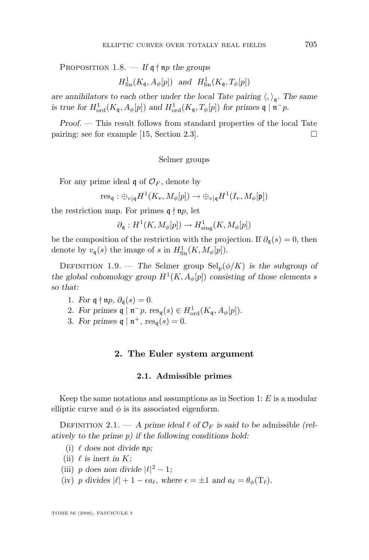PROPOSITION 1.8. — If  $\mathfrak{q} \nmid \mathfrak{m}$  the groups

 $H^1_{\text{fin}}(K_{\mathfrak{q}}, A_{\phi}[p])$  and  $H^1_{\text{fin}}(K_{\mathfrak{q}}, T_{\phi}[p])$ 

*are annihilators to each other under the local Tate pairing*  $\langle, \rangle_q$ . The same is true for  $H^1_{\text{ord}}(K_{\mathfrak{q}}, A_{\phi}[p])$  and  $H^1_{\text{ord}}(K_{\mathfrak{q}}, T_{\phi}[p])$  for primes  $\mathfrak{q} \mid \mathfrak{n}^- p$ .

*Proof. —* This result follows from standard properties of the local Tate pairing: see for example [\[15,](#page-43-0) Section 2.3]. □

#### Selmer groups

For any prime ideal  $\mathfrak{q}$  of  $\mathcal{O}_F$ , denote by

 ${\rm res}_{\mathfrak{q}}: \oplus_{v|\mathfrak{q}} H^1(K_v,M_\phi[p]) \rightarrow \oplus_{v|\mathfrak{q}} H^1(I_v,M_\phi[\mathfrak{p}])$ 

the restriction map. For primes  $q \nmid np$ , let

 $\partial_{\mathfrak{q}}: H^1(K, M_\phi[p]) \to H^1_{\text{sing}}(K, M_\phi[p])$ 

be the composition of the restriction with the projection. If  $\partial_q(s) = 0$ , then denote by  $v_{\mathfrak{q}}(s)$  the image of s in  $H^1_{\text{fin}}(K, M_\phi[p])$ .

DEFINITION 1.9. — *The* Selmer group  $\text{Sel}_p(\phi/K)$  *is the subgroup of* the global cohomology group  $H^1(K, A_{\phi}[p])$  consisting of those elements s *so that:*

1. For 
$$
\mathfrak{q} \nmid \mathfrak{np}, \partial_{\mathfrak{q}}(s) = 0
$$
.

- 2. For primes  $\mathfrak{q} \mid \mathfrak{n}^-p$ ,  $\operatorname{res}_{\mathfrak{q}}(s) \in H^1_{\mathrm{ord}}(K_{\mathfrak{q}}, A_{\phi}[p])$ .
- 3. For primes  $\mathfrak{q} \mid \mathfrak{n}^+$ ,  $\operatorname{res}_{\mathfrak{q}}(s) = 0$ .

#### **2. The Euler system argument**

#### **2.1. Admissible primes**

Keep the same notations and assumptions as in Section [1:](#page-12-0)  $E$  is a modular elliptic curve and  $\phi$  is its associated eigenform.

DEFINITION 2.1. — A prime ideal  $\ell$  of  $\mathcal{O}_F$  is said to be admissible (rel*atively to the prime* p*) if the following conditions hold:*

- (i)  $\ell$  does not divide **n**p;
- (ii)  $\ell$  *is inert in* K;
- (iii) *p* does non divide  $|\ell|^2 1$ ;
- (iv) p divides  $|\ell| + 1 \epsilon a_{\ell}$ , where  $\epsilon = \pm 1$  and  $a_{\ell} = \theta_{\phi}(\mathrm{T}_{\ell})$ .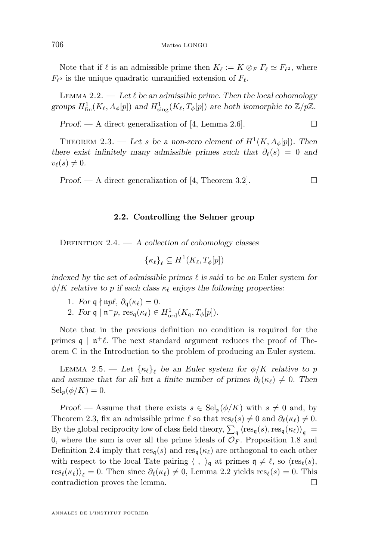<span id="page-18-0"></span>Note that if  $\ell$  is an admissible prime then  $K_{\ell} := K \otimes_F F_{\ell} \simeq F_{\ell^2}$ , where  $F_{\ell^2}$  is the unique quadratic unramified extension of  $F_{\ell}$ .

LEMMA 2.2.  $\qquad$  *Let*  $\ell$  *be an admissible prime. Then the local cohomology* groups  $H^1_{\text{fin}}(K_\ell, A_\phi[p])$  and  $H^1_{\text{sing}}(K_\ell, T_\phi[p])$  are both isomorphic to  $\mathbb{Z}/p\mathbb{Z}$ .

*Proof.* — A direct generalization of [\[4,](#page-42-0) Lemma 2.6].

THEOREM 2.3. — Let s be a non-zero element of  $H^1(K, A_{\phi}[p])$ . Then *there exist infinitely many admissible primes such that*  $\partial_{\ell}(s) = 0$  *and*  $v_{\ell}(s) \neq 0.$ 

*Proof.* — A direct generalization of [\[4,](#page-42-0) Theorem 3.2].

#### **2.2. Controlling the Selmer group**

Definition 2.4. — *A collection of cohomology classes*

$$
\{\kappa_{\ell}\}_{\ell} \subseteq H^1(K_{\ell}, T_{\phi}[p])
$$

*indexed by the set of admissible primes*  $\ell$  *is said to be an* Euler system for  $\phi/K$  *relative to p if each class*  $\kappa_{\ell}$  *enjoys the following properties:* 

- 1. *For*  $\mathfrak{q} \nmid \mathfrak{np}\ell$ ,  $\partial_{\mathfrak{q}}(\kappa_{\ell}) = 0$ .
- 2. *For*  $\mathfrak{q} \mid \mathfrak{n}^-p$ ,  $\operatorname{res}_{\mathfrak{q}}(\kappa_\ell) \in H^1_{\text{ord}}(K_{\mathfrak{q}}, T_\phi[p]).$

Note that in the previous definition no condition is required for the primes  $\mathfrak{q} \mid \mathfrak{n}^+\ell$ . The next standard argument reduces the proof of Theorem C in the Introduction to the problem of producing an Euler system.

LEMMA 2.5. — Let  $\{\kappa_\ell\}_\ell$  be an Euler system for  $\phi/K$  relative to p *and assume that for all but a finite number of primes*  $\partial_{\ell}(\kappa_{\ell}) \neq 0$ . Then  $\operatorname{Sel}_{p}(\phi/K) = 0.$ 

*Proof.* — Assume that there exists  $s \in Sel_p(\phi/K)$  with  $s \neq 0$  and, by Theorem 2.3, fix an admissible prime  $\ell$  so that res $_{\ell}(s) \neq 0$  and  $\partial_{\ell}(\kappa_{\ell}) \neq 0$ . By the global reciprocity low of class field theory,  $\sum_{\mathfrak{q}} \langle \text{res}_{\mathfrak{q}}(s), \text{res}_{\mathfrak{q}}(\kappa_{\ell}) \rangle_{\mathfrak{q}} =$ 0, where the sum is over all the prime ideals of  $\mathcal{O}_F$ . Proposition [1.8](#page-16-0) and Definition 2.4 imply that  $res_q(s)$  and  $res_q(\kappa_\ell)$  are orthogonal to each other with respect to the local Tate pairing  $\langle , \rangle_{\mathfrak{q}}$  at primes  $\mathfrak{q} \neq \ell$ , so  $\langle \text{res}_{\ell}(s), \rangle$  $res_{\ell}(\kappa_{\ell})\rangle_{\ell} = 0$ . Then since  $\partial_{\ell}(\kappa_{\ell}) \neq 0$ , Lemma 2.2 yields  $res_{\ell}(s) = 0$ . This contradiction proves the lemma.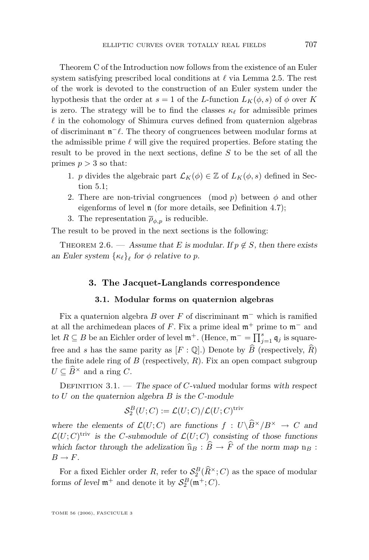<span id="page-19-0"></span>Theorem C of the Introduction now follows from the existence of an Euler system satisfying prescribed local conditions at  $\ell$  via Lemma [2.5.](#page-18-0) The rest of the work is devoted to the construction of an Euler system under the hypothesis that the order at  $s = 1$  of the L-function  $L_K(\phi, s)$  of  $\phi$  over K is zero. The strategy will be to find the classes  $\kappa_{\ell}$  for admissible primes  $\ell$  in the cohomology of Shimura curves defined from quaternion algebras of discriminant  $\mathfrak{n}^- \ell$ . The theory of congruences between modular forms at the admissible prime  $\ell$  will give the required properties. Before stating the result to be proved in the next sections, define S to be the set of all the primes  $p > 3$  so that:

- 1. p divides the algebraic part  $\mathcal{L}_K(\phi) \in \mathbb{Z}$  of  $L_K(\phi, s)$  defined in Section [5.1;](#page-37-0)
- 2. There are non-trivial congruences (mod p) between  $\phi$  and other eigenforms of level n (for more details, see Definition [4.7\)](#page-33-0);
- 3. The representation  $\overline{\rho}_{\phi,p}$  is reducible.

The result to be proved in the next sections is the following:

THEOREM 2.6. — Assume that E is modular. If  $p \notin S$ , then there exists *an Euler system*  $\{\kappa_{\ell}\}_\ell$  for  $\phi$  *relative to p.* 

#### **3. The Jacquet-Langlands correspondence**

#### **3.1. Modular forms on quaternion algebras**

Fix a quaternion algebra B over F of discriminant  $\mathfrak{m}^-$  which is ramified at all the archimedean places of F. Fix a prime ideal  $\mathfrak{m}^+$  prime to  $\mathfrak{m}^-$  and let  $R \subseteq B$  be an Eichler order of level  $\mathfrak{m}^+$ . (Hence,  $\mathfrak{m}^- = \prod_{j=1}^s \mathfrak{q}_j$  is squarefree and s has the same parity as  $[F: \mathbb{Q}]$ .) Denote by  $\widehat{B}$  (respectively,  $\widehat{R}$ ) the finite adele ring of  $B$  (respectively,  $R$ ). Fix an open compact subgroup  $U \subseteq \widehat{B}^{\times}$  and a ring C.

Definition 3.1. — *The space of* C*-valued* modular forms *with respect to* U *on the quaternion algebra* B *is the* C*-module*

$$
\mathcal{S}_2^B(U;C) := \mathcal{L}(U;C)/\mathcal{L}(U;C)^{\mathrm{triv}}
$$

*where the elements of*  $\mathcal{L}(U; C)$  *are functions*  $f : U\setminus \widehat{B}^{\times}/B^{\times} \to C$  *and*  $\mathcal{L}(U; C)$ <sup>triv</sup> is the C-submodule of  $\mathcal{L}(U; C)$  consisting of those functions *which factor through the adelization*  $\hat{n}_B : \hat{B} \to \hat{F}$  *of the norm map*  $n_B$  :  $B \to F$ .

For a fixed Eichler order R, refer to  $\mathcal{S}_2^B(\hat{R}^{\times}; C)$  as the space of modular forms *of level*  $\mathfrak{m}^+$  and denote it by  $\mathcal{S}_2^B(\mathfrak{m}^+; C)$ .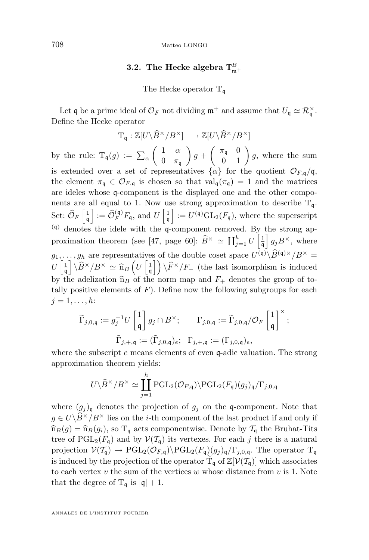## **3.2.** The Hecke algebra  $\mathbb{T}^B_{\mathfrak{m}^+}$

The Hecke operator  $T_{\mathfrak{g}}$ 

<span id="page-20-0"></span>Let  $\frak q$  be a prime ideal of  $\mathcal{O}_F$  not dividing  $\frak m^+$  and assume that  $U_{\frak q}\simeq \mathcal{R}^\times_{\frak q}$ . Define the Hecke operator

$$
T_{\mathfrak{q}} : \mathbb{Z}[U \backslash \widehat{B}^{\times}/B^{\times}] \longrightarrow \mathbb{Z}[U \backslash \widehat{B}^{\times}/B^{\times}]
$$

by the rule:  $T_{\mathfrak{q}}(g) := \sum_{\alpha}$  $\begin{pmatrix} 1 & \alpha \end{pmatrix}$ 0  $\pi$ <sub>q</sub>  $\left(g + \begin{pmatrix} \pi_{\mathfrak{q}} & 0 \\ 0 & 1 \end{pmatrix} g$ , where the sum is extended over a set of representatives  $\{\alpha\}$  for the quotient  $\mathcal{O}_{F,q}/\mathfrak{q}$ , the element  $\pi_{\mathfrak{q}} \in \mathcal{O}_{F,\mathfrak{q}}$  is chosen so that  $val_{\mathfrak{q}}(\pi_{\mathfrak{q}}) = 1$  and the matrices are ideles whose q-component is the displayed one and the other components are all equal to 1. Now use strong approximation to describe  $T_q$ . Set:  $\widehat{\mathcal{O}}_F\left[\frac{1}{\mathfrak{q}}\right] := \widehat{\mathcal{O}}_F^{(\mathfrak{q})} F_{\mathfrak{q}},$  and  $U\left[\frac{1}{\mathfrak{q}}\right] := U^{(\mathfrak{q})} GL_2(F_{\mathfrak{q}})$ , where the superscript  $(4)$  denotes the idele with the  $q$ -component removed. By the strong ap-proximation theorem (see [\[47,](#page-44-0) page 60]:  $\widehat{B}^{\times} \simeq \coprod_{j=1}^{h} U \left[\frac{1}{\mathfrak{q}}\right] g_j B^{\times}$ , where  $g_1, \ldots, g_h$  are representatives of the double coset space  $U^{(q)} \backslash \widehat{B}^{(q)\times}/B^\times =$  $U\left[\frac{1}{\mathfrak{q}}\right] \setminus \widehat{B}^{\times}/B^{\times} \simeq \widehat{n}_B\left(U\left[\frac{1}{\mathfrak{q}}\right]\right) \setminus \widehat{F}^{\times}/F_{+}$  (the last isomorphism is induced by the adelization  $\hat{n}_B$  of the norm map and  $F_+$  denotes the group of totally positive elements of  $F$ ). Define now the following subgroups for each  $j=1,\ldots,h$ :

$$
\widetilde{\Gamma}_{j,0,\mathfrak{q}} := g_j^{-1} U\left[\frac{1}{\mathfrak{q}}\right] g_j \cap B^{\times}; \qquad \Gamma_{j,0,\mathfrak{q}} := \widetilde{\Gamma}_{j,0,\mathfrak{q}} / \mathcal{O}_F\left[\frac{1}{\mathfrak{q}}\right]^{\times};
$$

$$
\widetilde{\Gamma}_{j,+, \mathfrak{q}} := (\widetilde{\Gamma}_{j,0,\mathfrak{q}})_e; \quad \Gamma_{j,+, \mathfrak{q}} := (\Gamma_{j,0,\mathfrak{q}})_e,
$$

where the subscript  $e$  means elements of even  $\mathfrak{q}$ -adic valuation. The strong approximation theorem yields:

$$
U \setminus \widehat{B}^{\times}/B^{\times} \simeq \coprod_{j=1}^{h} \mathrm{PGL}_{2}(\mathcal{O}_{F,\mathfrak{q}}) \setminus \mathrm{PGL}_{2}(F_{\mathfrak{q}})(g_{j})_{\mathfrak{q}}/\Gamma_{j,0,\mathfrak{q}}
$$

where  $(g_i)$ <sub>q</sub> denotes the projection of  $g_j$  on the q-component. Note that  $g \in U \backslash \widehat{B}^\times/B^\times$  lies on the *i*-th component of the last product if and only if  $\hat{h}_B(g) = \hat{h}_B(g_i)$ , so  $T_g$  acts componentwise. Denote by  $\mathcal{T}_g$  the Bruhat-Tits tree of  $PGL_2(F_q)$  and by  $\mathcal{V}(\mathcal{T}_q)$  its vertexes. For each j there is a natural projection  $V(\mathcal{T}_q) \to \text{PGL}_2(\mathcal{O}_{F,q})\backslash \text{PGL}_2(F_q)(g_j)_{q}/\Gamma_{j,0,q}$ . The operator  $T_q$ is induced by the projection of the operator  $T_q$  of  $\mathbb{Z}[\mathcal{V}(\mathcal{T}_q)]$  which associates to each vertex  $v$  the sum of the vertices  $w$  whose distance from  $v$  is 1. Note that the degree of  $T_q$  is  $|q| + 1$ .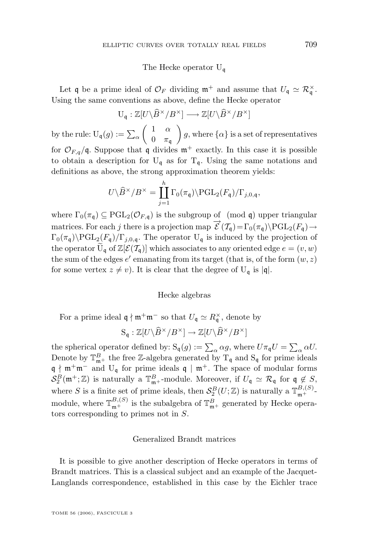#### The Hecke operator  $U_{\mathfrak{g}}$

Let q be a prime ideal of  $\mathcal{O}_F$  dividing  $\mathfrak{m}^+$  and assume that  $U_{\mathfrak{q}} \simeq \mathcal{R}_{\mathfrak{q}}^{\times}$ . Using the same conventions as above, define the Hecke operator

$$
U_{\mathfrak{q}} : \mathbb{Z}[U \setminus \widehat{B}^{\times}/B^{\times}] \longrightarrow \mathbb{Z}[U \setminus \widehat{B}^{\times}/B^{\times}]
$$

by the rule:  $U_{\mathfrak{q}}(g) := \sum_{\alpha}$  $\begin{pmatrix} 1 & \alpha \end{pmatrix}$ 0  $\pi$ <sub>q</sub>  $\Big\} g$ , where  $\{\alpha\}$  is a set of representatives for  $\mathcal{O}_{F,q}/\mathfrak{q}$ . Suppose that  $\mathfrak{q}$  divides  $\mathfrak{m}^+$  exactly. In this case it is possible to obtain a description for  $U_q$  as for  $T_q$ . Using the same notations and definitions as above, the strong approximation theorem yields:

$$
U \backslash \widehat{B}^{\times}/B^{\times} = \coprod_{j=1}^{h} \Gamma_0(\pi_{\mathfrak{q}}) \backslash \mathrm{PGL}_2(F_{\mathfrak{q}}) / \Gamma_{j,0,\mathfrak{q}},
$$

where  $\Gamma_0(\pi_{\mathfrak{q}}) \subseteq \mathrm{PGL}_2(\mathcal{O}_{F,\mathfrak{q}})$  is the subgroup of (mod  $\mathfrak{q}$ ) upper triangular matrices. For each j there is a projection map  $\overline{\mathcal{E}}(\mathcal{T}_{\mathsf{q}})=\Gamma_0(\pi_{\mathsf{q}})\backslash\mathrm{PGL}_2(F_{\mathsf{q}})\to$  $\Gamma_0(\pi_{\mathfrak{q}})\backslash\mathrm{PGL}_2(F_{\mathfrak{q}})/\Gamma_{j,0,\mathfrak{q}}.$  The operator  $U_{\mathfrak{q}}$  is induced by the projection of the operator  $\tilde{U}_{\mathfrak{q}}$  of  $\mathbb{Z}[\mathcal{E}(\mathcal{T}_{\mathfrak{q}})]$  which associates to any oriented edge  $e = (v, w)$ the sum of the edges  $e'$  emanating from its target (that is, of the form  $(w, z)$ ) for some vertex  $z \neq v$ ). It is clear that the degree of U<sub>q</sub> is |q|.

#### Hecke algebras

For a prime ideal  $\mathfrak{q} \nmid \mathfrak{m}^+\mathfrak{m}^-$  so that  $U_{\mathfrak{q}} \simeq R_{\mathfrak{q}}^{\times}$ , denote by

$$
S_{\mathfrak{q}} : \mathbb{Z}[U \backslash \widehat{B}^{\times}/B^{\times}] \to \mathbb{Z}[U \backslash \widehat{B}^{\times}/B^{\times}]
$$

the spherical operator defined by:  $S_q(g) := \sum_{\alpha} \alpha g$ , where  $U \pi_q U = \sum_{\alpha} \alpha U$ . Denote by  $\mathbb{T}^B_{\mathfrak{m}^+}$  the free Z-algebra generated by  $\mathrm{T}_\mathfrak{q}$  and  $\mathrm{S}_\mathfrak{q}$  for prime ideals  $\mathfrak{q} \nmid \mathfrak{m}^+\mathfrak{m}^-$  and  $U_{\mathfrak{q}}$  for prime ideals  $\mathfrak{q} \mid \mathfrak{m}^+$ . The space of modular forms  $\mathcal{S}_2^B(\mathfrak{m}^+;\mathbb{Z})$  is naturally a  $\mathbb{T}_{\mathfrak{m}^+}^B$ -module. Moreover, if  $U_{\mathfrak{q}} \simeq \mathcal{R}_{\mathfrak{q}}$  for  $\mathfrak{q} \notin S$ , where S is a finite set of prime ideals, then  $S_2^B(U; \mathbb{Z})$  is naturally a  $\mathbb{T}^{B,(S)}_{\mathfrak{m}^+}$ . module, where  $\mathbb{T}^{B,(S)}_{\mathfrak{m}^+}$  is the subalgebra of  $\mathbb{T}^B_{\mathfrak{m}^+}$  generated by Hecke operators corresponding to primes not in S.

#### Generalized Brandt matrices

It is possible to give another description of Hecke operators in terms of Brandt matrices. This is a classical subject and an example of the Jacquet-Langlands correspondence, established in this case by the Eichler trace

TOME 56 (2006), FASCICULE 3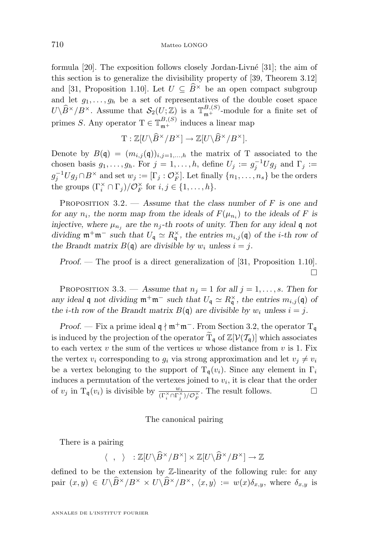<span id="page-22-0"></span>formula [\[20\]](#page-43-0). The exposition follows closely Jordan-Livné [\[31\]](#page-44-0); the aim of this section is to generalize the divisibility property of [\[39,](#page-44-0) Theorem 3.12] and [\[31,](#page-44-0) Proposition 1.10]. Let  $U \subseteq \widehat{B}^{\times}$  be an open compact subgroup and let  $g_1, \ldots, g_h$  be a set of representatives of the double coset space  $U\setminus \widehat{B}^{\times}/B^{\times}$ . Assume that  $\mathcal{S}_2(U;\mathbb{Z})$  is a  $\mathbb{T}^{B,(S)}_{\mathfrak{m}^+}$ -module for a finite set of primes S. Any operator  $T \in \mathbb{T}_{m+}^{B,(S)}$  induces a linear map

$$
T: \mathbb{Z}[U \setminus \widehat{B}^{\times}/B^{\times}] \to \mathbb{Z}[U \setminus \widehat{B}^{\times}/B^{\times}].
$$

Denote by  $B(\mathfrak{q}) = (m_{i,j}(\mathfrak{q}))_{i,j=1,...,h}$  the matrix of T associated to the chosen basis  $g_1, \ldots, g_h$ . For  $j = 1, \ldots, h$ , define  $U_j := g_j^{-1} U g_j$  and  $\Gamma_j :=$  $g_j^{-1}Ug_j \cap B^{\times}$  and set  $w_j := [\Gamma_j : \mathcal{O}_F^{\times}]$ . Let finally  $\{n_1, \ldots, n_s\}$  be the orders the groups  $(\Gamma_i^{\times} \cap \Gamma_j)/\mathcal{O}_F^{\times}$  for  $i, j \in \{1, ..., h\}$ .

Proposition 3.2. — *Assume that the class number of* F *is one and for any*  $n_i$ , the norm map from the ideals of  $F(\mu_{n_i})$  to the ideals of F is *injective, where*  $\mu_{n_j}$  are the  $n_j$ -th roots of unity. Then for any ideal q not *dividing*  $\mathfrak{m}^+\mathfrak{m}^-$  *such that*  $U_{\mathfrak{q}} \simeq R_{\mathfrak{q}}^{\times}$ *, the entries*  $m_{i,j}(\mathfrak{q})$  *of the i-th row of* the Brandt matrix  $B(q)$  are divisible by  $w_i$  unless  $i = j$ .

*Proof.* — The proof is a direct generalization of [\[31,](#page-44-0) Proposition 1.10].  $\Box$ 

PROPOSITION 3.3. — Assume that  $n_j = 1$  for all  $j = 1, \ldots, s$ . Then for *any ideal* q *not dividing*  $\mathfrak{m}^+\mathfrak{m}^-$  *such that*  $U_{\mathfrak{q}} \simeq R_{\mathfrak{q}}^{\times}$ *, the entries*  $m_{i,j}(\mathfrak{q})$  *of* the *i*-th row of the Brandt matrix  $B(q)$  are divisible by  $w_i$  unless  $i = j$ .

*Proof.* — Fix a prime ideal  $\mathfrak{q} \nmid \mathfrak{m}^+\mathfrak{m}^-$ . From Section [3.2,](#page-20-0) the operator  $T_{\mathfrak{q}}$ is induced by the projection of the operator  $\widetilde{T}_{\mathfrak{q}}$  of  $\mathbb{Z}[\mathcal{V}(\mathcal{T}_{\mathfrak{q}})]$  which associates to each vertex  $v$  the sum of the vertices  $w$  whose distance from  $v$  is 1. Fix the vertex  $v_i$  corresponding to  $g_i$  via strong approximation and let  $v_j \neq v_i$ be a vertex belonging to the support of  $T_q(v_i)$ . Since any element in  $\Gamma_i$ induces a permutation of the vertexes joined to  $v_i$ , it is clear that the order of  $v_j$  in  $\mathrm{T}_\mathfrak{q}(v_i)$  is divisible by  $\frac{w_i}{(\Gamma_i^{\times} \cap \Gamma_j^{\times})/\mathcal{O}_F^{\times}}$ . The result follows.

#### The canonical pairing

There is a pairing

$$
\langle , \rangle : \mathbb{Z}[U \backslash \widehat{B}^{\times}/B^{\times}] \times \mathbb{Z}[U \backslash \widehat{B}^{\times}/B^{\times}] \to \mathbb{Z}
$$

defined to be the extension by Z-linearity of the following rule: for any pair  $(x, y) \in U\setminus \widehat{B}^{\times}/B^{\times} \times U\setminus \widehat{B}^{\times}/B^{\times}$ ,  $\langle x, y \rangle := w(x)\delta_{x,y}$ , where  $\delta_{x,y}$  is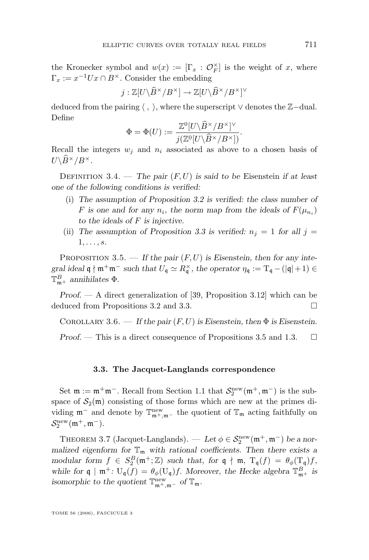<span id="page-23-0"></span>the Kronecker symbol and  $w(x) := [\Gamma_x : \mathcal{O}_F^{\times}]$  is the weight of x, where  $\Gamma_x := x^{-1} U x \cap B^{\times}$ . Consider the embedding

$$
j:\mathbb{Z}[U\backslash \widehat{B}^{\times}/B^{\times}] \to \mathbb{Z}[U\backslash \widehat{B}^{\times}/B^{\times}]^{\vee}
$$

deduced from the pairing  $\langle , \rangle$ , where the superscript  $\vee$  denotes the Z-dual. Define

$$
\Phi = \Phi(U) := \frac{\mathbb{Z}^0 [U \backslash \widehat{B}^\times / B^\times]^\vee}{j(\mathbb{Z}^0 [U \backslash \widehat{B}^\times / B^\times])}.
$$

Recall the integers  $w_j$  and  $n_i$  associated as above to a chosen basis of  $U\backslash \widehat{B}^{\times}/B^{\times}$ .

DEFINITION 3.4. — *The pair*  $(F, U)$  *is said to be Eisenstein if at least one of the following conditions is verified:*

- (i) *The assumption of Proposition [3.2](#page-22-0) is verified: the class number of* F is one and for any  $n_i$ , the norm map from the ideals of  $F(\mu_{n_i})$ *to the ideals of* F *is injective.*
- (ii) The assumption of Proposition [3.3](#page-22-0) is verified:  $n_j = 1$  for all  $j =$  $1, \ldots, s.$

PROPOSITION 3.5.  $\qquad$  If the pair  $(F, U)$  is Eisenstein, then for any inte*gral ideal*  $\mathfrak{q} \nmid \mathfrak{m}^+\mathfrak{m}^-$  *such that*  $U_{\mathfrak{q}} \simeq R_{\mathfrak{q}}^{\times}$ *, the operator*  $\eta_{\mathfrak{q}} := T_{\mathfrak{q}} - (\vert \mathfrak{q} \vert + 1) \in$  $\mathbb{T}_{\mathfrak{m}^+}^B$  *annihilates*  $\Phi$ *.* 

*Proof. —* A direct generalization of [\[39,](#page-44-0) Proposition 3.12] which can be deduced from Propositions [3.2](#page-22-0) and [3.3.](#page-22-0)

COROLLARY 3.6. — If the pair  $(F, U)$  is Eisenstein, then  $\Phi$  is Eisenstein.

*Proof.* — This is a direct consequence of Propositions 3.5 and [1.3.](#page-14-0) □

#### **3.3. The Jacquet-Langlands correspondence**

Set  $\mathfrak{m} := \mathfrak{m}^+\mathfrak{m}^-$ . Recall from Section [1.1](#page-12-0) that  $\mathcal{S}_2^{\text{new}}(\mathfrak{m}^+,\mathfrak{m}^-)$  is the subspace of  $\mathcal{S}_2(\mathfrak{m})$  consisting of those forms which are new at the primes dividing  $\mathfrak{m}^-$  and denote by  $\mathbb{T}^{\text{new}}_{\mathfrak{m}^+,\mathfrak{m}^-}$  the quotient of  $\mathbb{T}_\mathfrak{m}$  acting faithfully on  $\mathcal{S}_2^{\rm new}(\mathfrak{m}^+,\mathfrak{m}^-).$ 

THEOREM 3.7 (Jacquet-Langlands). — Let  $\phi \in \mathcal{S}_2^{\text{new}}(\mathfrak{m}^+, \mathfrak{m}^-)$  be a nor*malized eigenform for*  $\mathbb{T}_m$  *with rational coefficients. Then there exists a* modular form  $f \in S_2^B(\mathfrak{m}^+;\mathbb{Z})$  such that, for  $\mathfrak{q} \nmid \mathfrak{m}, T_{\mathfrak{q}}(f) = \theta_{\phi}(T_{\mathfrak{q}})f$ , while for  $\mathfrak{q} \mid \mathfrak{m}^+$ :  $U_{\mathfrak{q}}(f) = \theta_{\phi}(U_{\mathfrak{q}})f$ . Moreover, the Hecke algebra  $\mathbb{T}^B_{\mathfrak{m}^+}$  is *isomorphic to the quotient*  $\mathbb{T}_{m^+,m^-}^{\text{new}}$  *of*  $\mathbb{T}_m$ *.*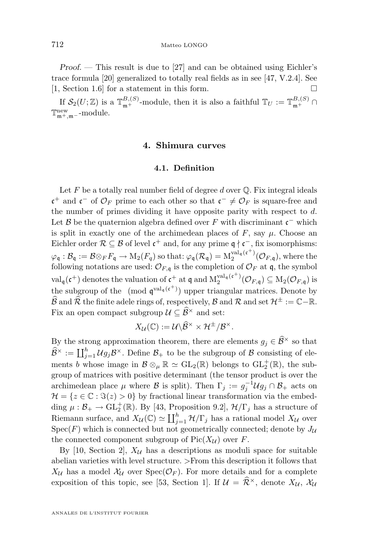<span id="page-24-0"></span>*Proof. —* This result is due to [\[27\]](#page-43-0) and can be obtained using Eichler's trace formula [\[20\]](#page-43-0) generalized to totally real fields as in see [\[47,](#page-44-0) V.2.4]. See [\[1,](#page-42-0) Section 1.6] for a statement in this form.

If  $S_2(U;\mathbb{Z})$  is a  $\mathbb{T}^{B,(S)}_{\mathfrak{m}^+}$ -module, then it is also a faithful  $\mathbb{T}_U := \mathbb{T}^{B,(S)}_{\mathfrak{m}^+} \cap$ T new <sup>m</sup>+,m<sup>−</sup> -module.

#### **4. Shimura curves**

#### **4.1. Definition**

Let  $F$  be a totally real number field of degree  $d$  over  $\mathbb Q$ . Fix integral ideals  $\mathfrak{c}^+$  and  $\mathfrak{c}^-$  of  $\mathcal{O}_F$  prime to each other so that  $\mathfrak{c}^- \neq \mathcal{O}_F$  is square-free and the number of primes dividing it have opposite parity with respect to d. Let  $\beta$  be the quaternion algebra defined over F with discriminant  $\mathfrak{c}^-$  which is split in exactly one of the archimedean places of  $F$ , say  $\mu$ . Choose an Eichler order  $\mathcal{R} \subseteq \mathcal{B}$  of level  $\mathfrak{c}^+$  and, for any prime  $\mathfrak{q} \nmid \mathfrak{c}^-$ , fix isomorphisms:  $\varphi_\mathfrak{q}: {\cal B}_\mathfrak{q}:=\mathcal{B}\otimes_F F_\mathfrak{q} \to \mathrm{M}_2(F_q) \textrm{ so that: } \varphi_\mathfrak{q}({\cal R}_\mathfrak{q})=\mathrm{M}_2^{\mathrm{val}_\mathfrak{q}(\mathfrak{c}^+)}.$  $2^{var_{\mathfrak{q}}(\mathfrak{t}^-)}(\mathcal{O}_{F,\mathfrak{q}})$ , where the following notations are used:  $\mathcal{O}_{F,\mathfrak{q}}$  is the completion of  $\mathcal{O}_F$  at  $\mathfrak{q}$ , the symbol  $\text{val}_{\mathfrak{q}}(\mathfrak{c}^+)$  denotes the valuation of  $\mathfrak{c}^+$  at  $\mathfrak{q}$  and  $M_2^{\text{val}_{\mathfrak{q}}(\mathfrak{c}^+)}$  $\mathcal{Q}_2^{\text{val}_{\mathfrak{q}}(\mathfrak{t}^{-1})}(\mathcal{O}_{F,\mathfrak{q}})\subseteq M_2(\mathcal{O}_{F,\mathfrak{q}})$  is the subgroup of the  $p^{\text{val}_q(\mathfrak{c}^+)}$  upper triangular matrices. Denote by  $\widehat{\mathcal{B}}$  and  $\widehat{\mathcal{R}}$  the finite adele rings of, respectively,  $\mathcal{B}$  and  $\mathcal{R}$  and set  $\mathcal{H}^{\pm} := \mathbb{C}-\mathbb{R}$ . Fix an open compact subgroup  $\mathcal{U} \subseteq \widehat{\mathcal{B}}^{\times}$  and set:

$$
X_{\mathcal{U}}(\mathbb{C}):=\mathcal{U}\backslash \widehat{\mathcal{B}}^{\times}\times \mathcal{H}^{\pm}/\mathcal{B}^{\times}.
$$

By the strong approximation theorem, there are elements  $g_i \in \widehat{B}^{\times}$  so that  $\widehat{\mathcal{B}}^{\times} := \coprod_{j=1}^{h} \mathcal{U}g_j \mathcal{B}^{\times}$ . Define  $\mathcal{B}_+$  to be the subgroup of  $\mathcal{B}$  consisting of elements b whose image in  $\mathcal{B} \otimes_{\mu} \mathbb{R} \simeq GL_2(\mathbb{R})$  belongs to  $GL_2^+(\mathbb{R})$ , the subgroup of matrices with positive determinant (the tensor product is over the archimedean place  $\mu$  where  $\mathcal B$  is split). Then  $\Gamma_j := g_j^{-1} \mathcal{U} g_j \cap \mathcal{B}_+$  acts on  $\mathcal{H} = \{z \in \mathbb{C} : \Im(z) > 0\}$  by fractional linear transformation via the embedding  $\mu : \mathcal{B}_+ \to GL_2^+(\mathbb{R})$ . By [\[43,](#page-44-0) Proposition 9.2],  $\mathcal{H}/\Gamma_j$  has a structure of Riemann surface, and  $X_{\mathcal{U}}(\mathbb{C}) \simeq \coprod_{j=1}^h \mathcal{H}/\Gamma_j$  has a rational model  $X_{\mathcal{U}}$  over  $Spec(F)$  which is connected but not geometrically connected; denote by  $J_{\mathcal{U}}$ the connected component subgroup of  $Pic(X_{\mathcal{U}})$  over F.

By [\[10,](#page-43-0) Section 2],  $X_{\mathcal{U}}$  has a descriptions as moduli space for suitable abelian varieties with level structure. >From this description it follows that  $X_{\mathcal{U}}$  has a model  $X_{\mathcal{U}}$  over  $\text{Spec}(\mathcal{O}_F)$ . For more details and for a complete exposition of this topic, see [\[53,](#page-45-0) Section 1]. If  $\mathcal{U} = \hat{\mathcal{R}}^{\times}$ , denote  $X_{\mathcal{U}}$ ,  $X_{\mathcal{U}}$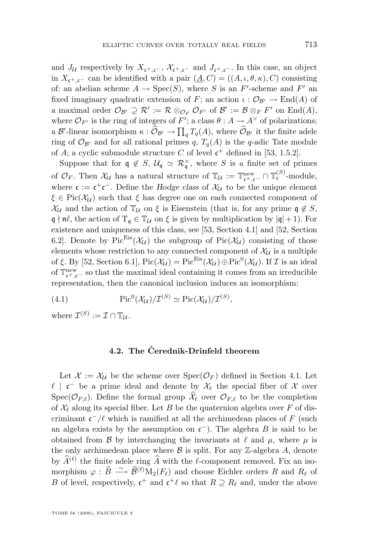<span id="page-25-0"></span>and  $J_{\mathcal{U}}$  respectively by  $X_{\mathfrak{c}^+,\mathfrak{c}^-}$ ,  $\mathcal{X}_{\mathfrak{c}^+,\mathfrak{c}^-}$  and  $J_{\mathfrak{c}^+,\mathfrak{c}^-}$ . In this case, an object in  $X_{\mathfrak{c}^+,\mathfrak{c}^-}$  can be identified with a pair  $(\underline{A}, C) = ((A, \iota, \theta, \kappa), C)$  consisting of: an abelian scheme  $A \to \text{Spec}(S)$ , where S is an F'-scheme and F' an fixed imaginary quadratic extension of F; an action  $\iota : \mathcal{O}_{\mathcal{B}'} \to \text{End}(A)$  of a maximal order  $\mathcal{O}_{\mathcal{B}'} \supseteq \mathcal{R}' := \mathcal{R} \otimes_{\mathcal{O}_F} \mathcal{O}_{F'}$  of  $\mathcal{B}' := \mathcal{B} \otimes_F F'$  on  $\text{End}(A)$ , where  $\mathcal{O}_{F'}$  is the ring of integers of  $F'$ ; a class  $\theta: A \to A^{\vee}$  of polarizations; a B'-linear isomorphism  $\kappa : \mathcal{O}_{\mathcal{B}'} \to \prod_q T_q(A)$ , where  $\mathcal{O}_{\mathcal{B}'}$  it the finite adele ring of  $\mathcal{O}_{\mathcal{B}'}$  and for all rational primes q,  $T_q(A)$  is the q-adic Tate module of A; a cyclic submodule structure C of level  $\mathfrak{c}^+$  defined in [\[53,](#page-45-0) 1.5.2].

Suppose that for  $\mathfrak{q} \notin S$ ,  $\mathcal{U}_{\mathfrak{q}} \simeq \mathcal{R}_{\mathfrak{q}}^{\times}$ , where S is a finite set of primes of  $\mathcal{O}_F$ . Then  $\mathcal{X}_\mathcal{U}$  has a natural structure of  $\mathbb{T}_\mathcal{U} := \mathbb{T}_{\mathfrak{c}^+,\mathfrak{c}^-}^{\text{new}} \cap \mathbb{T}_{\mathfrak{c}}^{(S)}$ -module, where  $\mathfrak{c} := \mathfrak{c}^+ \mathfrak{c}^-$ . Define the *Hodge class* of  $\mathcal{X}_{\mathcal{U}}$  to be the unique element  $\xi \in Pic(\mathcal{X}_{\mathcal{U}})$  such that  $\xi$  has degree one on each connected component of  $\mathcal{X}_{\mathcal{U}}$  and the action of  $\mathbb{T}_{\mathcal{U}}$  on  $\xi$  is Eisenstein (that is, for any prime  $\mathfrak{q} \notin S$ ,  $\mathfrak{q} \nmid \mathfrak{n}\ell$ , the action of  $T_{\mathfrak{q}} \in \mathbb{T}_\mathcal{U}$  on  $\xi$  is given by multiplication by  $|\mathfrak{q}| + 1$ ). For existence and uniqueness of this class, see [\[53,](#page-45-0) Section 4.1] and [\[52,](#page-45-0) Section 6.2. Denote by  $Pic^{Eis}(\mathcal{X}_{\mathcal{U}})$  the subgroup of  $Pic(\mathcal{X}_{\mathcal{U}})$  consisting of those elements whose restriction to any connected component of  $\mathcal{X}_{\mathcal{U}}$  is a multiple of ξ. By [\[52,](#page-45-0) Section 6.1],  $Pic(\mathcal{X}_\mathcal{U}) = Pic^{Eis}(\mathcal{X}_\mathcal{U}) \oplus Pic^0(\mathcal{X}_\mathcal{U})$ . If  $\mathcal{I}$  is an ideal of  $\mathbb{T}^{\text{new}}_{\mathfrak{c}^+,\mathfrak{c}^-}$  so that the maximal ideal containing it comes from an irreducible representation, then the canonical inclusion induces an isomorphism:

(4.1) 
$$
\mathrm{Pic}^0(\mathcal{X}_{\mathcal{U}})/\mathcal{I}^{(S)} \simeq \mathrm{Pic}(\mathcal{X}_{\mathcal{U}})/\mathcal{I}^{(S)},
$$

where  $\mathcal{I}^{(S)} := \mathcal{I} \cap \mathbb{T}_{\mathcal{U}}$ .

#### **4.2. The Čerednik-Drinfeld theorem**

Let  $\mathcal{X} := \mathcal{X}_{\mathcal{U}}$  be the scheme over  $\text{Spec}(\mathcal{O}_F)$  defined in Section [4.1.](#page-24-0) Let  $\ell$  |  $\mathfrak{c}^-$  be a prime ideal and denote by  $\mathcal{X}_\ell$  the special fiber of  $\mathcal X$  over  $Spec(\mathcal{O}_{F,\ell})$ . Define the formal group  $\widehat{\mathcal{X}}_{\ell}$  over  $\mathcal{O}_{F,\ell}$  to be the completion of  $\mathcal{X}_{\ell}$  along its special fiber. Let B be the quaternion algebra over F of discriminant  $\mathfrak{c}^-/\ell$  which is ramified at all the archimedean places of F (such an algebra exists by the assumption on  $\mathfrak{c}^-$ ). The algebra B is said to be obtained from B by interchanging the invariants at  $\ell$  and  $\mu$ , where  $\mu$  is the only archimedean place where  $\beta$  is split. For any Z-algebra A, denote by  $\widehat{A}^{(\ell)}$  the finite adele ring  $\widehat{A}$  with the  $\ell$ -component removed. Fix an isomorphism  $\varphi : \widehat{B} \xrightarrow{\sim} \widehat{\mathcal{B}}^{(\ell)} M_2(F_{\ell})$  and choose Eichler orders R and  $R_{\ell}$  of B of level, respectively,  $\mathfrak{c}^+$  and  $\mathfrak{c}^+\ell$  so that  $R \supseteq R_\ell$  and, under the above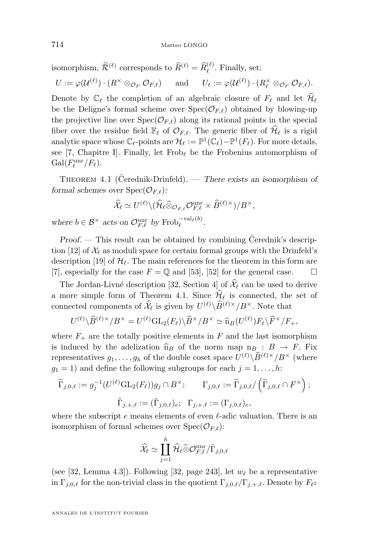isomorphism,  $\widehat{\mathcal{R}}^{(\ell)}$  corresponds to  $\widehat{R}^{(\ell)} = \widehat{R}_{\ell}^{(\ell)}$ . Finally, set:

$$
U := \varphi(\mathcal{U}^{(\ell)}) \cdot (R^\times \otimes_{\mathcal{O}_F} \mathcal{O}_{F,\ell}) \quad \text{and} \quad U_\ell := \varphi(\mathcal{U}^{(\ell)}) \cdot (R^\times_\ell \otimes_{\mathcal{O}_F} \mathcal{O}_{F,\ell}).
$$

Denote by  $\mathbb{C}_\ell$  the completion of an algebraic closure of  $F_\ell$  and let  $\mathcal{H}_\ell$ be the Deligne's formal scheme over  $Spec(\mathcal{O}_{F,\ell})$  obtained by blowing-up the projective line over  $Spec(\mathcal{O}_{F,\ell})$  along its rational points in the special fiber over the residue field  $\mathbb{F}_\ell$  of  $\mathcal{O}_{F,\ell}$ . The generic fiber of  $\mathcal{H}_\ell$  is a rigid analytic space whose  $\mathbb{C}_{\ell}$ -points are  $\mathcal{H}_{\ell} := \mathbb{P}^1(\mathbb{C}_{\ell}) - \mathbb{P}^1(F_{\ell}).$  For more details, see [\[7,](#page-42-0) Chapitre I]. Finally, let  $Frob_{\ell}$  be the Frobenius automorphism of  $Gal(F_{\ell}^{\text{unr}}/F_{\ell}).$ 

Theorem 4.1 (Čerednik-Drinfeld). — *There exists an isomorphism of formal schemes over*  $Spec(\mathcal{O}_{F,\ell})$ *:* 

$$
\widehat{\mathcal{X}}_{\ell} \simeq U^{(\ell)} \backslash (\widehat{\mathcal{H}}_{\ell} \widehat{\otimes}_{\mathcal{O}_{F,\ell}} \mathcal{O}_{F,\ell}^{\text{unr}} \times \widehat{B}^{(\ell)\times})/B^{\times},
$$

where  $b \in \mathcal{B}^{\times}$  acts on  $\mathcal{O}_{F,\ell}^{\text{unr}}$  by  $\text{Frob}_{\ell}^{-\text{val}_{\ell}(b)}$ .

*Proof. —* This result can be obtained by combining Čerednik's descrip-tion [\[12\]](#page-43-0) of  $\mathcal{X}_{\ell}$  as moduli space for certain formal groups with the Drinfeld's description [\[19\]](#page-43-0) of  $\mathcal{H}_{\ell}$ . The main references for the theorem in this form are [\[7\]](#page-42-0), especially for the case  $F = \mathbb{Q}$  and [\[53\]](#page-45-0), [\[52\]](#page-45-0) for the general case.  $\Box$ 

The Jordan-Livné description [\[32,](#page-44-0) Section 4] of  $\widehat{\mathcal{X}}_{\ell}$  can be used to derive a more simple form of Theorem 4.1. Since  $\widehat{\mathcal{H}}_{\ell}$  is connected, the set of connected components of  $\hat{\mathcal{X}}_{\ell}$  is given by  $U^{(\ell)}\backslash\hat{B}^{(\ell)\times}/B^{\times}$ . Note that

$$
U^{(\ell)}\backslash \widehat{B}^{(\ell)\times}/B^{\times} = U^{(\ell)}\mathrm{GL}_2(F_{\ell})\backslash \widehat{B}^{\times}/B^{\times} \simeq \widehat{\mathrm{n}}_B(U^{(\ell)})F_{\ell}\backslash \widehat{F}^{\times}/F_{+},
$$

where  $F_{+}$  are the totally positive elements in F and the last isomorphism is induced by the adelization  $\hat{n}_B$  of the norm map  $n_B : B \to F$ . Fix representatives  $g_1, \ldots, g_h$  of the double coset space  $U^{(\ell)} \setminus \widehat{B}^{(\ell) \times}/B^{\times}$  (where  $g_1 = 1$ ) and define the following subgroups for each  $j = 1, \ldots, h$ :

$$
\widetilde{\Gamma}_{j,0,\ell} := g_j^{-1}(U^{(\ell)}\mathrm{GL}_2(F_{\ell}))g_j \cap B^{\times}; \qquad \Gamma_{j,0,\ell} := \widetilde{\Gamma}_{j,0,\ell}/\left(\widetilde{\Gamma}_{j,0,\ell} \cap F^{\times}\right);
$$

$$
\widetilde{\Gamma}_{j,+, \ell} := (\widetilde{\Gamma}_{j,0,\ell})_e; \quad \Gamma_{j,+, \ell} := (\Gamma_{j,0,\ell})_e,
$$

where the subscript  $e$  means elements of even  $\ell$ -adic valuation. There is an isomorphism of formal schemes over  $Spec(\mathcal{O}_{F,\ell})$ :

$$
\widehat{\mathcal{X}}_\ell \simeq \coprod_{j=1}^h \widehat{\mathcal{H}}_\ell \widehat{\otimes} \mathcal{O}^{\mathrm{unr}}_{F,\ell}/\tilde{\Gamma}_{j,0,\ell}
$$

(see [\[32,](#page-44-0) Lemma 4.3]). Following [32, page 243], let  $w_{\ell}$  be a representative in  $\Gamma_{j,0,\ell}$  for the non-trivial class in the quotient  $\Gamma_{j,0,\ell}/\Gamma_{j,+, \ell}$ . Denote by  $F_{\ell^2}$ 

ANNALES DE L'INSTITUT FOURIER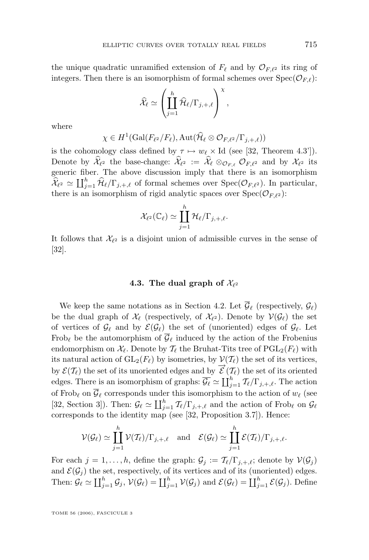<span id="page-27-0"></span>the unique quadratic unramified extension of  $F_{\ell}$  and by  $\mathcal{O}_{F,\ell^2}$  its ring of integers. Then there is an isomorphism of formal schemes over  $Spec(\mathcal{O}_{F,\ell})$ :

$$
\widehat{\mathcal{X}}_{\ell} \simeq \left(\coprod_{j=1}^h \widehat{\mathcal{H}}_{\ell}/\Gamma_{j, +, \ell}\right)^{\chi}
$$

,

where

$$
\chi \in H^1(\text{Gal}(F_{\ell^2}/F_{\ell}), \text{Aut}(\widehat{\mathcal{H}}_{\ell} \otimes \mathcal{O}_{F,\ell^2}/\Gamma_{j,+, \ell}))
$$

is the cohomology class defined by  $\tau \mapsto w_{\ell} \times$  Id (see [\[32,](#page-44-0) Theorem 4.3']). Denote by  $\mathcal{X}_{\ell^2}$  the base-change:  $\mathcal{X}_{\ell^2} := \mathcal{X}_{\ell} \otimes_{\mathcal{O}_{F,\ell}} \mathcal{O}_{F,\ell^2}$  and by  $\mathcal{X}_{\ell^2}$  its generic fiber. The above discussion imply that there is an isomorphism  $\widehat{\mathcal{X}}_{\ell^2} \simeq \coprod_{j=1}^h \widehat{\mathcal{H}}_{\ell}/\Gamma_{j,+, \ell}$  of formal schemes over  $\text{Spec}(\mathcal{O}_{F, \ell^2})$ . In particular, there is an isomorphism of rigid analytic spaces over  $Spec(\mathcal{O}_{F,\ell^2})$ :

$$
\mathcal{X}_{\ell^2}(\mathbb{C}_{\ell}) \simeq \coprod_{j=1}^h \mathcal{H}_{\ell}/\Gamma_{j,+, \ell}.
$$

It follows that  $\mathcal{X}_{\ell^2}$  is a disjoint union of admissible curves in the sense of  $|32|$ .

#### 4.3. The dual graph of  $\mathcal{X}_{\ell^2}$

We keep the same notations as in Section [4.2.](#page-25-0) Let  $\mathcal{G}_{\ell}$  (respectively,  $\mathcal{G}_{\ell}$ ) be the dual graph of  $\mathcal{X}_{\ell}$  (respectively, of  $\mathcal{X}_{\ell^2}$ ). Denote by  $\mathcal{V}(\mathcal{G}_{\ell})$  the set of vertices of  $\mathcal{G}_\ell$  and by  $\mathcal{E}(\mathcal{G}_\ell)$  the set of (unoriented) edges of  $\mathcal{G}_\ell$ . Let Frob<sub>l</sub> be the automorphism of  $\overline{\mathcal{G}}_{\ell}$  induced by the action of the Frobenius endomorphism on  $\mathcal{X}_{\ell}$ . Denote by  $\mathcal{T}_{\ell}$  the Bruhat-Tits tree of PGL<sub>2</sub>( $F_{\ell}$ ) with its natural action of  $GL_2(F_{\ell})$  by isometries, by  $\mathcal{V}(\mathcal{T}_{\ell})$  the set of its vertices, by  $\mathcal{E}(\mathcal{T}_{\ell})$  the set of its unoriented edges and by  $\overline{\mathcal{E}}(\mathcal{T}_{\ell})$  the set of its oriented edges. There is an isomorphism of graphs:  $\overline{\mathcal{G}_{\ell}} \simeq \coprod_{j=1}^{h} \mathcal{T}_{\ell}/\Gamma_{j,+, \ell}$ . The action of Frob<sub>l</sub> on  $\overline{\mathcal{G}}_{\ell}$  corresponds under this isomorphism to the action of  $w_{\ell}$  (see [\[32,](#page-44-0) Section 3]). Then:  $\mathcal{G}_{\ell} \simeq \coprod_{j=1}^h \mathcal{I}_{\ell}/\Gamma_{j,+, \ell}$  and the action of Frob<sub> $\ell$ </sub> on  $\mathcal{G}_{\ell}$ corresponds to the identity map (see [\[32,](#page-44-0) Proposition 3.7]). Hence:

$$
\mathcal{V}(\mathcal{G}_{\ell}) \simeq \prod_{j=1}^{h} \mathcal{V}(\mathcal{T}_{\ell})/\Gamma_{j, +, \ell} \quad \text{and} \quad \mathcal{E}(\mathcal{G}_{\ell}) \simeq \prod_{j=1}^{h} \mathcal{E}(\mathcal{T}_{\ell})/\Gamma_{j, +, \ell}.
$$

For each  $j = 1, ..., h$ , define the graph:  $\mathcal{G}_j := \mathcal{T}_{\ell}/\Gamma_{j,+, \ell}$ ; denote by  $\mathcal{V}(\mathcal{G}_j)$ and  $\mathcal{E}(\mathcal{G}_j)$  the set, respectively, of its vertices and of its (unoriented) edges. Then:  $\mathcal{G}_{\ell} \simeq \coprod_{j=1}^h \mathcal{G}_j$ ,  $\mathcal{V}(\mathcal{G}_{\ell}) = \coprod_{j=1}^h \mathcal{V}(\mathcal{G}_j)$  and  $\mathcal{E}(\mathcal{G}_{\ell}) = \coprod_{j=1}^h \mathcal{E}(\mathcal{G}_j)$ . Define

TOME 56 (2006), FASCICULE 3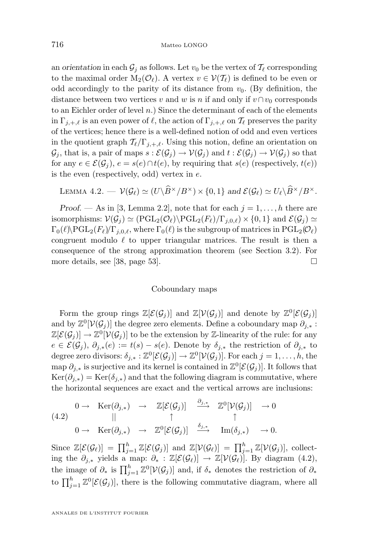<span id="page-28-0"></span>an *orientation* in each  $\mathcal{G}_j$  as follows. Let  $v_0$  be the vertex of  $\mathcal{T}_\ell$  corresponding to the maximal order  $M_2(\mathcal{O}_\ell)$ . A vertex  $v \in \mathcal{V}(\mathcal{T}_\ell)$  is defined to be even or odd accordingly to the parity of its distance from  $v_0$ . (By definition, the distance between two vertices v and w is n if and only if  $v \cap v_0$  corresponds to an Eichler order of level  $n$ .) Since the determinant of each of the elements in  $\Gamma_{i,+, \ell}$  is an even power of  $\ell$ , the action of  $\Gamma_{i,+, \ell}$  on  $\mathcal{T}_{\ell}$  preserves the parity of the vertices; hence there is a well-defined notion of odd and even vertices in the quotient graph  $\mathcal{T}_{\ell}/\Gamma_{i,+,\ell}$ . Using this notion, define an orientation on  $\mathcal{G}_j$ , that is, a pair of maps  $s : \mathcal{E}(\mathcal{G}_j) \to \mathcal{V}(\mathcal{G}_j)$  and  $t : \mathcal{E}(\mathcal{G}_j) \to \mathcal{V}(\mathcal{G}_j)$  so that for any  $e \in \mathcal{E}(\mathcal{G}_i)$ ,  $e = s(e) \cap t(e)$ , by requiring that  $s(e)$  (respectively,  $t(e)$ ) is the even (respectively, odd) vertex in  $e$ .

LEMMA 4.2. 
$$
-\mathcal{V}(\mathcal{G}_{\ell}) \simeq (U \setminus \widehat{B}^{\times}/B^{\times}) \times \{0,1\}
$$
 and  $\mathcal{E}(\mathcal{G}_{\ell}) \simeq U_{\ell} \setminus \widehat{B}^{\times}/B^{\times}$ .

*Proof.* — As in [\[3,](#page-42-0) Lemma 2.2], note that for each  $j = 1, \ldots, h$  there are isomorphisms:  $V(G_i) \simeq (\text{PGL}_2(\mathcal{O}_\ell) \backslash \text{PGL}_2(F_\ell)/\Gamma_{i,0,\ell}) \times \{0,1\}$  and  $\mathcal{E}(G_i) \simeq$  $\Gamma_0(\ell)\text{PGL}_2(F_{\ell})/\Gamma_{j,0,\ell}$ , where  $\Gamma_0(\ell)$  is the subgroup of matrices in  $\text{PGL}_2(\mathcal{O}_{\ell})$ congruent modulo  $\ell$  to upper triangular matrices. The result is then a consequence of the strong approximation theorem (see Section [3.2\)](#page-20-0). For more details, see [\[38,](#page-44-0) page 53].  $\Box$ 

#### Coboundary maps

Form the group rings  $\mathbb{Z}[\mathcal{E}(\mathcal{G}_j)]$  and  $\mathbb{Z}[\mathcal{V}(\mathcal{G}_j)]$  and denote by  $\mathbb{Z}^0[\mathcal{E}(\mathcal{G}_j)]$ and by  $\mathbb{Z}^0[\mathcal{V}(\mathcal{G}_j)]$  the degree zero elements. Define a coboundary map  $\partial_{j,*}$ :  $\mathbb{Z}[\mathcal{E}(\mathcal{G}_j)] \to \mathbb{Z}^0[\mathcal{V}(\mathcal{G}_j)]$  to be the extension by Z-linearity of the rule: for any  $e \in \mathcal{E}(\mathcal{G}_i)$ ,  $\partial_{i,*}(e) := t(s) - s(e)$ . Denote by  $\delta_{i,*}$  the restriction of  $\partial_{i,*}$  to degree zero divisors:  $\delta_{j,*}: \mathbb{Z}^0[\mathcal{E}(\mathcal{G}_j)] \to \mathbb{Z}^0[\mathcal{V}(\mathcal{G}_j)]$ . For each  $j = 1, \ldots, h$ , the map  $\partial_{j,*}$  is surjective and its kernel is contained in  $\mathbb{Z}^0[\mathcal{E}(\mathcal{G}_j)]$ . It follows that  $Ker(\partial_{i,*}) = Ker(\delta_{i,*})$  and that the following diagram is commutative, where the horizontal sequences are exact and the vertical arrows are inclusions:

$$
(4.2) \quad 0 \to \quad \text{Ker}(\partial_{j,*}) \quad \to \quad \mathbb{Z}[\mathcal{E}(\mathcal{G}_j)] \quad \xrightarrow{\partial_{j,*}} \quad \mathbb{Z}^0[\mathcal{V}(\mathcal{G}_j)] \quad \to 0
$$
\n
$$
0 \to \quad \text{Ker}(\partial_{j,*}) \quad \to \quad \mathbb{Z}^0[\mathcal{E}(\mathcal{G}_j)] \quad \xrightarrow{\delta_{j,*}} \quad \text{Im}(\delta_{j,*}) \quad \to 0.
$$

Since  $\mathbb{Z}[\mathcal{E}(\mathcal{G}_{\ell})] = \prod_{j=1}^{h} \mathbb{Z}[\mathcal{E}(\mathcal{G}_{j})]$  and  $\mathbb{Z}[\mathcal{V}(\mathcal{G}_{\ell})] = \prod_{j=1}^{h} \mathbb{Z}[\mathcal{V}(\mathcal{G}_{j})]$ , collecting the  $\partial_{j,*}$  yields a map:  $\partial_* : \mathbb{Z}[\mathcal{E}(\mathcal{G}_{\ell})] \to \mathbb{Z}[\mathcal{V}(\mathcal{G}_{\ell})]$ . By diagram (4.2), the image of  $\partial_*$  is  $\prod_{j=1}^h \mathbb{Z}^0[\mathcal{V}(\mathcal{G}_j)]$  and, if  $\delta_*$  denotes the restriction of  $\partial_*$ to  $\prod_{j=1}^{h} \mathbb{Z}^{0}[\mathcal{E}(\mathcal{G}_{j})],$  there is the following commutative diagram, where all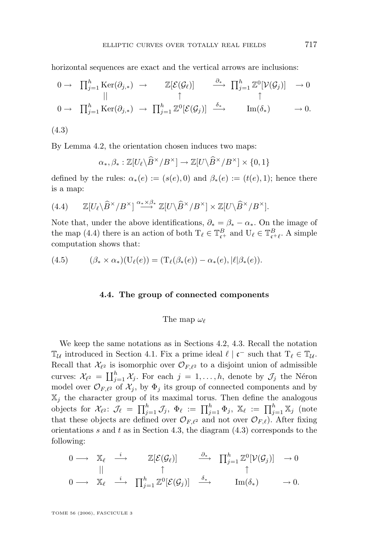<span id="page-29-0"></span>horizontal sequences are exact and the vertical arrows are inclusions:

$$
0 \to \prod_{j=1}^{h} \text{Ker}(\partial_{j,*}) \to \mathbb{Z}[\mathcal{E}(\mathcal{G}_{\ell})] \xrightarrow{\partial_{*}} \prod_{j=1}^{h} \mathbb{Z}^{0}[\mathcal{V}(\mathcal{G}_{j})] \to 0
$$
  

$$
0 \to \prod_{j=1}^{h} \text{Ker}(\partial_{j,*}) \to \prod_{j=1}^{h} \mathbb{Z}^{0}[\mathcal{E}(\mathcal{G}_{j})] \xrightarrow{\delta_{*}} \text{Im}(\delta_{*}) \to 0.
$$

$$
(4.3)
$$

By Lemma [4.2,](#page-28-0) the orientation chosen induces two maps:

$$
\alpha_*, \beta_* : \mathbb{Z}[U_\ell\backslash \widehat{B}^\times/B^\times] \to \mathbb{Z}[U\backslash \widehat{B}^\times/B^\times] \times \{0,1\}
$$

defined by the rules:  $\alpha_*(e) := (s(e), 0)$  and  $\beta_*(e) := (t(e), 1)$ ; hence there is a map:

(4.4) 
$$
\mathbb{Z}[U_{\ell}\backslash \widehat{B}^{\times}/B^{\times}] \stackrel{\alpha_{*}\times\beta_{*}}{\longrightarrow} \mathbb{Z}[U\backslash \widehat{B}^{\times}/B^{\times}] \times \mathbb{Z}[U\backslash \widehat{B}^{\times}/B^{\times}].
$$

Note that, under the above identifications,  $\partial_* = \beta_* - \alpha_*$ . On the image of the map (4.4) there is an action of both  $T_\ell \in \mathbb{T}^B_{\mathfrak{c}^+}$  and  $U_\ell \in \mathbb{T}^B_{\mathfrak{c}^+\ell}$ . A simple computation shows that:

$$
(4.5) \qquad (\beta_* \times \alpha_*)(\mathrm{U}_{\ell}(e)) = (\mathrm{T}_{\ell}(\beta_*(e)) - \alpha_*(e), |\ell|\beta_*(e)).
$$

#### **4.4. The group of connected components**

#### The map  $\omega_{\ell}$

We keep the same notations as in Sections [4.2,](#page-25-0) [4.3.](#page-27-0) Recall the notation  $\mathbb{T}_u$  introduced in Section [4.1.](#page-24-0) Fix a prime ideal  $\ell \mid \mathfrak{c}^-$  such that  $T_\ell \in \mathbb{T}_u$ . Recall that  $\mathcal{X}_{\ell^2}$  is isomorphic over  $\mathcal{O}_{F,\ell^2}$  to a disjoint union of admissible curves:  $\mathcal{X}_{\ell^2} = \coprod_{j=1}^h \mathcal{X}_j$ . For each  $j = 1, \ldots, h$ , denote by  $\mathcal{J}_j$  the Néron model over  $\mathcal{O}_{F,\ell^2}$  of  $\mathcal{X}_j$ , by  $\Phi_j$  its group of connected components and by  $\mathbb{X}_i$  the character group of its maximal torus. Then define the analogous objects for  $\mathcal{X}_{\ell^2}$ :  $\mathcal{J}_{\ell} = \prod_{j=1}^h \mathcal{J}_j$ ,  $\Phi_{\ell} := \prod_{j=1}^h \Phi_j$ ,  $\mathbb{X}_{\ell} := \prod_{j=1}^h \mathbb{X}_j$  (note that these objects are defined over  $\mathcal{O}_{F,\ell^2}$  and not over  $\mathcal{O}_{F,\ell}$ ). After fixing orientations  $s$  and  $t$  as in Section [4.3,](#page-27-0) the diagram  $(4.3)$  corresponds to the following:

$$
\begin{array}{ccccccccc}\n0 & \longrightarrow & \mathbb{X}_{\ell} & \xrightarrow{i} & \mathbb{Z}[\mathcal{E}(\mathcal{G}_{\ell})] & \xrightarrow{\partial_{*}} & \prod_{j=1}^{h} \mathbb{Z}^{0}[\mathcal{V}(\mathcal{G}_{j})] & \rightarrow 0 \\
0 & \longrightarrow & \mathbb{X}_{\ell} & \xrightarrow{i} & \prod_{j=1}^{h} \mathbb{Z}^{0}[\mathcal{E}(\mathcal{G}_{j})] & \xrightarrow{\delta_{*}} & \text{Im}(\delta_{*}) & \rightarrow 0.\n\end{array}
$$

TOME 56 (2006), FASCICULE 3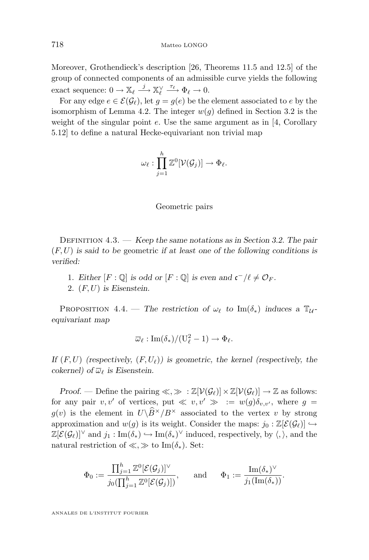<span id="page-30-0"></span>Moreover, Grothendieck's description [\[26,](#page-43-0) Theorems 11.5 and 12.5] of the group of connected components of an admissible curve yields the following exact sequence:  $0 \to \mathbb{X}_{\ell} \stackrel{j}{\longrightarrow} \mathbb{X}_{\ell}^{\vee} \stackrel{\tau_{\ell}}{\longrightarrow} \Phi_{\ell} \to 0.$ 

For any edge  $e \in \mathcal{E}(\mathcal{G}_{\ell})$ , let  $g = g(e)$  be the element associated to e by the isomorphism of Lemma [4.2.](#page-28-0) The integer  $w(q)$  defined in Section [3.2](#page-20-0) is the weight of the singular point  $e$ . Use the same argument as in [\[4,](#page-42-0) Corollary 5.12] to define a natural Hecke-equivariant non trivial map

$$
\omega_\ell:\prod_{j=1}^h\mathbb{Z}^0[\mathcal{V}(\mathcal{G}_j)]\rightarrow \Phi_\ell.
$$

#### Geometric pairs

Definition 4.3. — *Keep the same notations as in Section [3.2.](#page-20-0) The pair* (F, U) *is said to be* geometric *if at least one of the following conditions is verified:*

- 1. *Either*  $[F: \mathbb{Q}]$  *is odd or*  $[F: \mathbb{Q}]$  *is even and*  $\mathfrak{c}^-/\ell \neq \mathcal{O}_F$ *.*
- 2. (F, U) *is Eisenstein.*

PROPOSITION 4.4. — *The restriction of*  $\omega_{\ell}$  *to* Im( $\delta_*$ ) *induces a*  $\mathbb{T}_{\mathcal{U}}$ *equivariant map*

$$
\overline{\omega}_{\ell} : \mathrm{Im}(\delta_*)/(U_{\ell}^2 - 1) \to \Phi_{\ell}.
$$

*If*  $(F, U)$  (respectively,  $(F, U_{\ell})$ ) is geometric, the kernel (respectively, the *cokernel)* of  $\overline{\omega}_{\ell}$  *is Eisenstein.* 

*Proof.* — Define the pairing  $\ll$ ,  $\gg$  :  $\mathbb{Z}[\mathcal{V}(\mathcal{G}_{\ell})] \times \mathbb{Z}[\mathcal{V}(\mathcal{G}_{\ell})] \to \mathbb{Z}$  as follows: for any pair v, v' of vertices, put  $\ll v, v' \gg := w(g)\delta_{v,v'}$ , where  $g =$  $g(v)$  is the element in  $U\backslash \widehat{B}^{\times}/B^{\times}$  associated to the vertex v by strong approximation and  $w(g)$  is its weight. Consider the maps:  $j_0 : \mathbb{Z}[\mathcal{E}(\mathcal{G}_\ell)] \hookrightarrow$  $\mathbb{Z}[\mathcal{E}(\mathcal{G}_{\ell})]^{\vee}$  and  $j_1 : \text{Im}(\delta_*) \hookrightarrow \text{Im}(\delta_*)^{\vee}$  induced, respectively, by  $\langle, \rangle$ , and the natural restriction of  $\ll, \gg$  to Im( $\delta_*$ ). Set:

$$
\Phi_0 := \frac{\prod_{j=1}^h \mathbb{Z}^0[\mathcal{E}(\mathcal{G}_j)]^{\vee}}{j_0(\prod_{j=1}^h \mathbb{Z}^0[\mathcal{E}(\mathcal{G}_j)])}, \quad \text{and} \quad \Phi_1 := \frac{\text{Im}(\delta_*)^{\vee}}{j_1(\text{Im}(\delta_*))}.
$$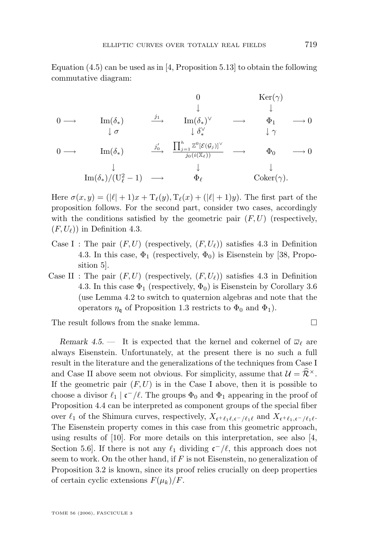Equation  $(4.5)$  can be used as in [\[4,](#page-42-0) Proposition 5.13] to obtain the following commutative diagram:

$$
\begin{array}{ccccccc}\n & & & & & & & 0 & & \text{Ker}(\gamma) \\
0 & \longrightarrow & \text{Im}(\delta_*) & \xrightarrow{j_1} & \text{Im}(\delta_*)^{\vee} & \longrightarrow & \Phi_1 & \longrightarrow 0 \\
& \downarrow \sigma & & \downarrow \delta^{\vee}_* & & \downarrow \gamma & \\
0 & \longrightarrow & \text{Im}(\delta_*) & \xrightarrow{j_0'} & \frac{\prod_{j=1}^h \mathbb{Z}^0[\mathcal{E}(\mathcal{G}_j)]^{\vee}}{j_0(i(\mathbb{X}_\ell))} & \longrightarrow & \Phi_0 & \longrightarrow 0 \\
& & & & & \downarrow & & \downarrow \\
& & & & \text{Im}(\delta_*)/(U_{\ell}^2 - 1) & \longrightarrow & \Phi_{\ell} & & \text{Coker}(\gamma).\n\end{array}
$$

Here  $\sigma(x, y) = (|\ell| + 1)x + T_{\ell}(y), T_{\ell}(x) + (|\ell| + 1)y$ ). The first part of the proposition follows. For the second part, consider two cases, accordingly with the conditions satisfied by the geometric pair  $(F, U)$  (respectively,  $(F, U_{\ell})$  in Definition [4.3.](#page-30-0)

- Case I : The pair  $(F, U)$  (respectively,  $(F, U_{\ell})$ ) satisfies [4.3](#page-30-0) in Definition [4.3.](#page-30-0) In this case,  $\Phi_1$  (respectively,  $\Phi_0$ ) is Eisenstein by [\[38,](#page-44-0) Proposition 5].
- Case II : The pair  $(F, U)$  (respectively,  $(F, U_{\ell})$ ) satisfies [4.3](#page-30-0) in Definition [4.3.](#page-30-0) In this case  $\Phi_1$  (respectively,  $\Phi_0$ ) is Eisenstein by Corollary [3.6](#page-23-0) (use Lemma [4.2](#page-28-0) to switch to quaternion algebras and note that the operators  $\eta_{\mathfrak{q}}$  of Proposition [1.3](#page-14-0) restricts to  $\Phi_0$  and  $\Phi_1$ ).

The result follows from the snake lemma.

*Remark 4.5.* — It is expected that the kernel and cokernel of  $\overline{\omega}_{\ell}$  are always Eisenstein. Unfortunately, at the present there is no such a full result in the literature and the generalizations of the techniques from Case I and Case II above seem not obvious. For simplicity, assume that  $\mathcal{U} = \widehat{\mathcal{R}}^{\times}$ . If the geometric pair  $(F, U)$  is in the Case I above, then it is possible to choose a divisor  $\ell_1 | c^-/\ell$ . The groups  $\Phi_0$  and  $\Phi_1$  appearing in the proof of Proposition [4.4](#page-30-0) can be interpreted as component groups of the special fiber over  $\ell_1$  of the Shimura curves, respectively,  $X_{\mathfrak{c}^+\ell_1\ell,\mathfrak{c}^-/\ell_1\ell}$  and  $X_{\mathfrak{c}^+\ell_1,\mathfrak{c}^-/\ell_1\ell}$ . The Eisenstein property comes in this case from this geometric approach, using results of  $[10]$ . For more details on this interpretation, see also  $[4]$ , Section 5.6. If there is not any  $\ell_1$  dividing  $\mathfrak{c}^-/\ell$ , this approach does not seem to work. On the other hand, if  $F$  is not Eisenstein, no generalization of Proposition [3.2](#page-22-0) is known, since its proof relies crucially on deep properties of certain cyclic extensions  $F(\mu_k)/F$ .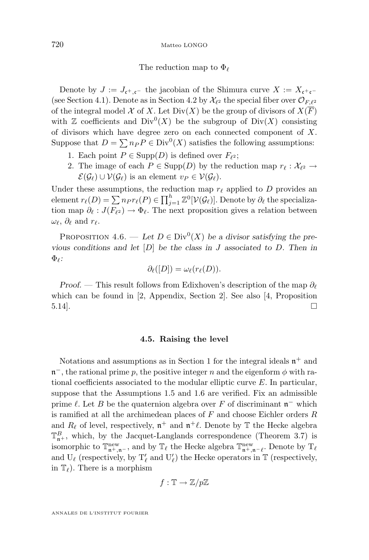#### The reduction map to  $\Phi$

<span id="page-32-0"></span>Denote by  $J := J_{c^+ \ c^-}$  the jacobian of the Shimura curve  $X := X_{c^+ c^-}$ (see Section [4.1\)](#page-24-0). Denote as in Section [4.2](#page-25-0) by  $\mathcal{X}_{\ell^2}$  the special fiber over  $\mathcal{O}_{F,\ell^2}$ of the integral model X of X. Let  $Div(X)$  be the group of divisors of  $X(\overline{F})$ with  $\mathbb Z$  coefficients and  $Div^0(X)$  be the subgroup of  $Div(X)$  consisting of divisors which have degree zero on each connected component of X. Suppose that  $D = \sum n_P P \in Div^0(X)$  satisfies the following assumptions:

- 1. Each point  $P \in \text{Supp}(D)$  is defined over  $F_{\ell^2}$ ;
- 2. The image of each  $P \in \text{Supp}(D)$  by the reduction map  $r_{\ell} : \mathcal{X}_{\ell^2} \to$  $\mathcal{E}(\mathcal{G}_{\ell}) \cup \mathcal{V}(\mathcal{G}_{\ell})$  is an element  $v_P \in \mathcal{V}(\mathcal{G}_{\ell}).$

Under these assumptions, the reduction map  $r_\ell$  applied to D provides an element  $r_{\ell}(D) = \sum n_P r_{\ell}(P) \in \prod_{j=1}^h \mathbb{Z}^0[\mathcal{V}(\mathcal{G}_{\ell})].$  Denote by  $\partial_{\ell}$  the specialization map  $\partial_{\ell} : J(F_{\ell^2}) \to \Phi_{\ell}$ . The next proposition gives a relation between  $\omega_{\ell}, \partial_{\ell}$  and  $r_{\ell}.$ 

PROPOSITION  $4.6.$  — Let  $D \in Div^0(X)$  be a divisor satisfying the pre*vious conditions and let* [D] *be the class in* J *associated to* D*. Then in*  $\Phi_{\ell}$ :

$$
\partial_{\ell}([D]) = \omega_{\ell}(r_{\ell}(D)).
$$

*Proof.* — This result follows from Edixhoven's description of the map  $\partial_{\ell}$ which can be found in [\[2,](#page-42-0) Appendix, Section 2]. See also [\[4,](#page-42-0) Proposition  $5.14$ ].

#### **4.5. Raising the level**

Notations and assumptions as in Section [1](#page-12-0) for the integral ideals  $\mathfrak{n}^+$  and  $\mathfrak{n}^-$ , the rational prime p, the positive integer n and the eigenform  $\phi$  with rational coefficients associated to the modular elliptic curve  $E$ . In particular, suppose that the Assumptions [1.5](#page-14-0) and [1.6](#page-15-0) are verified. Fix an admissible prime  $\ell$ . Let B be the quaternion algebra over F of discriminant  $\mathfrak{n}^-$  which is ramified at all the archimedean places of  $F$  and choose Eichler orders  $R$ and  $R_\ell$  of level, respectively,  $\mathfrak{n}^+$  and  $\mathfrak{n}^+\ell$ . Denote by  $\mathbb T$  the Hecke algebra  $\mathbb{T}_{n+}^B$ , which, by the Jacquet-Langlands correspondence (Theorem [3.7\)](#page-23-0) is isomorphic to  $\mathbb{T}^{\text{new}}_{\mathfrak{n}^+, \mathfrak{n}^-}$ , and by  $\mathbb{T}_\ell$  the Hecke algebra  $\mathbb{T}^{\text{new}}_{\mathfrak{n}^+, \mathfrak{n}^- \ell}$ . Denote by  $T_\ell$ and  $U_{\ell}$  (respectively, by  $T'_{\ell}$  and  $U'_{\ell}$ ) the Hecke operators in  $\mathbb T$  (respectively, in  $\mathbb{T}_{\ell}$ ). There is a morphism

$$
f:\mathbb{T}\to\mathbb{Z}/p\mathbb{Z}
$$

ANNALES DE L'INSTITUT FOURIER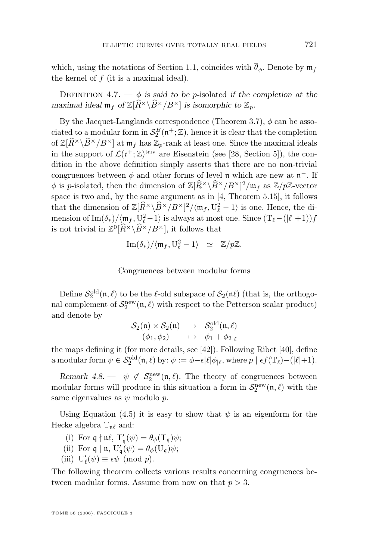<span id="page-33-0"></span>which, using the notations of Section [1.1,](#page-12-0) coincides with  $\bar{\theta}_{\phi}$ . Denote by  $\mathfrak{m}_f$ the kernel of f (it is a maximal ideal).

DEFINITION 4.7.  $-\phi$  *is said to be p*-isolated *if the completion at the maximal ideal*  $\mathfrak{m}_f$  *of*  $\mathbb{Z}[\widehat{R}^{\times} \backslash \widehat{B}^{\times}/B^{\times}]$  *is isomorphic to*  $\mathbb{Z}_p$ *.* 

By the Jacquet-Langlands correspondence (Theorem [3.7\)](#page-23-0),  $\phi$  can be associated to a modular form in  $\mathcal{S}_2^B(\mathfrak{n}^+;\mathbb{Z})$ , hence it is clear that the completion of  $\mathbb{Z}[\widehat{R}^{\times} \setminus \widehat{B}^{\times}/B^{\times}]$  at  $\mathfrak{m}_f$  has  $\mathbb{Z}_p$ -rank at least one. Since the maximal ideals in the support of  $\mathcal{L}(\mathfrak{c}^+;\mathbb{Z})^{\text{triv}}$  are Eisenstein (see [\[28,](#page-44-0) Section 5]), the condition in the above definition simply asserts that there are no non-trivial congruences between  $\phi$  and other forms of level  $\mathfrak n$  which are new at  $\mathfrak n^-$ . If  $\phi$  is p-isolated, then the dimension of  $\mathbb{Z}[\widehat{R}^{\times}\backslash\widehat{B}^{\times}/B^{\times}]^2/\mathfrak{m}_f$  as  $\mathbb{Z}/p\mathbb{Z}$ -vector space is two and, by the same argument as in [\[4,](#page-42-0) Theorem 5.15], it follows that the dimension of  $\mathbb{Z}[\widehat{R}^{\times} \setminus \widehat{B}^{\times}/B^{\times}]^2 / \langle \mathfrak{m}_f, U_{\ell}^2 - 1 \rangle$  is one. Hence, the dimension of  $\text{Im}(\delta_*)/\langle \mathfrak{m}_f, U_\ell^2 - 1 \rangle$  is always at most one. Since  $(T_\ell - (|\ell|+1))f$ is not trivial in  $\mathbb{Z}^0[\widehat{R}^\times \backslash \widehat{B}^\times / B^\times]$ , it follows that

$$
\operatorname{Im}(\delta_*)/\langle \mathfrak{m}_f, U_\ell^2 - 1 \rangle \quad \simeq \quad \mathbb{Z}/p\mathbb{Z}.
$$

Congruences between modular forms

Define  $S_2^{\text{old}}(\mathfrak{n}, \ell)$  to be the  $\ell$ -old subspace of  $S_2(\mathfrak{n}\ell)$  (that is, the orthogonal complement of  $\mathcal{S}^{\text{new}}_2(\mathfrak{n}, \ell)$  with respect to the Petterson scalar product) and denote by

$$
\begin{array}{rcl}\mathcal{S}_2(\mathfrak{n})\times\mathcal{S}_2(\mathfrak{n})&\to&\mathcal{S}_2^{\mathrm{old}}(\mathfrak{n},\ell)\\ (\phi_1,\phi_2)&\mapsto&\phi_1+\phi_{2|\ell}\end{array}
$$

the maps defining it (for more details, see [\[42\]](#page-44-0)). Following Ribet [\[40\]](#page-44-0), define a modular form  $\psi \in \mathcal{S}_2^{\text{old}}(\mathfrak{n}, \ell)$  by:  $\psi := \phi - \epsilon |\ell| \phi_{|\ell}$ , where  $p \mid \epsilon f(\mathrm{T}_{\ell})-(|\ell|+1)$ .

*Remark 4.8.* —  $\psi \notin S_2^{\text{new}}(\mathfrak{n}, \ell)$ . The theory of congruences between modular forms will produce in this situation a form in  $\mathcal{S}_2^{\text{new}}(\mathfrak{n}, \ell)$  with the same eigenvalues as  $\psi$  modulo p.

Using Equation [\(4.5\)](#page-29-0) it is easy to show that  $\psi$  is an eigenform for the Hecke algebra  $\mathbb{T}_{n\ell}$  and:

- (i) For  $\mathfrak{q} \nmid \mathfrak{n}\ell$ ,  $T'_{\mathfrak{q}}(\psi) = \theta_{\phi}(T_{\mathfrak{q}})\psi$ ;
- (ii) For  $\mathfrak{q} \mid \mathfrak{n}$ ,  $U'_{\mathfrak{q}}(\psi) = \theta_{\phi}(U_{\mathfrak{q}})\psi$ ;
- (iii)  $U'_{\ell}(\psi) \equiv \epsilon \psi \pmod{p}.$

The following theorem collects various results concerning congruences between modular forms. Assume from now on that  $p > 3$ .

TOME 56 (2006), FASCICULE 3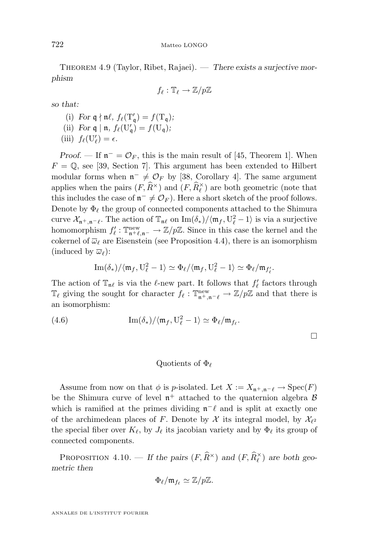<span id="page-34-0"></span>THEOREM 4.9 (Taylor, Ribet, Rajaei). — *There exists a surjective morphism*

$$
f_{\ell}:\mathbb{T}_{\ell}\to\mathbb{Z}/p\mathbb{Z}
$$

*so that:*

(i) For 
$$
\mathfrak{q} \nmid \mathfrak{n}\ell
$$
,  $f_{\ell}(\mathbf{T}'_{\mathfrak{q}}) = f(\mathbf{T}_{\mathfrak{q}})$ ;

- (ii) *For*  $\mathfrak{q} \mid \mathfrak{n}$ ,  $f_{\ell}(\mathbf{U}'_{\mathfrak{q}}) = f(\mathbf{U}_{\mathfrak{q}})$ ;
- (iii)  $f_{\ell}(\mathbf{U}'_{\ell}) = \epsilon$ .

*Proof.* — If  $\mathfrak{n}^- = \mathcal{O}_F$ , this is the main result of [\[45,](#page-44-0) Theorem 1]. When  $F = \mathbb{Q}$ , see [\[39,](#page-44-0) Section 7]. This argument has been extended to Hilbert modular forms when  $\mathfrak{n}^- \neq \mathcal{O}_F$  by [\[38,](#page-44-0) Corollary 4]. The same argument applies when the pairs  $(F, \widehat{R}^{\times})$  and  $(F, \widehat{R}_{\ell}^{\times})$  are both geometric (note that this includes the case of  $\mathfrak{n}^- \neq \mathcal{O}_F$ . Here a short sketch of the proof follows. Denote by  $\Phi_\ell$  the group of connected components attached to the Shimura curve  $\mathcal{X}_{n^+,n^-\ell}$ . The action of  $\mathbb{T}_{n\ell}$  on  $\text{Im}(\delta_*)/\langle \mathfrak{m}_f, U_\ell^2 - 1 \rangle$  is via a surjective homomorphism  $f'_{\ell} : \mathbb{T}^{\text{new}}_{\mathfrak{n}+\ell,\mathfrak{n}^-} \to \mathbb{Z}/p\mathbb{Z}$ . Since in this case the kernel and the cokernel of  $\overline{\omega}_{\ell}$  are Eisenstein (see Proposition [4.4\)](#page-30-0), there is an isomorphism (induced by  $\overline{\omega}_{\ell}$ ):

$$
\operatorname{Im}(\delta_*)/\langle \mathfrak{m}_f, \mathrm{U}_{\ell}^2 - 1 \rangle \simeq \Phi_{\ell}/\langle \mathfrak{m}_f, \mathrm{U}_{\ell}^2 - 1 \rangle \simeq \Phi_{\ell}/\mathfrak{m}_{f'_{\ell}}.
$$

The action of  $\mathbb{T}_{\mathfrak{n}\ell}$  is via the  $\ell$ -new part. It follows that  $f'_\ell$  factors through  $\mathbb{T}_\ell$  giving the sought for character  $f_\ell : \mathbb{T}^{\text{new}}_{\mathfrak{n}^+,\mathfrak{n}^-\ell} \to \mathbb{Z}/p\mathbb{Z}$  and that there is an isomorphism:

(4.6) 
$$
\operatorname{Im}(\delta_*)/\langle \mathfrak{m}_f, U_\ell^2 - 1 \rangle \simeq \Phi_\ell/\mathfrak{m}_{f_\ell}.
$$

 $\Box$ 

#### Quotients of  $\Phi$

Assume from now on that  $\phi$  is p-isolated. Let  $X := X_{\mathfrak{n}^+,\mathfrak{n}^- \ell} \to \operatorname{Spec}(F)$ be the Shimura curve of level  $\mathfrak{n}^+$  attached to the quaternion algebra  $\mathcal B$ which is ramified at the primes dividing  $\mathfrak{n}^- \ell$  and is split at exactly one of the archimedean places of F. Denote by  $\mathcal X$  its integral model, by  $\mathcal X_{\ell^2}$ the special fiber over  $K_{\ell}$ , by  $J_{\ell}$  its jacobian variety and by  $\Phi_{\ell}$  its group of connected components.

PROPOSITION 4.10. — *If the pairs*  $(F, \widehat{R}^{\times})$  *and*  $(F, \widehat{R}_{\ell}^{\times})$  *are both geometric then*

$$
\Phi_{\ell}/\mathfrak{m}_{f_{\ell}} \simeq \mathbb{Z}/p\mathbb{Z}.
$$

ANNALES DE L'INSTITUT FOURIER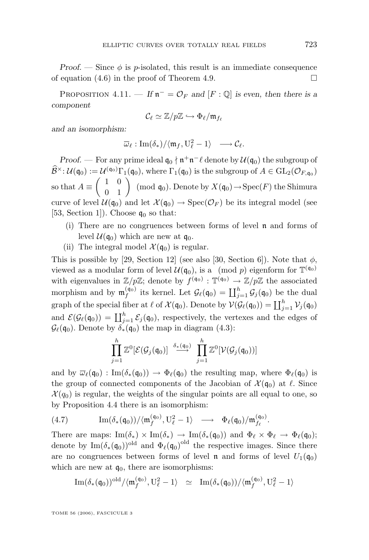<span id="page-35-0"></span>*Proof.* — Since  $\phi$  is *p*-isolated, this result is an immediate consequence of equation  $(4.6)$  in the proof of Theorem [4.9.](#page-33-0)

PROPOSITION  $4.11.$  — *If*  $\mathfrak{n}^- = \mathcal{O}_F$  and  $[F : \mathbb{Q}]$  *is even, then there is a component*

$$
\mathcal{C}_\ell\simeq \mathbb{Z}/p\mathbb{Z}\hookrightarrow \Phi_\ell/\mathfrak{m}_{f_\ell}
$$

*and an isomorphism:*

$$
\overline{\omega}_{\ell} : \mathrm{Im}(\delta_*) / \langle \mathfrak{m}_f, \mathrm{U}_{\ell}^2 - 1 \rangle \longrightarrow \mathcal{C}_{\ell}.
$$

*Proof.* — For any prime ideal  $\mathfrak{q}_0 \nmid \mathfrak{n}^+\mathfrak{n}^- \ell$  denote by  $\mathcal{U}(\mathfrak{q}_0)$  the subgroup of  $\hat{\mathcal{B}}^{\times}:\mathcal{U}(\mathfrak{q}_0):=\mathcal{U}^{(\mathfrak{q}_0)}\Gamma_1(\mathfrak{q}_0)$ , where  $\Gamma_1(\mathfrak{q}_0)$  is the subgroup of  $A\in GL_2(\mathcal{O}_{F,\mathfrak{q}_0})$ so that  $A \equiv \begin{pmatrix} 1 & 0 \\ 0 & 1 \end{pmatrix} \pmod{\mathfrak{q}_0}$ . Denote by  $X(\mathfrak{q}_0) \to \text{Spec}(F)$  the Shimura curve of level  $\mathcal{U}(\mathfrak{q}_0)$  and let  $\mathcal{X}(\mathfrak{q}_0) \to \text{Spec}(\mathcal{O}_F)$  be its integral model (see [\[53,](#page-45-0) Section 1]). Choose  $\mathfrak{q}_0$  so that:

- (i) There are no congruences between forms of level n and forms of level  $\mathcal{U}(\mathfrak{g}_0)$  which are new at  $\mathfrak{g}_0$ .
- (ii) The integral model  $\mathcal{X}(\mathfrak{q}_0)$  is regular.

This is possible by [\[29,](#page-44-0) Section 12] (see also [\[30,](#page-44-0) Section 6]). Note that  $\phi$ , viewed as a modular form of level  $\mathcal{U}(\mathfrak{q}_0)$ , is a  $p$  eigenform for  $\mathbb{T}^{(\mathfrak{q}_0)}$ with eigenvalues in  $\mathbb{Z}/p\mathbb{Z}$ ; denote by  $f^{(q_0)} : \mathbb{T}^{(q_0)} \to \mathbb{Z}/p\mathbb{Z}$  the associated morphism and by  $\mathfrak{m}_f^{(\mathfrak{q}_0)}$  its kernel. Let  $\mathcal{G}_{\ell}(\mathfrak{q}_0) = \coprod_{j=1}^h \mathcal{G}_j(\mathfrak{q}_0)$  be the dual graph of the special fiber at  $\ell$  of  $\mathcal{X}(\mathfrak{q}_0)$ . Denote by  $\mathcal{V}(\mathcal{G}_{\ell}(\mathfrak{q}_0)) = \coprod_{j=1}^h \mathcal{V}_j(\mathfrak{q}_0)$ and  $\mathcal{E}(\mathcal{G}_{\ell}(\mathfrak{q}_0)) = \coprod_{j=1}^h \mathcal{E}_j(\mathfrak{q}_0)$ , respectively, the vertexes and the edges of  $\mathcal{G}_{\ell}(\mathfrak{q}_0)$ . Denote by  $\delta_*(\mathfrak{q}_0)$  the map in diagram [\(4.3\)](#page-29-0):

$$
\prod_{j=1}^h \mathbb{Z}^0[\mathcal{E}(\mathcal{G}_j(\mathfrak{q}_0)) \stackrel{\delta_*(\mathfrak{q}_0)}{\longrightarrow} \prod_{j=1}^h \mathbb{Z}^0[\mathcal{V}(\mathcal{G}_j(\mathfrak{q}_0))]
$$

and by  $\overline{\omega}_{\ell}(\mathfrak{q}_0) : \text{Im}(\delta_*(\mathfrak{q}_0)) \to \Phi_{\ell}(\mathfrak{q}_0)$  the resulting map, where  $\Phi_{\ell}(\mathfrak{q}_0)$  is the group of connected components of the Jacobian of  $\mathcal{X}(\mathfrak{q}_0)$  at  $\ell$ . Since  $\mathcal{X}(q_0)$  is regular, the weights of the singular points are all equal to one, so by Proposition [4.4](#page-30-0) there is an isomorphism:

$$
(4.7) \tIm(\delta_*(\mathfrak{q}_0))/\langle \mathfrak{m}_f^{(\mathfrak{q}_0)}, U_{\ell}^2-1 \rangle \quad \longrightarrow \quad \Phi_{\ell}(\mathfrak{q}_0)/\mathfrak{m}_{f_{\ell}}^{(\mathfrak{q}_0)}.
$$

There are maps:  $\text{Im}(\delta_*) \times \text{Im}(\delta_*) \to \text{Im}(\delta_*(\mathfrak{q}_0))$  and  $\Phi_\ell \times \Phi_\ell \to \Phi_\ell(\mathfrak{q}_0);$ denote by  $\text{Im}(\delta_*(\mathfrak{q}_0))^{\text{old}}$  and  $\Phi_\ell(\mathfrak{q}_0)^{\text{old}}$  the respective images. Since there are no congruences between forms of level n and forms of level  $U_1(q_0)$ which are new at  $q_0$ , there are isomorphisms:

$$
\mathrm{Im}(\delta_*(\mathfrak{q}_0))^{\mathrm{old}}/\langle \mathfrak{m}_f^{(\mathfrak{q}_0)}, U_\ell^2 - 1 \rangle \;\; \simeq \;\; \mathrm{Im}(\delta_*(\mathfrak{q}_0))/\langle \mathfrak{m}_f^{(\mathfrak{q}_0)}, U_\ell^2 - 1 \rangle
$$

TOME 56 (2006), FASCICULE 3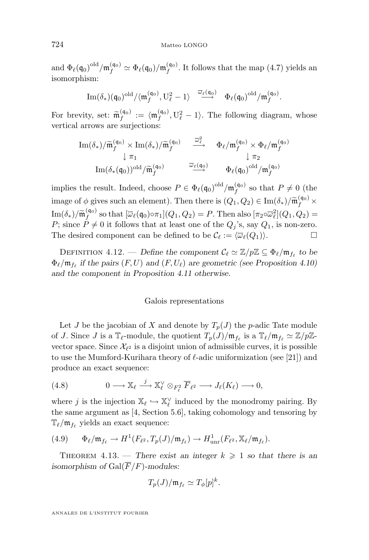<span id="page-36-0"></span>and  $\Phi_{\ell}(\mathfrak{q}_0)^{old}/\mathfrak{m}_f^{(\mathfrak{q}_0)} \simeq \Phi_{\ell}(\mathfrak{q}_0)/\mathfrak{m}_f^{(\mathfrak{q}_0)}$ . It follows that the map [\(4.7\)](#page-35-0) yields an isomorphism:

$$
\mathrm{Im}(\delta_*)(\mathfrak{q}_0)^{\mathrm{old}}/\langle \mathfrak{m}_f^{(\mathfrak{q}_0)}, \mathbf{U}_{\ell}^2-1\rangle \ \xrightarrow{\overline{\omega}_{\ell}(\mathfrak{q}_0)} \ \Phi_{\ell}(\mathfrak{q}_0)^{\mathrm{old}}/\mathfrak{m}_f^{(\mathfrak{q}_0)}.
$$

For brevity, set:  $\widetilde{m}_f^{(q_0)} := \langle m_f^{(q_0)}, U_{\ell}^2 - 1 \rangle$ . The following diagram, whose vertical arrows are surjections:

$$
\operatorname{Im}(\delta_*)/\widetilde{\mathfrak{m}}_f^{(\mathfrak{q}_0)} \times \operatorname{Im}(\delta_*)/\widetilde{\mathfrak{m}}_f^{(\mathfrak{q}_0)} \quad \xrightarrow{\overline{\omega}_{\ell}^2} \quad \Phi_{\ell}/\mathfrak{m}_f^{(\mathfrak{q}_0)} \times \Phi_{\ell}/\mathfrak{m}_f^{(\mathfrak{q}_0)}
$$
  
\n
$$
\downarrow \pi_1 \qquad \qquad \downarrow \pi_2
$$
  
\n
$$
\operatorname{Im}(\delta_*(\mathfrak{q}_0))^{\text{old}}/\widetilde{\mathfrak{m}}_f^{(\mathfrak{q}_0)} \qquad \xrightarrow{\overline{\omega}_{\ell}(\mathfrak{q}_0)} \Phi_{\ell}(\mathfrak{q}_0)^{\text{old}}/\mathfrak{m}_f^{(\mathfrak{q}_0)}
$$

implies the result. Indeed, choose  $P \in \Phi_{\ell}(\mathfrak{q}_0)^{\text{old}}/\mathfrak{m}_f^{(\mathfrak{q}_0)}$  so that  $P \neq 0$  (the image of  $\phi$  gives such an element). Then there is  $(Q_1, Q_2) \in \text{Im}(\delta_*)/\widetilde{\mathfrak{m}}_f^{(\mathfrak{q}_0)} \times$  $\text{Im}(\delta_*)/\widetilde{\mathfrak{m}}_{f}^{(\mathfrak{q}_0)}$  so that  $[\overline{\omega}_\ell(\mathfrak{q}_0)\circ\pi_1](Q_1,Q_2) = P$ . Then also  $[\pi_2\circ\overline{\omega}_\ell^2](Q_1,Q_2) =$ <br> $\text{Re}(\delta_*)$  is not  $P_1(\delta_*)$  is follower that at least sum of the  $Q_1$  is not  $Q_2$  is non-zero. P; since  $P \neq 0$  it follows that at least one of the  $Q_i$ 's, say  $Q_1$ , is non-zero. The desired component can be defined to be  $\mathcal{C}_{\ell} := \langle \overline{\omega}_{\ell}(Q_1) \rangle$ .

DEFINITION 4.12. — Define the component  $\mathcal{C}_{\ell} \simeq \mathbb{Z}/p\mathbb{Z} \subseteq \Phi_{\ell}/\mathfrak{m}_{f_{\ell}}$  to be  $\Phi_{\ell}/\mathfrak{m}_{f_{\ell}}$  *if the pairs*  $(F, U)$  *and*  $(F, U_{\ell})$  *are geometric (see Proposition [4.10\)](#page-34-0) and the component in Proposition [4.11](#page-35-0) otherwise.*

#### Galois representations

Let J be the jacobian of X and denote by  $T_p(J)$  the p-adic Tate module of J. Since J is a  $\mathbb{T}_{\ell}$ -module, the quotient  $T_p(J)/\mathfrak{m}_{f_{\ell}}$  is a  $\mathbb{T}_{\ell}/\mathfrak{m}_{f_{\ell}} \simeq \mathbb{Z}/p\mathbb{Z}$ vector space. Since  $\mathcal{X}_{\ell^2}$  is a disjoint union of admissible curves, it is possible to use the Mumford-Kurihara theory of  $\ell$ -adic uniformization (see [\[21\]](#page-43-0)) and produce an exact sequence:

(4.8) 
$$
0 \longrightarrow \mathbb{X}_{\ell} \stackrel{j}{\longrightarrow} \mathbb{X}_{\ell}^{\vee} \otimes_{F_{\ell}^{2}} \overline{F}_{\ell^{2}} \longrightarrow J_{\ell}(K_{\ell}) \longrightarrow 0,
$$

where  $j$  is the injection  $\mathbb{X}_{\ell} \hookrightarrow \mathbb{X}_{\ell}^{\vee}$  induced by the monodromy pairing. By the same argument as [\[4,](#page-42-0) Section 5.6], taking cohomology and tensoring by  $\mathbb{T}_{\ell}/\mathfrak{m}_{f_{\ell}}$  yields an exact sequence:

$$
(4.9) \qquad \Phi_{\ell}/\mathfrak{m}_{f_{\ell}} \rightarrow H^1(F_{\ell^2}, T_p(J)/\mathfrak{m}_{f_{\ell}}) \rightarrow H^1_{\text{unr}}(F_{\ell^2}, \mathbb{X}_{\ell}/\mathfrak{m}_{f_{\ell}}).
$$

THEOREM 4.13. — There exist an integer  $k \geq 1$  so that there is an *isomorphism of* Gal $(\overline{F}/F)$ -modules:

$$
T_p(J)/\mathfrak{m}_{f_{\ell}} \simeq T_{\phi}[p]^k.
$$

ANNALES DE L'INSTITUT FOURIER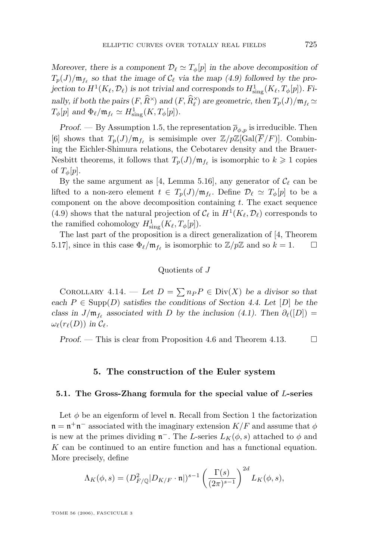<span id="page-37-0"></span>*Moreover, there is a component*  $\mathcal{D}_{\ell} \simeq T_{\phi}[p]$  *in the above decomposition of*  $T_p(J)/\mathfrak{m}_{f_\ell}$  so that the image of  $\mathcal{C}_\ell$  via the map [\(4.9\)](#page-36-0) followed by the pro*jection to*  $H^1(K_\ell, \mathcal{D}_\ell)$  *is not trivial and corresponds to*  $H^1_{\text{sing}}(K_\ell, T_\phi[p])$ *. Finally, if both the pairs*  $(F, \hat{R}^{\times})$  *and*  $(F, \hat{R}_{\ell}^{\times})$  *are geometric, then*  $T_p(J)/\mathfrak{m}_{f_{\ell}} \simeq$  $T_{\phi}[p]$  and  $\Phi_{\ell}/\mathfrak{m}_{f_{\ell}} \simeq H^1_{\text{sing}}(K, T_{\phi}[p]).$ 

*Proof.* — By Assumption [1.5,](#page-14-0) the representation  $\bar{\rho}_{\phi,p}$  is irreducible. Then [\[6\]](#page-42-0) shows that  $T_p(J)/\mathfrak{m}_{f_\ell}$  is semisimple over  $\mathbb{Z}/p\mathbb{Z}[\text{Gal}(\overline{F} /F)]$ . Combining the Eichler-Shimura relations, the Cebotarev density and the Brauer-Nesbitt theorems, it follows that  $T_p(J)/\mathfrak{m}_{f_\ell}$  is isomorphic to  $k \geq 1$  copies of  $T_{\phi}[p]$ .

By the same argument as [\[4,](#page-42-0) Lemma 5.16], any generator of  $\mathcal{C}_{\ell}$  can be lifted to a non-zero element  $t \in T_p(J)/\mathfrak{m}_{f_\ell}$ . Define  $\mathcal{D}_\ell \simeq T_\phi[p]$  to be a component on the above decomposition containing  $t$ . The exact sequence [\(4.9\)](#page-36-0) shows that the natural projection of  $\mathcal{C}_{\ell}$  in  $H^1(K_{\ell}, \mathcal{D}_{\ell})$  corresponds to the ramified cohomology  $H^1_{\text{sing}}(K_\ell, T_\phi[p]).$ 

The last part of the proposition is a direct generalization of [\[4,](#page-42-0) Theorem 5.17, since in this case  $\Phi_{\ell}/\mathfrak{m}_{f_{\ell}}$  is isomorphic to  $\mathbb{Z}/p\mathbb{Z}$  and so  $k = 1$ .  $\Box$ 

Quotients of J

COROLLARY 4.14. — Let  $D = \sum n_P P \in Div(X)$  be a divisor so that *each*  $P \in \text{Supp}(D)$  *satisfies the conditions of Section [4.4.](#page-29-0)* Let  $[D]$  *be the class in*  $J/\mathfrak{m}_{f_{\ell}}$  associated with D by the inclusion [\(4.1\)](#page-25-0). Then  $\partial_{\ell}([D])$  =  $\omega_{\ell}(r_{\ell}(D))$  *in*  $\mathcal{C}_{\ell}$ *.* 

*Proof.* — This is clear from Proposition [4.6](#page-32-0) and Theorem [4.13.](#page-36-0) □

#### **5. The construction of the Euler system**

#### **5.1. The Gross-Zhang formula for the special value of** L**-series**

Let  $\phi$  be an eigenform of level **n**. Recall from Section [1](#page-12-0) the factorization  $\mathfrak{n} = \mathfrak{n}^+\mathfrak{n}^-$  associated with the imaginary extension  $K/F$  and assume that  $\phi$ is new at the primes dividing  $\mathfrak{n}^-$ . The L-series  $L_K(\phi, s)$  attached to  $\phi$  and K can be continued to an entire function and has a functional equation. More precisely, define

$$
\Lambda_K(\phi, s) = (D_{F/\mathbb{Q}}^2 | D_{K/F} \cdot \mathfrak{n} |)^{s-1} \left( \frac{\Gamma(s)}{(2\pi)^{s-1}} \right)^{2d} L_K(\phi, s),
$$

TOME 56 (2006), FASCICULE 3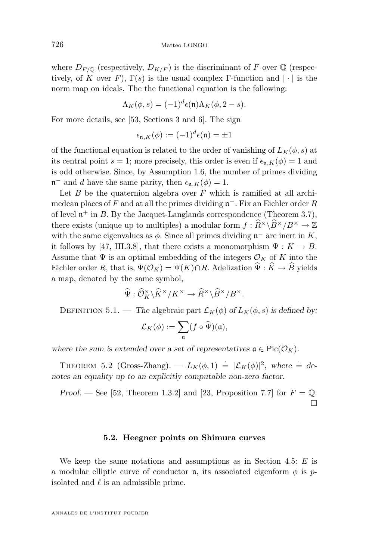<span id="page-38-0"></span>where  $D_{F/\mathbb{Q}}$  (respectively,  $D_{K/F}$ ) is the discriminant of F over  $\mathbb{Q}$  (respectively, of K over F),  $\Gamma(s)$  is the usual complex Γ-function and  $|\cdot|$  is the norm map on ideals. The the functional equation is the following:

$$
\Lambda_K(\phi, s) = (-1)^d \epsilon(\mathfrak{n}) \Lambda_K(\phi, 2 - s).
$$

For more details, see [\[53,](#page-45-0) Sections 3 and 6]. The sign

$$
\epsilon_{\mathfrak{n},K}(\phi) := (-1)^d \epsilon(\mathfrak{n}) = \pm 1
$$

of the functional equation is related to the order of vanishing of  $L_K(\phi, s)$  at its central point  $s = 1$ ; more precisely, this order is even if  $\epsilon_{n,K}(\phi) = 1$  and is odd otherwise. Since, by Assumption [1.6,](#page-15-0) the number of primes dividing  $\mathfrak{n}^-$  and d have the same parity, then  $\epsilon_{\mathfrak{n},K}(\phi) = 1$ .

Let  $B$  be the quaternion algebra over  $F$  which is ramified at all archimedean places of F and at all the primes dividing  $\mathfrak{n}^-$ . Fix an Eichler order R of level  $\mathfrak{n}^+$  in B. By the Jacquet-Langlands correspondence (Theorem [3.7\)](#page-23-0), there exists (unique up to multiples) a modular form  $f : \widehat{R}^{\times} \backslash \widehat{B}^{\times}/B^{\times} \to \mathbb{Z}$ with the same eigenvalues as  $\phi$ . Since all primes dividing  $\mathfrak{n}^-$  are inert in K, it follows by [\[47,](#page-44-0) III.3.8], that there exists a monomorphism  $\Psi : K \to B$ . Assume that  $\Psi$  is an optimal embedding of the integers  $\mathcal{O}_K$  of K into the Eichler order R, that is,  $\Psi(\mathcal{O}_K) = \Psi(K) \cap R$ . Adelization  $\widehat{\Psi} : \widehat{K} \to \widehat{B}$  yields a map, denoted by the same symbol,

$$
\widehat{\Psi}: \widehat{\mathcal{O}}_K^{\times} \backslash \widehat{K}^{\times}/K^{\times} \to \widehat{R}^{\times} \backslash \widehat{B}^{\times}/B^{\times}.
$$

DEFINITION 5.1. — *The* algebraic part  $\mathcal{L}_K(\phi)$  of  $L_K(\phi, s)$  is defined by:

$$
\mathcal{L}_K(\phi) := \sum_{\mathfrak{a}} (f \circ \widehat{\Psi})(\mathfrak{a}),
$$

*where the sum is extended over a set of representatives*  $a \in Pic(\mathcal{O}_K)$ *.* 

THEOREM 5.2 (Gross-Zhang).  $-L_K(\phi,1) = |\mathcal{L}_K(\phi)|^2$ , where  $=$  de*notes an equality up to an explicitly computable non-zero factor.*

*Proof.* — See [\[52,](#page-45-0) Theorem 1.3.2] and [\[23,](#page-43-0) Proposition 7.7] for  $F = \mathbb{Q}$ .  $\Box$ 

#### **5.2. Heegner points on Shimura curves**

We keep the same notations and assumptions as in Section [4.5:](#page-32-0)  $E$  is a modular elliptic curve of conductor **n**, its associated eigenform  $\phi$  is pisolated and  $\ell$  is an admissible prime.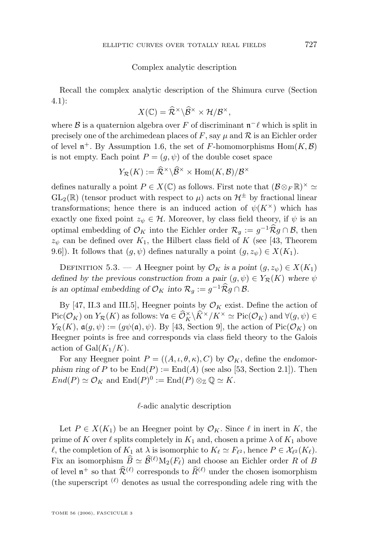#### Complex analytic description

Recall the complex analytic description of the Shimura curve (Section [4.1\)](#page-24-0):

$$
X(\mathbb{C}) = \widehat{\mathcal{R}}^{\times} \backslash \widehat{\mathcal{B}}^{\times} \times \mathcal{H}/\mathcal{B}^{\times},
$$

where  $\mathcal B$  is a quaternion algebra over F of discriminant  $\mathfrak n^-\ell$  which is split in precisely one of the archimedean places of F, say  $\mu$  and  $\mathcal R$  is an Eichler order of level  $\mathfrak{n}^+$ . By Assumption [1.6,](#page-15-0) the set of F-homomorphisms  $\text{Hom}(K,\mathcal{B})$ is not empty. Each point  $P = (g, \psi)$  of the double coset space

$$
Y_{\mathcal{R}}(K) := \widehat{\mathcal{R}}^{\times} \backslash \widehat{\mathcal{B}}^{\times} \times \text{Hom}(K,\mathcal{B})/\mathcal{B}^{\times}
$$

defines naturally a point  $P \in X(\mathbb{C})$  as follows. First note that  $(\mathcal{B} \otimes_F \mathbb{R})^{\times} \simeq$  $GL_2(\mathbb{R})$  (tensor product with respect to  $\mu$ ) acts on  $\mathcal{H}^{\pm}$  by fractional linear transformations; hence there is an induced action of  $\psi(K^{\times})$  which has exactly one fixed point  $z_{\psi} \in \mathcal{H}$ . Moreover, by class field theory, if  $\psi$  is an optimal embedding of  $\mathcal{O}_K$  into the Eichler order  $\mathcal{R}_g := g^{-1} \mathcal{R} g \cap \mathcal{B}$ , then  $z_{\psi}$  can be defined over  $K_1$ , the Hilbert class field of K (see [\[43,](#page-44-0) Theorem 9.6]). It follows that  $(g, \psi)$  defines naturally a point  $(g, z_{\psi}) \in X(K_1)$ .

DEFINITION 5.3. — *A* Heegner point by  $\mathcal{O}_K$  *is a point*  $(g, z_{\psi}) \in X(K_1)$ *defined by the previous construction from a pair*  $(g, \psi) \in Y_{\mathcal{R}}(K)$  *where*  $\psi$ *is an optimal embedding of*  $\mathcal{O}_K$  *into*  $\mathcal{R}_g := g^{-1} \widehat{\mathcal{R}} g \cap \mathcal{B}$ *.* 

By [\[47,](#page-44-0) II.3 and III.5], Heegner points by  $\mathcal{O}_K$  exist. Define the action of  $Pic(\mathcal{O}_K)$  on  $Y_{\mathcal{R}}(K)$  as follows:  $\forall \mathfrak{a} \in \widehat{\mathcal{O}}_K^{\times} \backslash \widehat{K}^{\times}/K^{\times} \simeq Pic(\mathcal{O}_K)$  and  $\forall (g, \psi) \in$  $Y_{\mathcal{R}}(K)$ ,  $\mathfrak{a}(g, \psi) := (g\psi(\mathfrak{a}), \psi)$ . By [\[43,](#page-44-0) Section 9], the action of Pic( $\mathcal{O}_K$ ) on Heegner points is free and corresponds via class field theory to the Galois action of  $Gal(K_1/K)$ .

For any Heegner point  $P = ((A, \iota, \theta, \kappa), C)$  by  $\mathcal{O}_K$ , define the *endomorphism ring of* P to be  $\text{End}(P) := \text{End}(A)$  (see also [\[53,](#page-45-0) Section 2.1]). Then  $End(P) \simeq \mathcal{O}_K$  and  $End(P)^0 := End(P) \otimes_{\mathbb{Z}} \mathbb{Q} \simeq K$ .

#### $\ell$ -adic analytic description

Let  $P \in X(K_1)$  be an Heegner point by  $\mathcal{O}_K$ . Since  $\ell$  in inert in K, the prime of K over  $\ell$  splits completely in  $K_1$  and, chosen a prime  $\lambda$  of  $K_1$  above  $\ell$ , the completion of  $K_1$  at  $\lambda$  is isomorphic to  $K_{\ell} \simeq F_{\ell^2}$ , hence  $P \in \mathcal{X}_{\ell^2}(K_{\ell})$ . Fix an isomorphism  $\widehat{B} \simeq \widehat{\mathcal{B}}^{(\ell)} M_2(F_{\ell})$  and choose an Eichler order R of B of level  $\mathfrak{n}^+$  so that  $\widehat{\mathcal{R}}^{(\ell)}$  corresponds to  $\widehat{R}^{(\ell)}$  under the chosen isomorphism (the superscript  $(\ell)$  denotes as usual the corresponding adele ring with the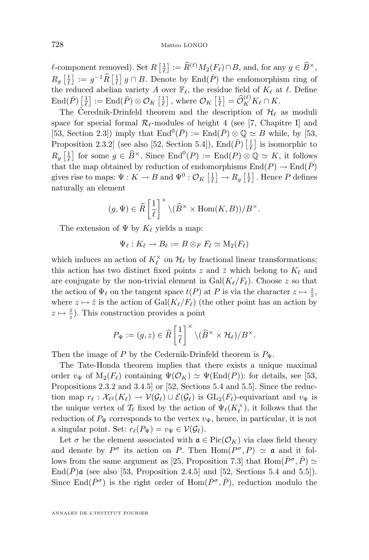$\ell$ -component removed). Set  $R\left[\frac{1}{\ell}\right] := \widehat{R}^{(\ell)} M_2(F_{\ell}) \cap B$ , and, for any  $g \in \widehat{B}^{\times}$ ,  $R_g\left[\frac{1}{\ell}\right] := g^{-1}\widehat{R}\left[\frac{1}{\ell}\right]g\cap B.$  Denote by  $\text{End}(\overline{P})$  the endomorphism ring of the reduced abelian variety A over  $\mathbb{F}_{\ell}$ , the residue field of  $K_{\ell}$  at  $\ell$ . Define  $\text{End}(\bar{P})\left[\frac{1}{\ell}\right] := \text{End}(\bar{P}) \otimes \mathcal{O}_K\left[\frac{1}{\ell}\right], \text{ where } \mathcal{O}_K\left[\frac{1}{\ell}\right] = \widehat{\mathcal{O}}_K^{(\ell)} K_\ell \cap K.$ 

The Čerednik-Drinfeld theorem and the description of  $\mathcal{H}_{\ell}$  as moduli space for special formal  $\mathcal{R}_{\ell}$ -modules of height 4 (see [\[7,](#page-42-0) Chapitre I] and [\[53,](#page-45-0) Section 2.3]) imply that  $\text{End}^0(\overline{P}) := \text{End}(\overline{P}) \otimes \mathbb{Q} \simeq B$  while, by [53, Proposition 2.3.2] (see also [\[52,](#page-45-0) Section 5.4]),  $\text{End}(\bar{P})\left[\frac{1}{\ell}\right]$  is isomorphic to  $R_g\left[\frac{1}{\ell}\right]$  for some  $g \in \widehat{B}^{\times}$ . Since  $\text{End}^0(P) := \text{End}(P) \otimes \mathbb{Q} \simeq K$ , it follows that the map obtained by reduction of endomorphisms  $\text{End}(P) \to \text{End}(\overline{P})$ gives rise to maps:  $\Psi: K \to B$  and  $\Psi^0: \mathcal{O}_K\left[\frac{1}{\ell}\right] \to R_g\left[\frac{1}{\ell}\right]$ . Hence P defines naturally an element

$$
(g, \Psi) \in \widehat{R} \left[ \frac{1}{\ell} \right]^{\times} \setminus (\widehat{B}^{\times} \times \text{Hom}(K, B)) / B^{\times}.
$$

The extension of  $\Psi$  by  $K_{\ell}$  yields a map:

$$
\Psi_\ell:K_\ell\to B_\ell:=B\otimes_F F_\ell\simeq \mathrm{M}_2(F_\ell)
$$

which induces an action of  $K_{\ell}^{\times}$  on  $\mathcal{H}_{\ell}$  by fractional linear transformations; this action has two distinct fixed points z and  $\bar{z}$  which belong to  $K_{\ell}$  and are conjugate by the non-trivial element in  $Gal(K_{\ell}/F_{\ell})$ . Choose z so that the action of  $\Psi_{\ell}$  on the tangent space  $t(P)$  at P is via the character  $z \mapsto \frac{z}{\overline{z}}$ , where  $z \mapsto \overline{z}$  is the action of  $Gal(K_{\ell}/F_{\ell})$  (the other point has an action by  $z \mapsto \frac{\overline{z}}{z}$ ). This construction provides a point

$$
P_{\Psi} := (g, z) \in \widehat{R} \left[ \frac{1}{\ell} \right]^{\times} \backslash (\widehat{B}^{\times} \times \mathcal{H}_{\ell})/B^{\times}.
$$

Then the image of P by the Cedernik-Drinfeld theorem is  $P_{\Psi}$ .

The Tate-Honda theorem implies that there exists a unique maximal order  $v_{\Psi}$  of  $M_2(F_{\ell})$  containing  $\Psi(\mathcal{O}_K) \simeq \Psi(\text{End}(P))$ : for details, see [\[53,](#page-45-0) Propositions 2.3.2 and 3.4.5] or [\[52,](#page-45-0) Sections 5.4 and 5.5]. Since the reduction map  $r_\ell : \mathcal{X}_{\ell^2}(K_\ell) \to \mathcal{V}(\mathcal{G}_\ell) \cup \mathcal{E}(\mathcal{G}_\ell)$  is  $GL_2(F_\ell)$ -equivariant and  $v_\Psi$  is the unique vertex of  $\mathcal{T}_\ell$  fixed by the action of  $\Psi_\ell(K_\ell^\times)$ , it follows that the reduction of  $P_{\Psi}$  corresponds to the vertex  $v_{\Psi}$ , hence, in particular, it is not a singular point. Set:  $r_{\ell}(P_{\Psi}) = v_{\Psi} \in \mathcal{V}(\mathcal{G}_{\ell}).$ 

Let  $\sigma$  be the element associated with  $\mathfrak{a} \in \text{Pic}(\mathcal{O}_K)$  via class field theory and denote by  $P^{\sigma}$  its action on P. Then  $\text{Hom}(P^{\sigma}, P) \simeq \mathfrak{a}$  and it fol-lows from the same argument as [\[25,](#page-43-0) Proposition 7.3] that  $\text{Hom}(\bar{P}^{\sigma}, \bar{P}) \simeq$  $\text{End}(\bar{P})\mathfrak{a}$  (see also [\[53,](#page-45-0) Proposition 2.4.5] and [\[52,](#page-45-0) Sections 5.4 and 5.5]). Since End( $\bar{P}^{\sigma}$ ) is the right order of Hom( $\bar{P}^{\sigma}, \bar{P}$ ), reduction modulo the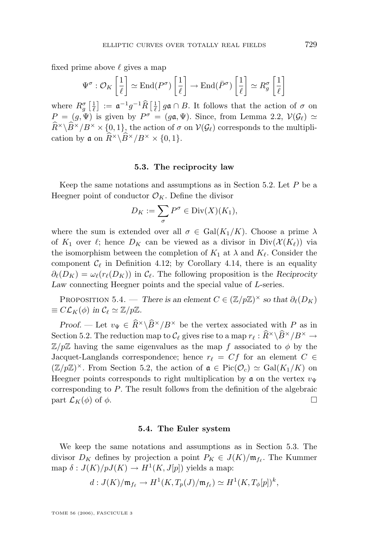<span id="page-41-0"></span>fixed prime above  $\ell$  gives a map

$$
\Psi^{\sigma} : \mathcal{O}_K\left[\frac{1}{\ell}\right] \simeq \text{End}(P^{\sigma})\left[\frac{1}{\ell}\right] \to \text{End}(\bar{P}^{\sigma})\left[\frac{1}{\ell}\right] \simeq R_g^{\sigma}\left[\frac{1}{\ell}\right]
$$

where  $R_g^{\sigma} \left[ \frac{1}{\ell} \right] := \mathfrak{a}^{-1} g^{-1} \widehat{R} \left[ \frac{1}{\ell} \right] g \mathfrak{a} \cap B$ . It follows that the action of  $\sigma$  on  $P = (g, \Psi)$  is given by  $P^{\sigma} = (g\mathfrak{a}, \Psi)$ . Since, from Lemma [2.2,](#page-18-0)  $\mathcal{V}(\mathcal{G}_{\ell}) \simeq$  $\widehat{R}^{\times} \backslash \widehat{B}^{\times}/B^{\times} \times \{0, 1\}$ , the action of  $\sigma$  on  $\mathcal{V}(\mathcal{G}_{\ell})$  corresponds to the multiplication by  $\mathfrak{a}$  on  $\widehat{R}^{\times} \backslash \widehat{B}^{\times}/B^{\times} \times \{0, 1\}.$ 

#### **5.3. The reciprocity law**

Keep the same notations and assumptions as in Section [5.2.](#page-38-0) Let  $P$  be a Heegner point of conductor  $\mathcal{O}_K$ . Define the divisor

$$
D_K := \sum_{\sigma} P^{\sigma} \in \text{Div}(X)(K_1),
$$

where the sum is extended over all  $\sigma \in \text{Gal}(K_1/K)$ . Choose a prime  $\lambda$ of  $K_1$  over  $\ell$ ; hence  $D_K$  can be viewed as a divisor in  $Div(X(K_\ell))$  via the isomorphism between the completion of  $K_1$  at  $\lambda$  and  $K_\ell$ . Consider the component  $\mathcal{C}_{\ell}$  in Definition [4.12;](#page-36-0) by Corollary [4.14,](#page-37-0) there is an equality  $\partial_{\ell}(D_K) = \omega_{\ell}(r_{\ell}(D_K))$  in  $\mathcal{C}_{\ell}$ . The following proposition is the *Reciprocity Law* connecting Heegner points and the special value of L-series.

PROPOSITION 5.4. — *There is an element*  $C \in (\mathbb{Z}/p\mathbb{Z})^{\times}$  *so that*  $\partial_{\ell}(D_K)$  $\equiv C\mathcal{L}_K(\phi)$  in  $\mathcal{C}_\ell \simeq \mathbb{Z}/p\mathbb{Z}$ .

*Proof.* — Let  $v_{\Psi} \in \hat{R}^{\times} \backslash \hat{B}^{\times}/B^{\times}$  be the vertex associated with P as in Section [5.2.](#page-38-0) The reduction map to  $\mathcal{C}_{\ell}$  gives rise to a map  $r_{\ell} : \widehat{R}^{\times} \backslash \widehat{B}^{\times}/B^{\times} \rightarrow$  $\mathbb{Z}/p\mathbb{Z}$  having the same eigenvalues as the map f associated to  $\phi$  by the Jacquet-Langlands correspondence; hence  $r_\ell = Cf$  for an element  $C \in$  $(\mathbb{Z}/p\mathbb{Z})^{\times}$ . From Section [5.2,](#page-38-0) the action of  $\mathfrak{a} \in Pic(\mathcal{O}_{c}) \simeq Gal(K_1/K)$  on Heegner points corresponds to right multiplication by  $\alpha$  on the vertex  $v_{\Psi}$ corresponding to P. The result follows from the definition of the algebraic part  $\mathcal{L}_K(\phi)$  of  $\phi$ .

#### **5.4. The Euler system**

We keep the same notations and assumptions as in Section 5.3. The divisor  $D_K$  defines by projection a point  $P_K \in J(K)/\mathfrak{m}_{f_{\ell}}$ . The Kummer map  $\delta: J(K)/pJ(K) \to H^1(K, J[p])$  yields a map:

$$
d: J(K)/\mathfrak{m}_{f_{\ell}} \to H^1(K, T_p(J)/\mathfrak{m}_{f_{\ell}}) \simeq H^1(K, T_{\phi}[p])^k,
$$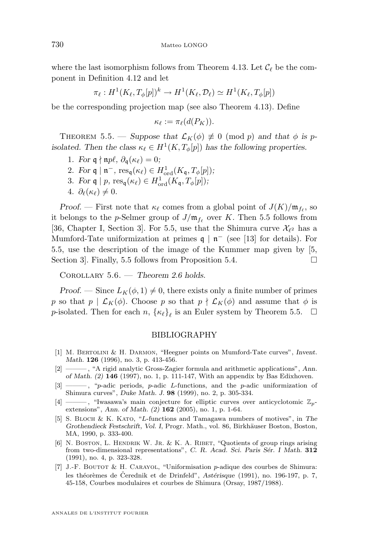<span id="page-42-0"></span>where the last isomorphism follows from Theorem [4.13.](#page-36-0) Let  $\mathcal{C}_{\ell}$  be the component in Definition [4.12](#page-36-0) and let

$$
\pi_{\ell}: H^1(K_{\ell}, T_{\phi}[p])^k \to H^1(K_{\ell}, \mathcal{D}_{\ell}) \simeq H^1(K_{\ell}, T_{\phi}[p])
$$

be the corresponding projection map (see also Theorem [4.13\)](#page-36-0). Define

$$
\kappa_{\ell} := \pi_{\ell}(d(P_K)).
$$

THEOREM 5.5. — *Suppose that*  $\mathcal{L}_K(\phi) \not\equiv 0 \pmod{p}$  *and that*  $\phi$  *is pisolated.* Then the class  $\kappa_{\ell} \in H^1(K, T_{\phi}[p])$  has the following properties.

- 1. *For*  $\mathfrak{q} \nmid \mathfrak{np}\ell$ ,  $\partial_{\mathfrak{q}}(\kappa_{\ell}) = 0$ ;
- 2. *For*  $\mathfrak{q} \mid \mathfrak{n}^-$ ,  $\operatorname{res}_{\mathfrak{q}}(\kappa_{\ell}) \in H^1_{\text{ord}}(K_{\mathfrak{q}}, T_{\phi}[p]);$
- 3. *For*  $\mathfrak{q} \mid p$ ,  $\operatorname{res}_{\mathfrak{q}}(\kappa_{\ell}) \in H_{\mathrm{ord}}^1(K_{\mathfrak{q}}, T_{\phi}[p])$ ;
- 4.  $\partial_{\ell}(\kappa_{\ell}) \neq 0$ .

*Proof.* – First note that  $\kappa_{\ell}$  comes from a global point of  $J(K)/\mathfrak{m}_{f_{\ell}}$ , so it belongs to the *p*-Selmer group of  $J/\mathfrak{m}_{f_\ell}$  over K. Then 5.5 follows from [\[36,](#page-44-0) Chapter I, Section 3]. For 5.5, use that the Shimura curve  $\mathcal{X}_{\ell^2}$  has a Mumford-Tate uniformization at primes  $\mathfrak{q} \mid \mathfrak{n}^-$  (see [\[13\]](#page-43-0) for details). For 5.5, use the description of the image of the Kummer map given by [5, Section 3. Finally, 5.5 follows from Proposition [5.4.](#page-41-0)  $\Box$ 

Corollary 5.6. — *Theorem [2.6](#page-19-0) holds.*

*Proof.* — Since  $L_K(\phi, 1) \neq 0$ , there exists only a finite number of primes p so that  $p \mid \mathcal{L}_K(\phi)$ . Choose p so that  $p \nmid \mathcal{L}_K(\phi)$  and assume that  $\phi$  is *p*-isolated. Then for each  $n, \{\kappa_{\ell}\}_{\ell}$  is an Euler system by Theorem 5.5.  $\Box$ 

#### BIBLIOGRAPHY

- [1] M. Bertolini & H. Darmon, "Heegner points on Mumford-Tate curves", *Invent. Math.* **126** (1996), no. 3, p. 413-456.
- [2] ——— , "A rigid analytic Gross-Zagier formula and arithmetic applications", *Ann. of Math. (2)* **146** (1997), no. 1, p. 111-147, With an appendix by Bas Edixhoven.
- $[3]$  ——, "p-adic periods, p-adic L-functions, and the p-adic uniformization of Shimura curves", *Duke Math. J.* **98** (1999), no. 2, p. 305-334.
- [4] ———, "Iwasawa's main conjecture for elliptic curves over anticyclotomic  $\mathbb{Z}_p$ extensions", *Ann. of Math. (2)* **162** (2005), no. 1, p. 1-64.
- [5] S. Bloch & K. Kato, "L-functions and Tamagawa numbers of motives", in *The Grothendieck Festschrift, Vol. I*, Progr. Math., vol. 86, Birkhäuser Boston, Boston, MA, 1990, p. 333-400.
- [6] N. BOSTON, L. HENDRIK W. JR. & K. A. RIBET, "Quotients of group rings arising from two-dimensional representations", *C. R. Acad. Sci. Paris Sér. I Math.* **312** (1991), no. 4, p. 323-328.
- [7] J.-F. BOUTOT & H. CARAYOL, "Uniformisation p-adique des courbes de Shimura: les théorèmes de Čerednik et de Drinfeld", *Astérisque* (1991), no. 196-197, p. 7, 45-158, Courbes modulaires et courbes de Shimura (Orsay, 1987/1988).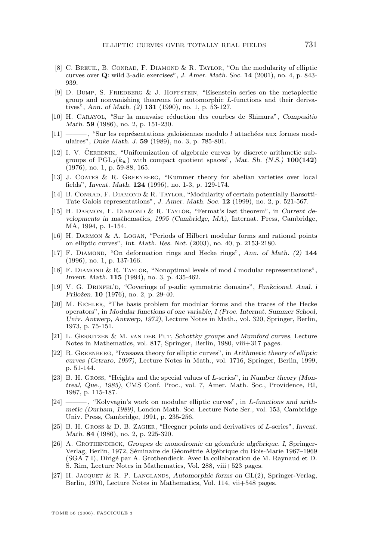- <span id="page-43-0"></span>[8] C. Breuil, B. Conrad, F. Diamond & R. Taylor, "On the modularity of elliptic curves over Q: wild 3-adic exercises", *J. Amer. Math. Soc.* **14** (2001), no. 4, p. 843- 939.
- [9] D. BUMP, S. FRIEDBERG & J. HOFFSTEIN, "Eisenstein series on the metaplectic group and nonvanishing theorems for automorphic L-functions and their derivatives", *Ann. of Math. (2)* **131** (1990), no. 1, p. 53-127.
- [10] H. Carayol, "Sur la mauvaise réduction des courbes de Shimura", *Compositio Math.* **59** (1986), no. 2, p. 151-230.
- [11] ——— , "Sur les représentations galoisiennes modulo l attachées aux formes modulaires", *Duke Math. J.* **59** (1989), no. 3, p. 785-801.
- [12] I. V. ČEREDNIK, "Uniformization of algebraic curves by discrete arithmetic subgroups of  $PGL_2(k_w)$  with compact quotient spaces", *Mat. Sb.* (*N.S.*) **100(142)** (1976), no. 1, p. 59-88, 165.
- [13] J. Coates & R. Greenberg, "Kummer theory for abelian varieties over local fields", *Invent. Math.* **124** (1996), no. 1-3, p. 129-174.
- [14] B. CONRAD, F. DIAMOND & R. TAYLOR, "Modularity of certain potentially Barsotti-Tate Galois representations", *J. Amer. Math. Soc.* **12** (1999), no. 2, p. 521-567.
- [15] H. Darmon, F. Diamond & R. Taylor, "Fermat's last theorem", in *Current developments in mathematics, 1995 (Cambridge, MA)*, Internat. Press, Cambridge, MA, 1994, p. 1-154.
- [16] H. Darmon & A. Logan, "Periods of Hilbert modular forms and rational points on elliptic curves", *Int. Math. Res. Not.* (2003), no. 40, p. 2153-2180.
- [17] F. Diamond, "On deformation rings and Hecke rings", *Ann. of Math. (2)* **144** (1996), no. 1, p. 137-166.
- [18] F. DIAMOND & R. TAYLOR, "Nonoptimal levels of mod  $l$  modular representations", *Invent. Math.* **115** (1994), no. 3, p. 435-462.
- [19] V. G. Drinfel'd, "Coverings of p-adic symmetric domains", *Funkcional. Anal. i Priložen.* **10** (1976), no. 2, p. 29-40.
- [20] M. Eichler, "The basis problem for modular forms and the traces of the Hecke operators", in *Modular functions of one variable, I (Proc. Internat. Summer School, Univ. Antwerp, Antwerp, 1972)*, Lecture Notes in Math., vol. 320, Springer, Berlin, 1973, p. 75-151.
- [21] L. Gerritzen & M. van der Put, *Schottky groups and Mumford curves*, Lecture Notes in Mathematics, vol. 817, Springer, Berlin, 1980, viii+317 pages.
- [22] R. Greenberg, "Iwasawa theory for elliptic curves", in *Arithmetic theory of elliptic curves (Cetraro, 1997)*, Lecture Notes in Math., vol. 1716, Springer, Berlin, 1999, p. 51-144.
- [23] B. H. Gross, "Heights and the special values of L-series", in *Number theory (Montreal, Que., 1985)*, CMS Conf. Proc., vol. 7, Amer. Math. Soc., Providence, RI, 1987, p. 115-187.
- [24] ——— , "Kolyvagin's work on modular elliptic curves", in L*-functions and arithmetic (Durham, 1989)*, London Math. Soc. Lecture Note Ser., vol. 153, Cambridge Univ. Press, Cambridge, 1991, p. 235-256.
- [25] B. H. Gross & D. B. Zagier, "Heegner points and derivatives of L-series", *Invent. Math.* **84** (1986), no. 2, p. 225-320.
- [26] A. Grothendieck, *Groupes de monodromie en géométrie algébrique. I*, Springer-Verlag, Berlin, 1972, Séminaire de Géométrie Algébrique du Bois-Marie 1967–1969 (SGA 7 I), Dirigé par A. Grothendieck. Avec la collaboration de M. Raynaud et D. S. Rim, Lecture Notes in Mathematics, Vol. 288, viii+523 pages.
- [27] H. Jacquet & R. P. Langlands, *Automorphic forms on* GL(2), Springer-Verlag, Berlin, 1970, Lecture Notes in Mathematics, Vol. 114, vii+548 pages.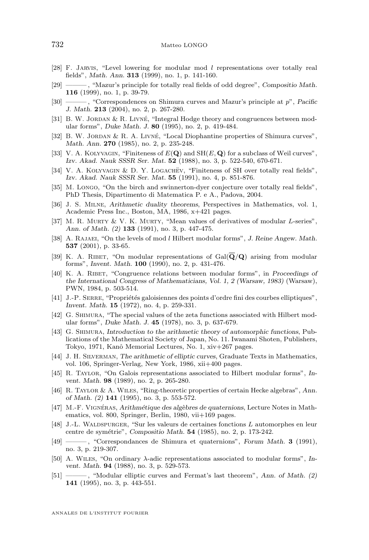- <span id="page-44-0"></span>[28] F. Jarvis, "Level lowering for modular mod l representations over totally real fields", *Math. Ann.* **313** (1999), no. 1, p. 141-160.
- [29] ——— , "Mazur's principle for totally real fields of odd degree", *Compositio Math.* **116** (1999), no. 1, p. 39-79.
- [30] ——— , "Correspondences on Shimura curves and Mazur's principle at p", *Pacific J. Math.* **213** (2004), no. 2, p. 267-280.
- [31] B. W. JORDAN & R. LIVNÉ, "Integral Hodge theory and congruences between modular forms", *Duke Math. J.* **80** (1995), no. 2, p. 419-484.
- [32] B. W. Jordan & R. A. Livné, "Local Diophantine properties of Shimura curves", *Math. Ann.* **270** (1985), no. 2, p. 235-248.
- [33] V. A. KOLYVAGIN, "Finiteness of  $E(Q)$  and  $SH(E, Q)$  for a subclass of Weil curves", *Izv. Akad. Nauk SSSR Ser. Mat.* **52** (1988), no. 3, p. 522-540, 670-671.
- [34] V. A. KOLYVAGIN & D. Y. LOGACHËV, "Finiteness of SH over totally real fields", *Izv. Akad. Nauk SSSR Ser. Mat.* **55** (1991), no. 4, p. 851-876.
- [35] M. Longo, "On the birch and swinnerton-dyer conjecture over totally real fields", PhD Thesis, Dipartimento di Matematica P. e A., Padova, 2004.
- [36] J. S. Milne, *Arithmetic duality theorems*, Perspectives in Mathematics, vol. 1, Academic Press Inc., Boston, MA, 1986, x+421 pages.
- [37] M. R. Murty & V. K. Murty, "Mean values of derivatives of modular L-series", *Ann. of Math. (2)* **133** (1991), no. 3, p. 447-475.
- [38] A. Rajaei, "On the levels of mod l Hilbert modular forms", *J. Reine Angew. Math.* **537** (2001), p. 33-65.
- [39] K. A. RIBET, "On modular representations of  $Gal(\overline{\mathbf{Q}}/\mathbf{Q})$  arising from modular forms", *Invent. Math.* **100** (1990), no. 2, p. 431-476.
- [40] K. A. Ribet, "Congruence relations between modular forms", in *Proceedings of the International Congress of Mathematicians, Vol. 1, 2 (Warsaw, 1983)* (Warsaw), PWN, 1984, p. 503-514.
- [41] J.-P. Serre, "Propriétés galoisiennes des points d'ordre fini des courbes elliptiques", *Invent. Math.* **15** (1972), no. 4, p. 259-331.
- [42] G. SHIMURA, "The special values of the zeta functions associated with Hilbert modular forms", *Duke Math. J.* **45** (1978), no. 3, p. 637-679.
- [43] G. Shimura, *Introduction to the arithmetic theory of automorphic functions*, Publications of the Mathematical Society of Japan, No. 11. Iwanami Shoten, Publishers, Tokyo, 1971, Kanô Memorial Lectures, No. 1, xiv+267 pages.
- [44] J. H. Silverman, *The arithmetic of elliptic curves*, Graduate Texts in Mathematics, vol. 106, Springer-Verlag, New York, 1986, xii+400 pages.
- [45] R. Taylor, "On Galois representations associated to Hilbert modular forms", *Invent. Math.* **98** (1989), no. 2, p. 265-280.
- [46] R. TAYLOR & A. WILES, "Ring-theoretic properties of certain Hecke algebras", Ann. *of Math. (2)* **141** (1995), no. 3, p. 553-572.
- [47] M.-F. Vignéras, *Arithmétique des algèbres de quaternions*, Lecture Notes in Mathematics, vol. 800, Springer, Berlin, 1980, vii+169 pages.
- [48] J.-L. Waldspurger, "Sur les valeurs de certaines fonctions L automorphes en leur centre de symétrie", *Compositio Math.* **54** (1985), no. 2, p. 173-242.
- [49] ——— , "Correspondances de Shimura et quaternions", *Forum Math.* **3** (1991), no. 3, p. 219-307.
- [50] A. Wiles, "On ordinary λ-adic representations associated to modular forms", *Invent. Math.* **94** (1988), no. 3, p. 529-573.
- [51] ——— , "Modular elliptic curves and Fermat's last theorem", *Ann. of Math. (2)* **141** (1995), no. 3, p. 443-551.